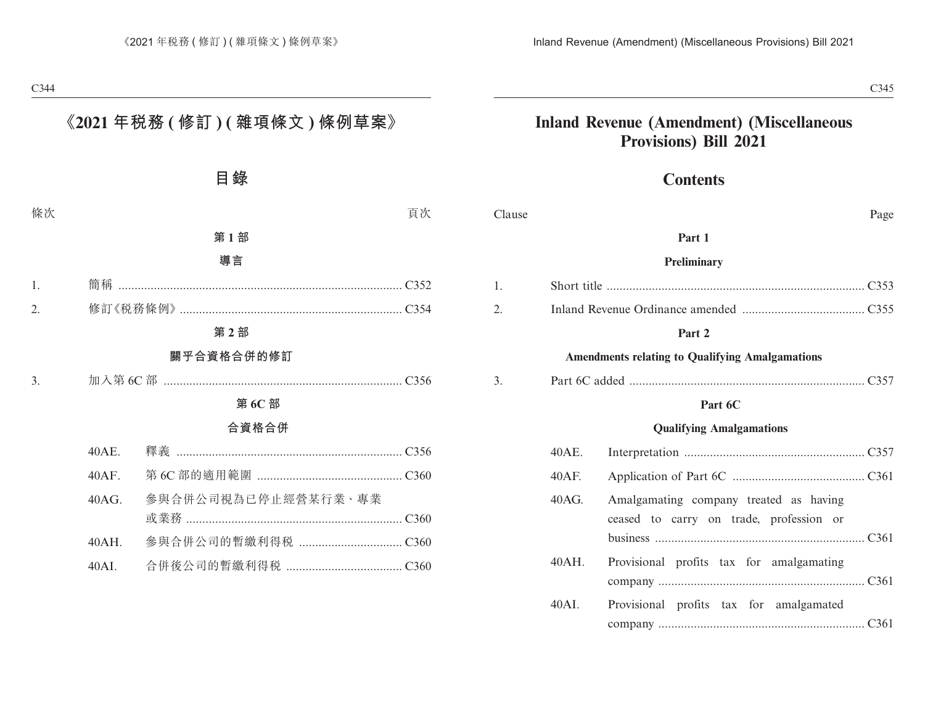### **Inland Revenue (Amendment) (Miscellaneous Provisions) Bill 2021**

### **Contents**

| Clause |          | Page                                                                              |
|--------|----------|-----------------------------------------------------------------------------------|
|        |          | Part 1                                                                            |
|        |          | Preliminary                                                                       |
| 1.     |          |                                                                                   |
| 2.     |          |                                                                                   |
|        |          | Part 2                                                                            |
|        |          | <b>Amendments relating to Qualifying Amalgamations</b>                            |
| 3.     |          |                                                                                   |
|        |          | Part 6C                                                                           |
|        |          | <b>Qualifying Amalgamations</b>                                                   |
|        | 40AE.    |                                                                                   |
|        | $40AF$ . |                                                                                   |
|        | 40AG.    | Amalgamating company treated as having<br>ceased to carry on trade, profession or |
|        | $40AH$ . | Provisional profits tax for amalgamating                                          |
|        | 40AI.    | Provisional profits tax for amalgamated                                           |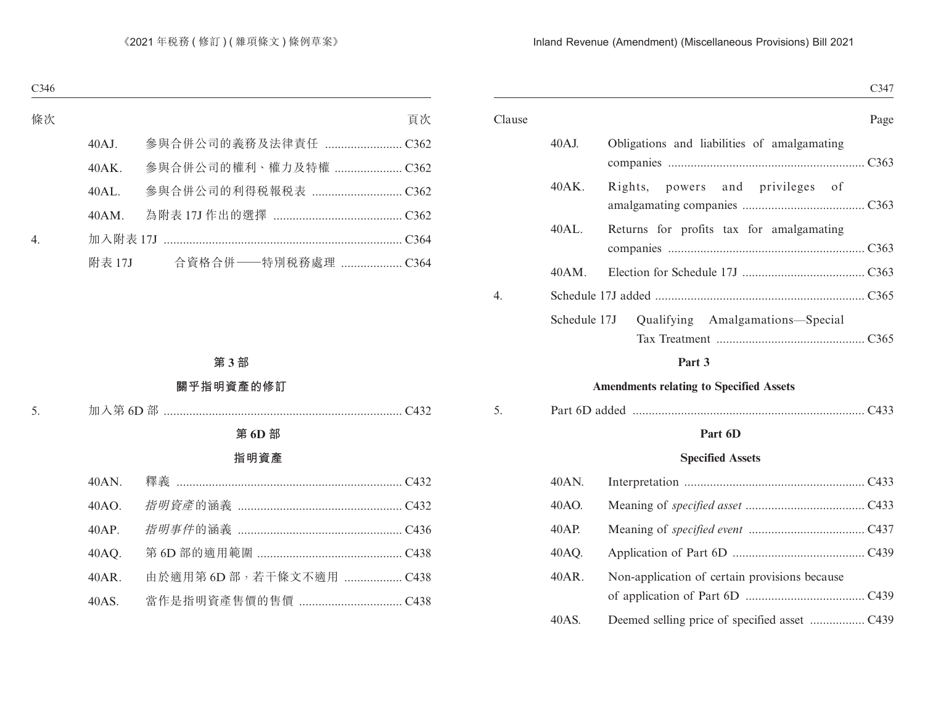|        |              |                                             | C347 |
|--------|--------------|---------------------------------------------|------|
| Clause |              |                                             | Page |
|        | $40AJ$ .     | Obligations and liabilities of amalgamating |      |
|        | 40AK.        | and privileges of<br>Rights,<br>powers      |      |
|        | 40AL.        | Returns for profits tax for amalgamating    |      |
|        | 40AM.        |                                             |      |
| 4.     |              |                                             |      |
|        | Schedule 17J | Qualifying Amalgamations-Special            |      |
|        |              | $\sim$ $\sim$                               |      |

#### **Part 3**

### **Amendments relating to Specified Assets**

| . |
|---|
|---|

### **Part 6D**

### **Specified Assets**

| 40AN. |                                               |
|-------|-----------------------------------------------|
| 40AO. |                                               |
| 40AP. |                                               |
| 40AQ. |                                               |
| 40AR. | Non-application of certain provisions because |
| 40AS. |                                               |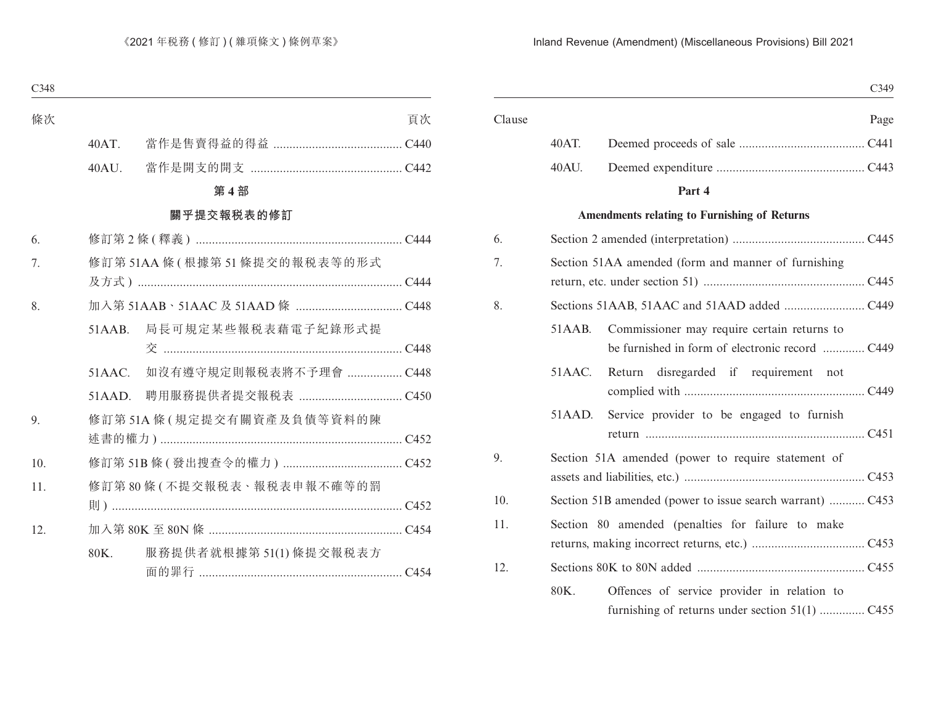|        |        | C349                                                                                           |
|--------|--------|------------------------------------------------------------------------------------------------|
| Clause |        | Page                                                                                           |
|        | 40AT.  |                                                                                                |
|        | 40AU.  |                                                                                                |
|        |        | Part 4                                                                                         |
|        |        | Amendments relating to Furnishing of Returns                                                   |
| 6.     |        |                                                                                                |
| 7.     |        | Section 51AA amended (form and manner of furnishing                                            |
| 8.     |        |                                                                                                |
|        | 51AAB. | Commissioner may require certain returns to                                                    |
|        | 51AAC. | Return disregarded if requirement not                                                          |
|        | 51AAD. | Service provider to be engaged to furnish                                                      |
| 9.     |        | Section 51A amended (power to require statement of                                             |
| 10.    |        |                                                                                                |
| 11.    |        | Section 80 amended (penalties for failure to make                                              |
| 12.    |        |                                                                                                |
|        | 80K.   | Offences of service provider in relation to<br>furnishing of returns under section 51(1)  C455 |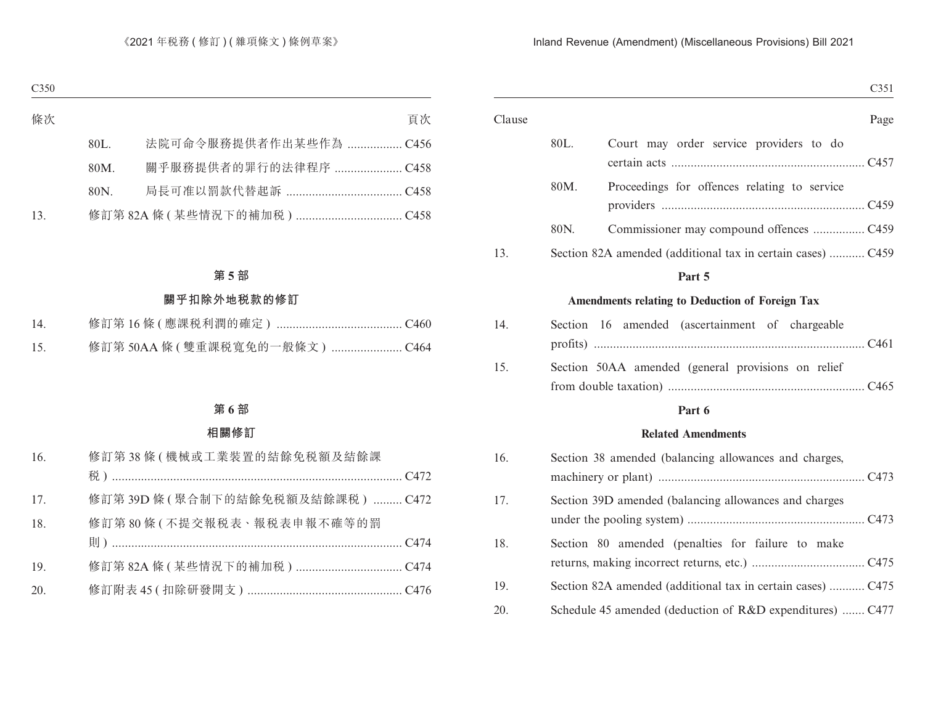| Section 82A amended (additional tax in certain cases)  C459 |
|-------------------------------------------------------------|
|                                                             |
|                                                             |
|                                                             |
| Page                                                        |
|                                                             |

| $14_{\ldots}$ | Section 16 amended (ascertainment of chargeable    |  |
|---------------|----------------------------------------------------|--|
|               |                                                    |  |
| 15.           | Section 50AA amended (general provisions on relief |  |
|               |                                                    |  |

### **Part 6**

### **Related Amendments**

| 16. | Section 38 amended (balancing allowances and charges,       |
|-----|-------------------------------------------------------------|
| 17. | Section 39D amended (balancing allowances and charges       |
| 18. | Section 80 amended (penalties for failure to make           |
| 19. | Section 82A amended (additional tax in certain cases)  C475 |
| 20. | Schedule 45 amended (deduction of R&D expenditures)  C477   |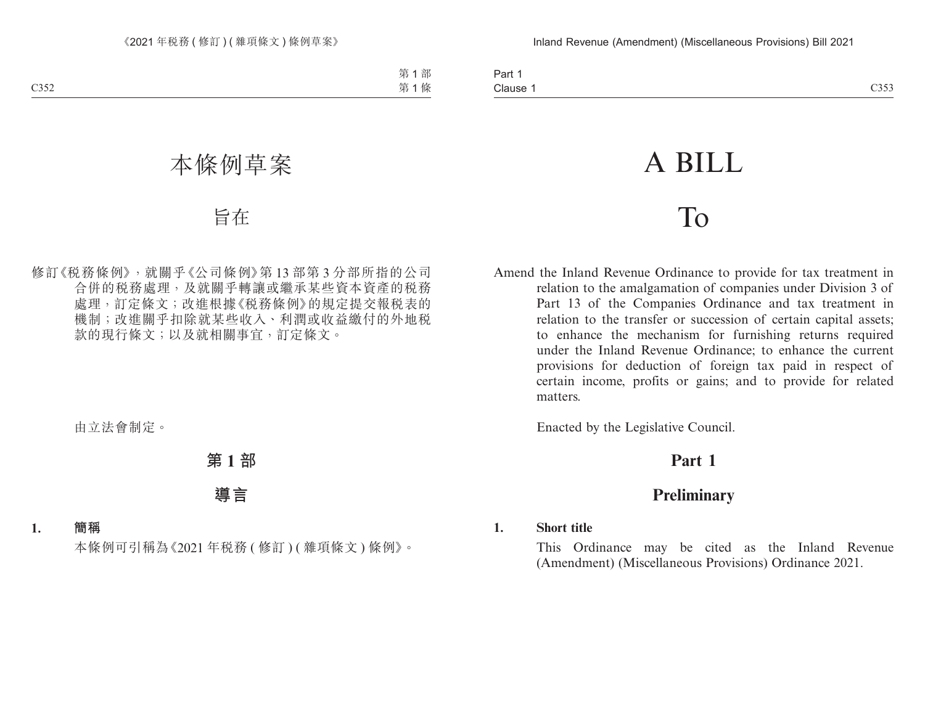| Part.       |             |
|-------------|-------------|
| Clause<br>. | C353<br>www |

# A BILL

## To

Amend the Inland Revenue Ordinance to provide for tax treatment in relation to the amalgamation of companies under Division 3 of Part 13 of the Companies Ordinance and tax treatment in relation to the transfer or succession of certain capital assets; to enhance the mechanism for furnishing returns required under the Inland Revenue Ordinance; to enhance the current provisions for deduction of foreign tax paid in respect of certain income, profits or gains; and to provide for related matters.

Enacted by the Legislative Council.

### **Part 1**

### **Preliminary**

### **1. Short title**

This Ordinance may be cited as the Inland Revenue (Amendment) (Miscellaneous Provisions) Ordinance 2021.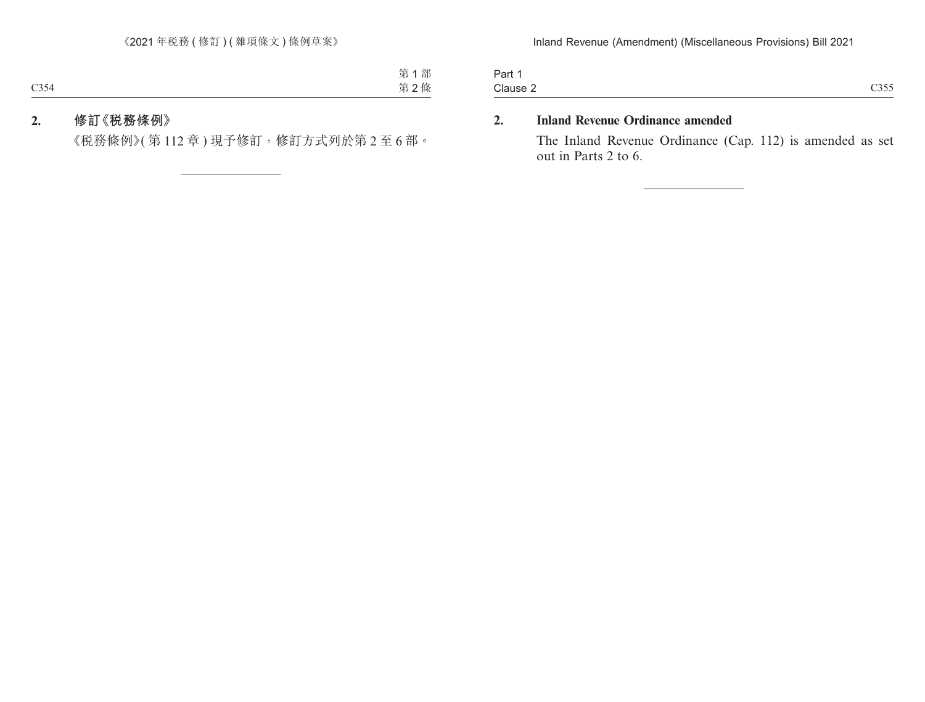| Clause                   | $\sim \sim \sim \sim$ |
|--------------------------|-----------------------|
| $\overline{\phantom{0}}$ | $\sim$                |
|                          | $\sim\!\sim\!\sim$    |

### **2. Inland Revenue Ordinance amended**

The Inland Revenue Ordinance (Cap. 112) is amended as set out in Parts 2 to 6.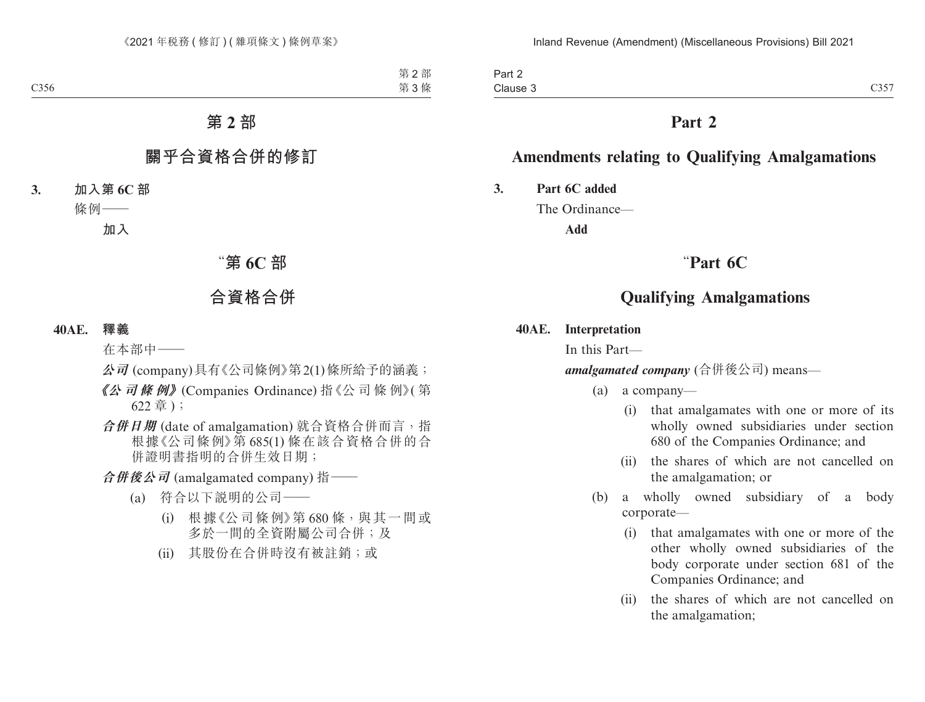Part 2 Clause 3 Clause 3  $C357$ 

### **Part 2**

### **Amendments relating to Qualifying Amalgamations**

**3. Part 6C added**

The Ordinance—

**Add**

### "**Part 6C**

### **Qualifying Amalgamations**

### **40AE. Interpretation**

In this Part—

*amalgamated company* (合併後公司) means—

(a) a company—

- (i) that amalgamates with one or more of its wholly owned subsidiaries under section 680 of the Companies Ordinance; and
- (ii) the shares of which are not cancelled on the amalgamation; or
- (b) a wholly owned subsidiary of a body corporate—
	- (i) that amalgamates with one or more of the other wholly owned subsidiaries of the body corporate under section 681 of the Companies Ordinance; and
	- (ii) the shares of which are not cancelled on the amalgamation;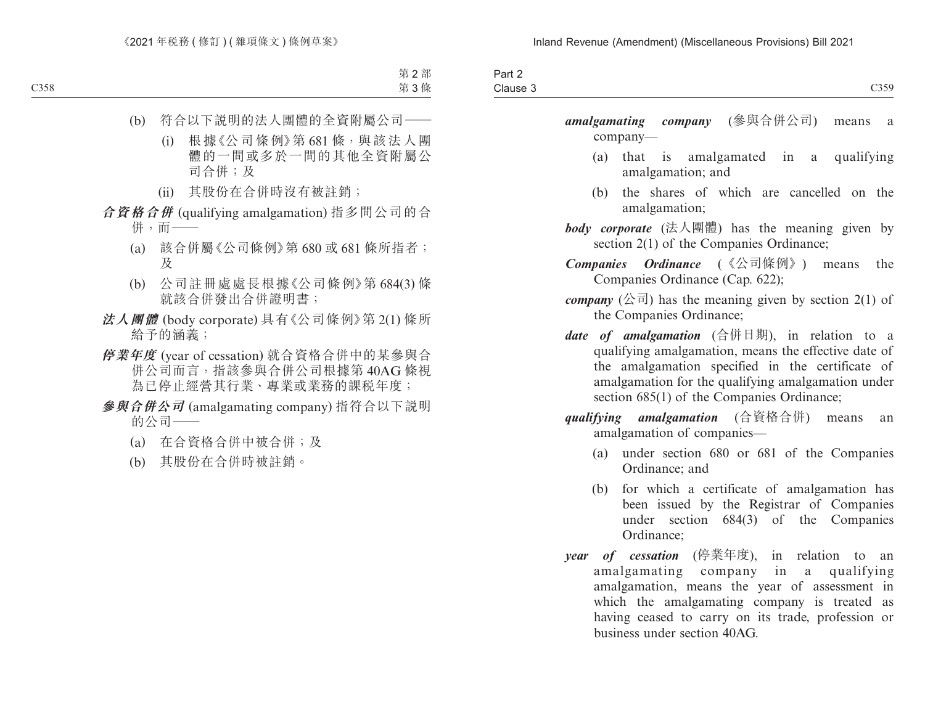| $\overline{\phantom{0}}$<br>Part ∠ |                      |
|------------------------------------|----------------------|
| Clause 3                           | 0250<br><u>しょう ノ</u> |

*amalgamating company* (參與合併公司) means a company—

- (a) that is amalgamated in a qualifying amalgamation; and
- (b) the shares of which are cancelled on the amalgamation;
- *body corporate* (法人團體) has the meaning given by section 2(1) of the Companies Ordinance;
- *Companies Ordinance* (《公司條例》) means the Companies Ordinance (Cap. 622);
- *company*  $(  $\triangle \overline{\mathbb{a}}$  ) has the meaning given by section 2(1) of$ the Companies Ordinance;
- *date of amalgamation* (合併日期), in relation to a qualifying amalgamation, means the effective date of the amalgamation specified in the certificate of amalgamation for the qualifying amalgamation under section 685(1) of the Companies Ordinance;
- *qualifying amalgamation* (合資格合併) means an amalgamation of companies—
	- (a) under section 680 or 681 of the Companies Ordinance; and
	- (b) for which a certificate of amalgamation has been issued by the Registrar of Companies under section 684(3) of the Companies Ordinance;
- *year of cessation* (停業年度), in relation to an amalgamating company in a qualifying amalgamation, means the year of assessment in which the amalgamating company is treated as having ceased to carry on its trade, profession or business under section 40AG.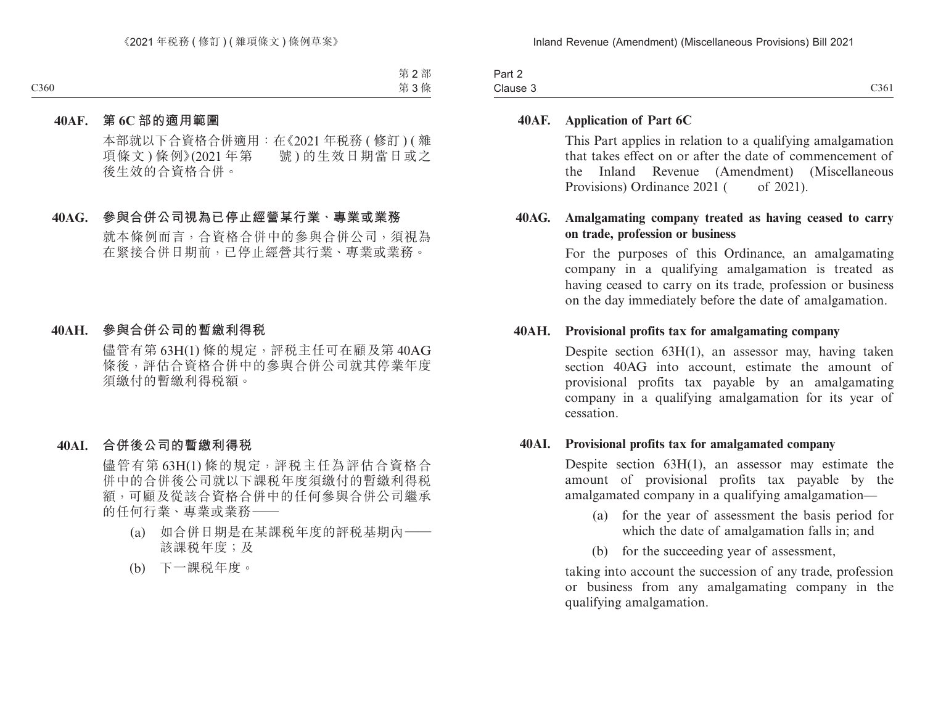| Part 2   |      |
|----------|------|
| Clause 3 | C361 |

### **40AF. Application of Part 6C**

This Part applies in relation to a qualifying amalgamation that takes effect on or after the date of commencement of the Inland Revenue (Amendment) (Miscellaneous Provisions) Ordinance 2021 ( of 2021).

### **40AG. Amalgamating company treated as having ceased to carry on trade, profession or business**

For the purposes of this Ordinance, an amalgamating company in a qualifying amalgamation is treated as having ceased to carry on its trade, profession or business on the day immediately before the date of amalgamation.

### **40AH. Provisional profits tax for amalgamating company**

Despite section 63H(1), an assessor may, having taken section 40AG into account, estimate the amount of provisional profits tax payable by an amalgamating company in a qualifying amalgamation for its year of cessation.

### **40AI. Provisional profits tax for amalgamated company**

Despite section 63H(1), an assessor may estimate the amount of provisional profits tax payable by the amalgamated company in a qualifying amalgamation—

- (a) for the year of assessment the basis period for which the date of amalgamation falls in; and
- (b) for the succeeding year of assessment,

taking into account the succession of any trade, profession or business from any amalgamating company in the qualifying amalgamation.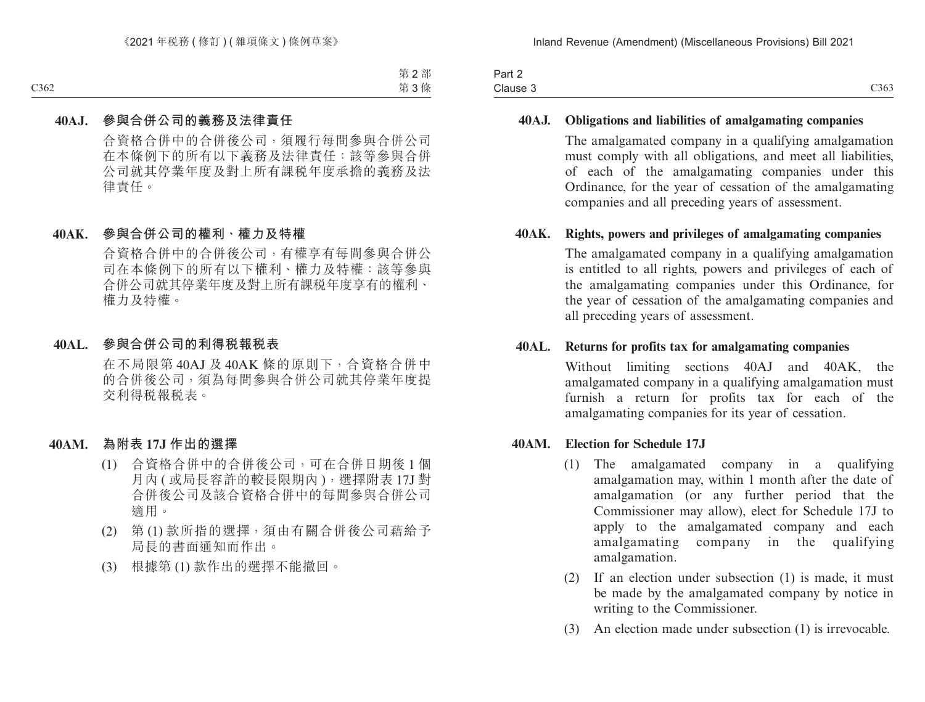| $\overline{\phantom{0}}$<br>$\overline{\phantom{a}}$<br>Part 2 |      |
|----------------------------------------------------------------|------|
| Clause 3                                                       | C363 |

### **40AJ. Obligations and liabilities of amalgamating companies**

The amalgamated company in a qualifying amalgamation must comply with all obligations, and meet all liabilities, of each of the amalgamating companies under this Ordinance, for the year of cessation of the amalgamating companies and all preceding years of assessment.

### **40AK. Rights, powers and privileges of amalgamating companies**

The amalgamated company in a qualifying amalgamation is entitled to all rights, powers and privileges of each of the amalgamating companies under this Ordinance, for the year of cessation of the amalgamating companies and all preceding years of assessment.

#### **40AL. Returns for profits tax for amalgamating companies**

Without limiting sections 40AJ and 40AK, the amalgamated company in a qualifying amalgamation must furnish a return for profits tax for each of the amalgamating companies for its year of cessation.

#### **40AM. Election for Schedule 17J**

- (1) The amalgamated company in a qualifying amalgamation may, within 1 month after the date of amalgamation (or any further period that the Commissioner may allow), elect for Schedule 17J to apply to the amalgamated company and each amalgamating company in the qualifying amalgamation.
- (2) If an election under subsection (1) is made, it must be made by the amalgamated company by notice in writing to the Commissioner.
- (3) An election made under subsection (1) is irrevocable.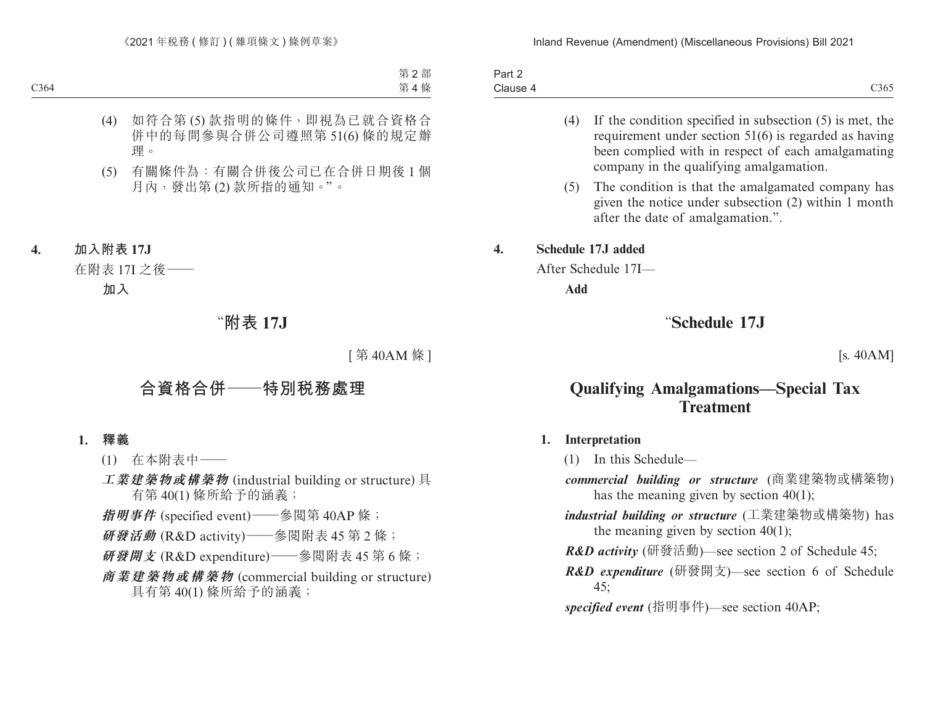| Part 2   |                              |
|----------|------------------------------|
| Clause 4 | $\sim$ $\sim$ $\sim$<br>C365 |

- (4) If the condition specified in subsection (5) is met, the requirement under section 51(6) is regarded as having been complied with in respect of each amalgamating company in the qualifying amalgamation.
- (5) The condition is that the amalgamated company has given the notice under subsection (2) within 1 month after the date of amalgamation.".

### **4. Schedule 17J added**

After Schedule 17I—

**Add**

### "**Schedule 17J**

[s. 40AM]

### **Qualifying Amalgamations—Special Tax Treatment**

#### **1. Interpretation**

(1) In this Schedule—

- *commercial building or structure* (商業建築物或構築物) has the meaning given by section 40(1);
- *industrial building or structure* (工業建築物或構築物) has the meaning given by section  $40(1)$ ;
- *R&D activity* (研發活動)—see section 2 of Schedule 45;
- *R&D expenditure* (研發開支)—see section 6 of Schedule 45;

*specified event* (指明事件)—see section 40AP;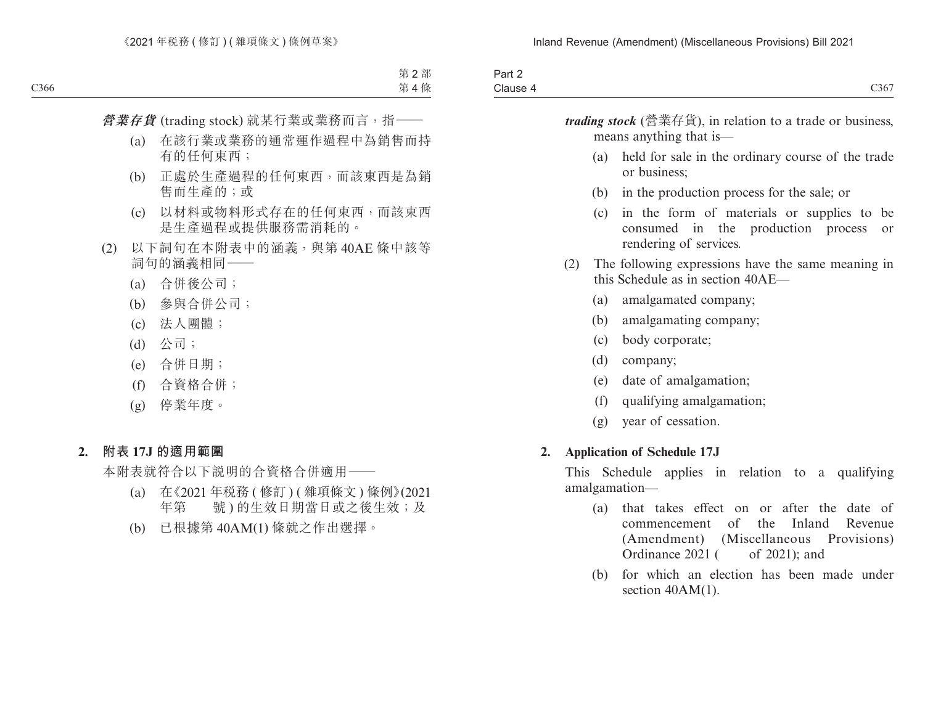| _<br>Part ∠ |                                  |
|-------------|----------------------------------|
| Clause 4    | $\sim$ $\sim$ $\sim$<br>$C_{50}$ |

*trading stock* (營業存貨), in relation to a trade or business, means anything that is— (a) held for sale in the ordinary course of the trade or business; (b) in the production process for the sale; or (c) in the form of materials or supplies to be consumed in the production process or rendering of services. (2) The following expressions have the same meaning in this Schedule as in section 40AE— (a) amalgamated company; (b) amalgamating company; (c) body corporate; (d) company; (e) date of amalgamation; (f) qualifying amalgamation; (g) year of cessation. **2. Application of Schedule 17J** This Schedule applies in relation to a qualifying amalgamation— (a) that takes effect on or after the date of

- commencement of the Inland Revenue (Amendment) (Miscellaneous Provisions) Ordinance 2021 ( of 2021); and
- (b) for which an election has been made under section  $40AM(1)$ .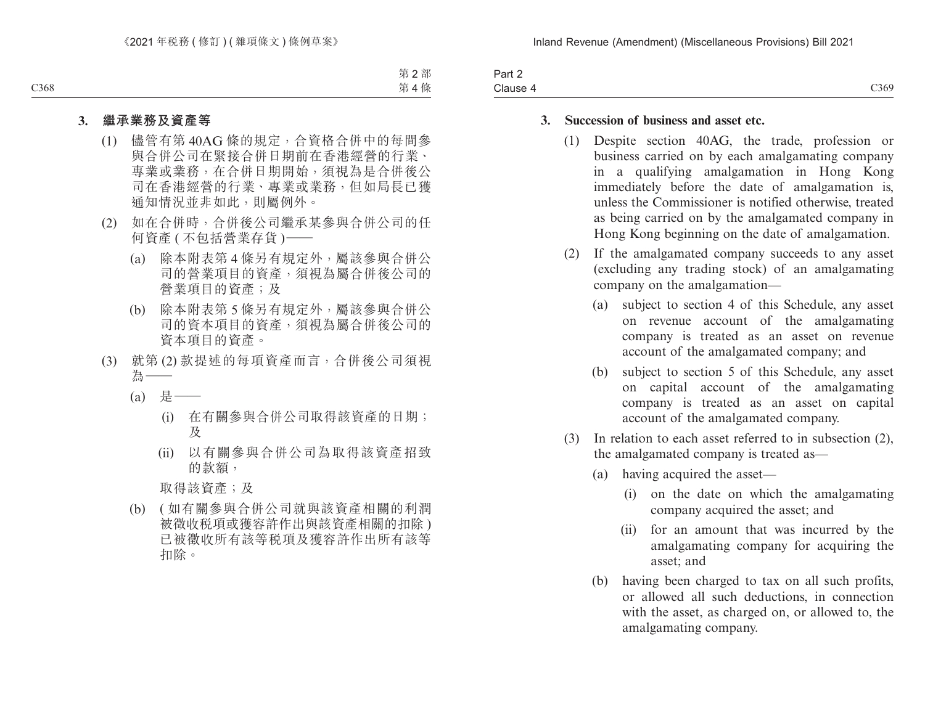| -<br>3 <sub>cm</sub><br>ail Z |                                                             |
|-------------------------------|-------------------------------------------------------------|
| Clause                        | $\sim$ $\sim$ $\sim$<br>.<br>$\sim$ $\sim$ $\sim$<br>$\sim$ |

### **3. Succession of business and asset etc.**

- (1) Despite section 40AG, the trade, profession or business carried on by each amalgamating company in a qualifying amalgamation in Hong Kong immediately before the date of amalgamation is, unless the Commissioner is notified otherwise, treated as being carried on by the amalgamated company in Hong Kong beginning on the date of amalgamation.
- (2) If the amalgamated company succeeds to any asset (excluding any trading stock) of an amalgamating company on the amalgamation—
	- (a) subject to section 4 of this Schedule, any asset on revenue account of the amalgamating company is treated as an asset on revenue account of the amalgamated company; and
	- (b) subject to section 5 of this Schedule, any asset on capital account of the amalgamating company is treated as an asset on capital account of the amalgamated company.
- (3) In relation to each asset referred to in subsection (2), the amalgamated company is treated as—
	- (a) having acquired the asset—
		- (i) on the date on which the amalgamating company acquired the asset; and
		- (ii) for an amount that was incurred by the amalgamating company for acquiring the asset; and
	- (b) having been charged to tax on all such profits, or allowed all such deductions, in connection with the asset, as charged on, or allowed to, the amalgamating company.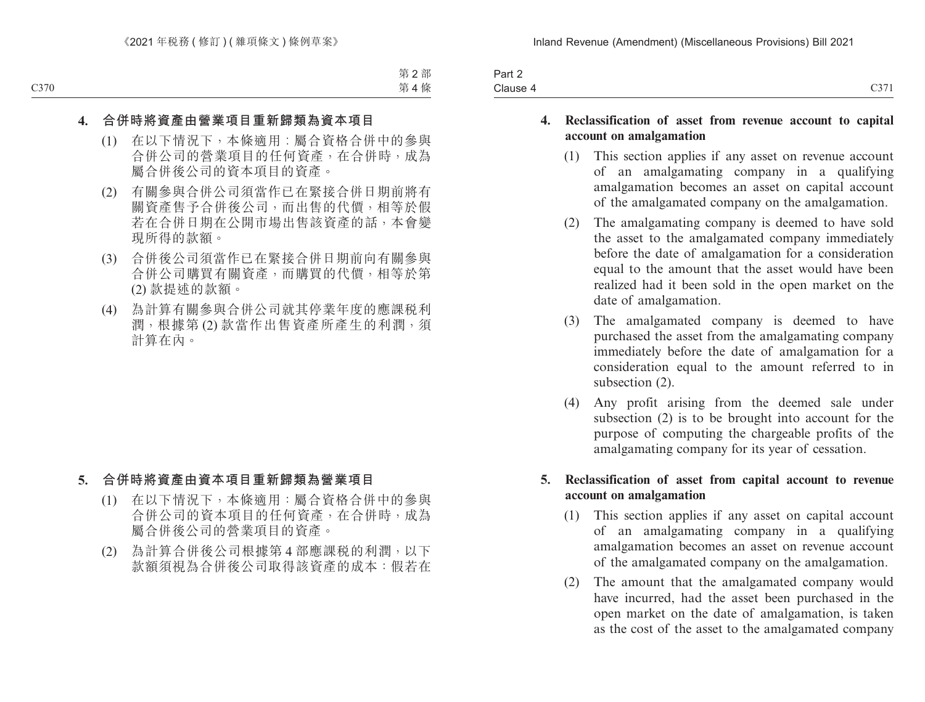| $\overline{\phantom{a}}$<br>Part 2 |                                              |
|------------------------------------|----------------------------------------------|
| Clause 4                           | $\bigcap \bigcap \overline{\bigcap}$<br>C3/I |

### **4. Reclassification of asset from revenue account to capital account on amalgamation**

- (1) This section applies if any asset on revenue account of an amalgamating company in a qualifying amalgamation becomes an asset on capital account of the amalgamated company on the amalgamation.
- (2) The amalgamating company is deemed to have sold the asset to the amalgamated company immediately before the date of amalgamation for a consideration equal to the amount that the asset would have been realized had it been sold in the open market on the date of amalgamation.
- (3) The amalgamated company is deemed to have purchased the asset from the amalgamating company immediately before the date of amalgamation for a consideration equal to the amount referred to in subsection (2).
- (4) Any profit arising from the deemed sale under subsection (2) is to be brought into account for the purpose of computing the chargeable profits of the amalgamating company for its year of cessation.

### **5. Reclassification of asset from capital account to revenue account on amalgamation**

- (1) This section applies if any asset on capital account of an amalgamating company in a qualifying amalgamation becomes an asset on revenue account of the amalgamated company on the amalgamation.
- (2) The amount that the amalgamated company would have incurred, had the asset been purchased in the open market on the date of amalgamation, is taken as the cost of the asset to the amalgamated company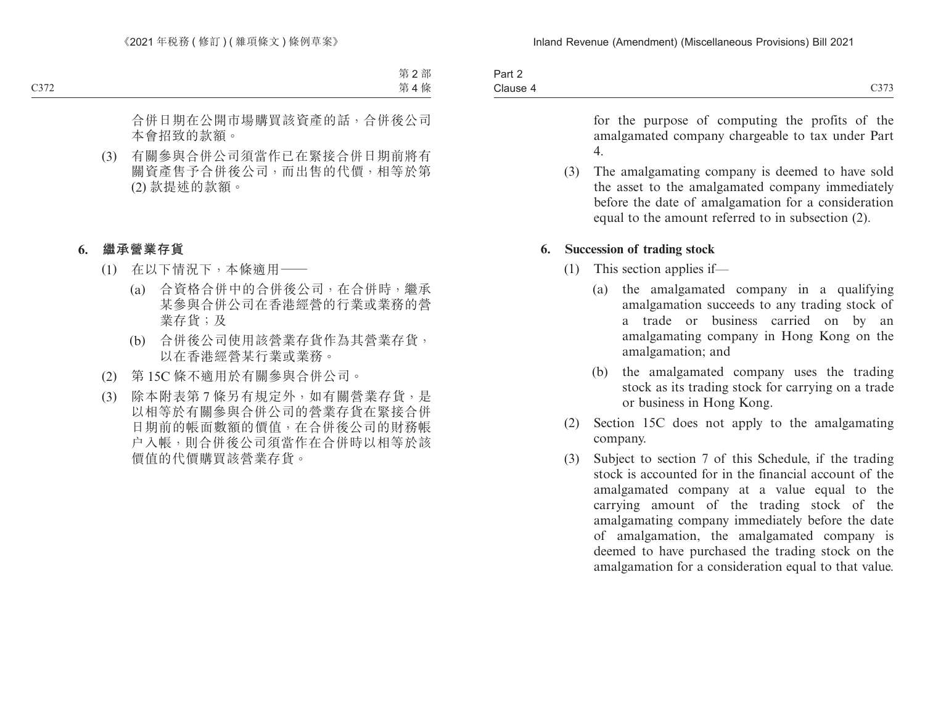| $\overline{\phantom{0}}$<br>Part 2 |                                        |
|------------------------------------|----------------------------------------|
| Clause 4                           | $\sim$ $\sim$ $\sim$<br>$\cup$ , , , , |

for the purpose of computing the profits of the amalgamated company chargeable to tax under Part 4.

(3) The amalgamating company is deemed to have sold the asset to the amalgamated company immediately before the date of amalgamation for a consideration equal to the amount referred to in subsection (2).

### **6. Succession of trading stock**

- (1) This section applies if—
	- (a) the amalgamated company in a qualifying amalgamation succeeds to any trading stock of a trade or business carried on by an amalgamating company in Hong Kong on the amalgamation; and
	- (b) the amalgamated company uses the trading stock as its trading stock for carrying on a trade or business in Hong Kong.
- (2) Section 15C does not apply to the amalgamating company.
- (3) Subject to section 7 of this Schedule, if the trading stock is accounted for in the financial account of the amalgamated company at a value equal to the carrying amount of the trading stock of the amalgamating company immediately before the date of amalgamation, the amalgamated company is deemed to have purchased the trading stock on the amalgamation for a consideration equal to that value.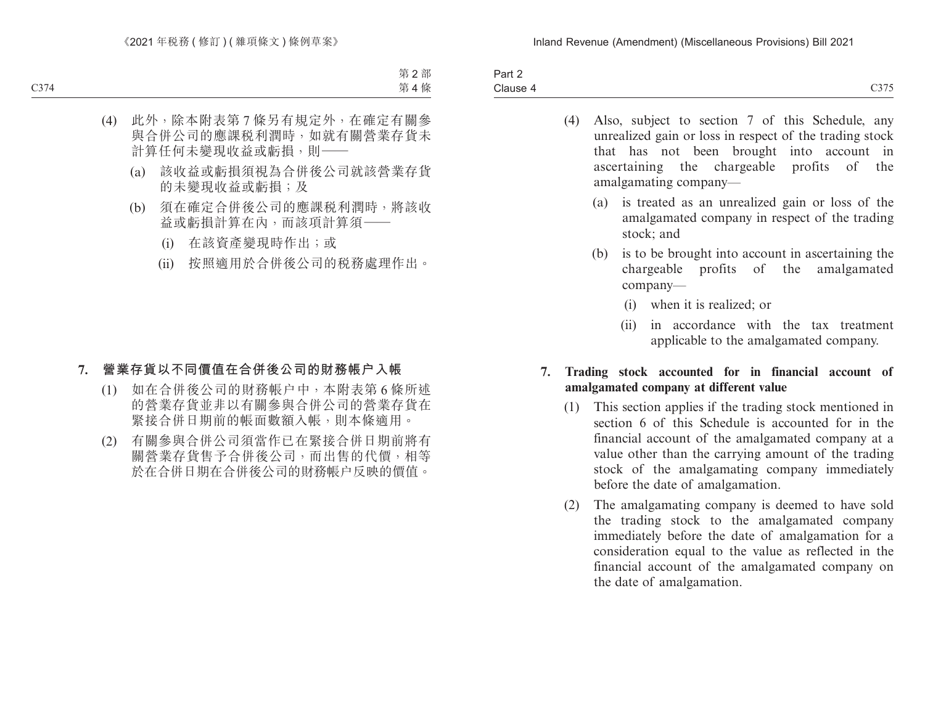| $\sim$<br>$\overline{\phantom{a}}$<br>າ~~+<br>ail 4 |                                                                   |
|-----------------------------------------------------|-------------------------------------------------------------------|
| Clause 4                                            | $\sim$ $\sim$ $\sim$ $\sim$<br>$\overline{\phantom{a}}$<br>$\sim$ |

- (4) Also, subject to section 7 of this Schedule, any unrealized gain or loss in respect of the trading stock that has not been brought into account in ascertaining the chargeable profits of the amalgamating company—
	- (a) is treated as an unrealized gain or loss of the amalgamated company in respect of the trading stock; and
	- (b) is to be brought into account in ascertaining the chargeable profits of the amalgamated company—
		- (i) when it is realized; or
		- (ii) in accordance with the tax treatment applicable to the amalgamated company.

### **7. Trading stock accounted for in financial account of amalgamated company at different value**

- (1) This section applies if the trading stock mentioned in section 6 of this Schedule is accounted for in the financial account of the amalgamated company at a value other than the carrying amount of the trading stock of the amalgamating company immediately before the date of amalgamation.
- (2) The amalgamating company is deemed to have sold the trading stock to the amalgamated company immediately before the date of amalgamation for a consideration equal to the value as reflected in the financial account of the amalgamated company on the date of amalgamation.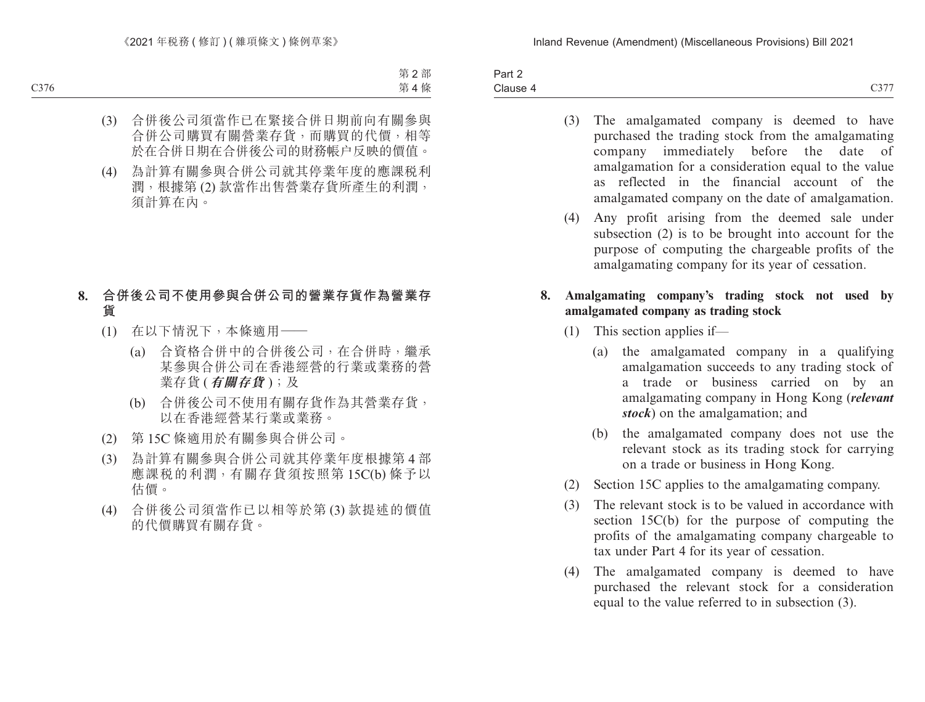Part 2 Clause 4 Clause 4  $C377$ 

- (3) The amalgamated company is deemed to have purchased the trading stock from the amalgamating company immediately before the date of amalgamation for a consideration equal to the value as reflected in the financial account of the amalgamated company on the date of amalgamation.
- (4) Any profit arising from the deemed sale under subsection (2) is to be brought into account for the purpose of computing the chargeable profits of the amalgamating company for its year of cessation.

### **8. Amalgamating company's trading stock not used by amalgamated company as trading stock**

- (1) This section applies if—
	- (a) the amalgamated company in a qualifying amalgamation succeeds to any trading stock of a trade or business carried on by an amalgamating company in Hong Kong (*relevant stock*) on the amalgamation; and
	- (b) the amalgamated company does not use the relevant stock as its trading stock for carrying on a trade or business in Hong Kong.
- (2) Section 15C applies to the amalgamating company.
- (3) The relevant stock is to be valued in accordance with section 15C(b) for the purpose of computing the profits of the amalgamating company chargeable to tax under Part 4 for its year of cessation.
- (4) The amalgamated company is deemed to have purchased the relevant stock for a consideration equal to the value referred to in subsection (3).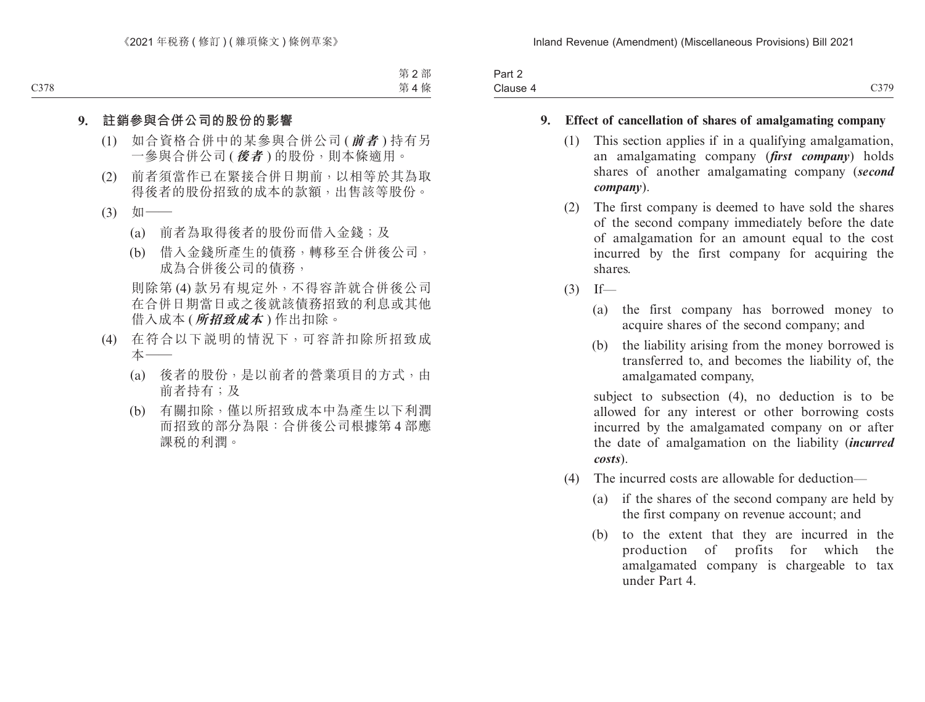| $\sim$<br>Part 2 |      |
|------------------|------|
| Clause 4         | C379 |

### **9. Effect of cancellation of shares of amalgamating company**

- (1) This section applies if in a qualifying amalgamation, an amalgamating company (*first company*) holds shares of another amalgamating company (*second company*).
- (2) The first company is deemed to have sold the shares of the second company immediately before the date of amalgamation for an amount equal to the cost incurred by the first company for acquiring the shares.
- $(3)$  If—
	- (a) the first company has borrowed money to acquire shares of the second company; and
	- (b) the liability arising from the money borrowed is transferred to, and becomes the liability of, the amalgamated company,

subject to subsection (4), no deduction is to be allowed for any interest or other borrowing costs incurred by the amalgamated company on or after the date of amalgamation on the liability (*incurred costs*).

- (4) The incurred costs are allowable for deduction—
	- (a) if the shares of the second company are held by the first company on revenue account; and
	- (b) to the extent that they are incurred in the production of profits for which the amalgamated company is chargeable to tax under Part 4.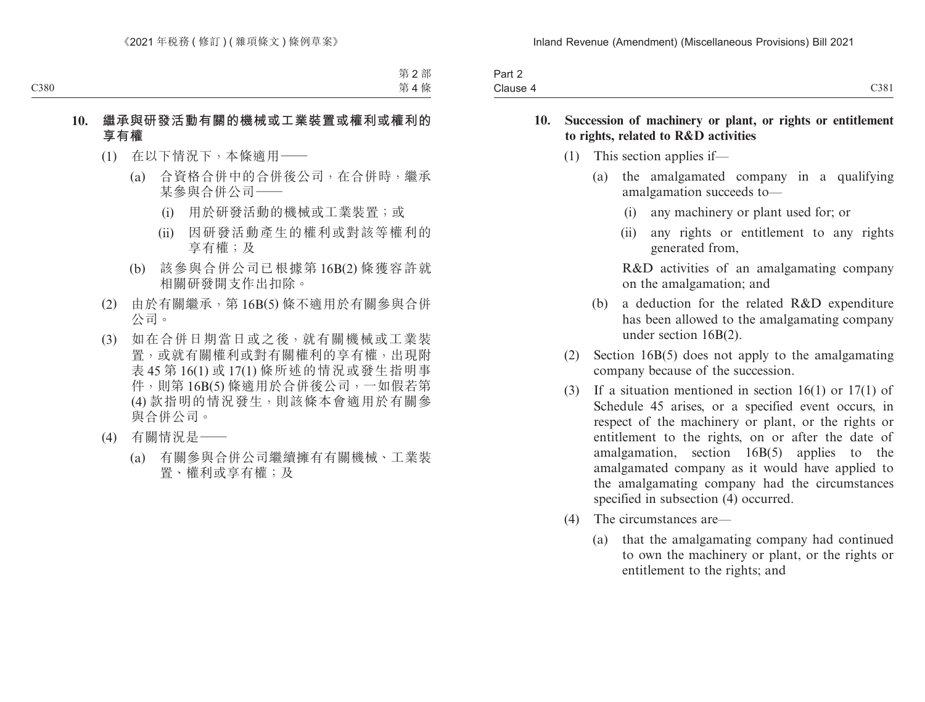| Part 2   |      |
|----------|------|
| Clause 4 | C381 |

### **10. Succession of machinery or plant, or rights or entitlement to rights, related to R&D activities**

- (1) This section applies if—
	- (a) the amalgamated company in a qualifying amalgamation succeeds to—
		- (i) any machinery or plant used for; or
		- (ii) any rights or entitlement to any rights generated from,

R&D activities of an amalgamating company on the amalgamation; and

- (b) a deduction for the related R&D expenditure has been allowed to the amalgamating company under section 16B(2).
- (2) Section 16B(5) does not apply to the amalgamating company because of the succession.
- (3) If a situation mentioned in section 16(1) or 17(1) of Schedule 45 arises, or a specified event occurs, in respect of the machinery or plant, or the rights or entitlement to the rights, on or after the date of amalgamation, section 16B(5) applies to the amalgamated company as it would have applied to the amalgamating company had the circumstances specified in subsection (4) occurred.
- (4) The circumstances are—
	- (a) that the amalgamating company had continued to own the machinery or plant, or the rights or entitlement to the rights; and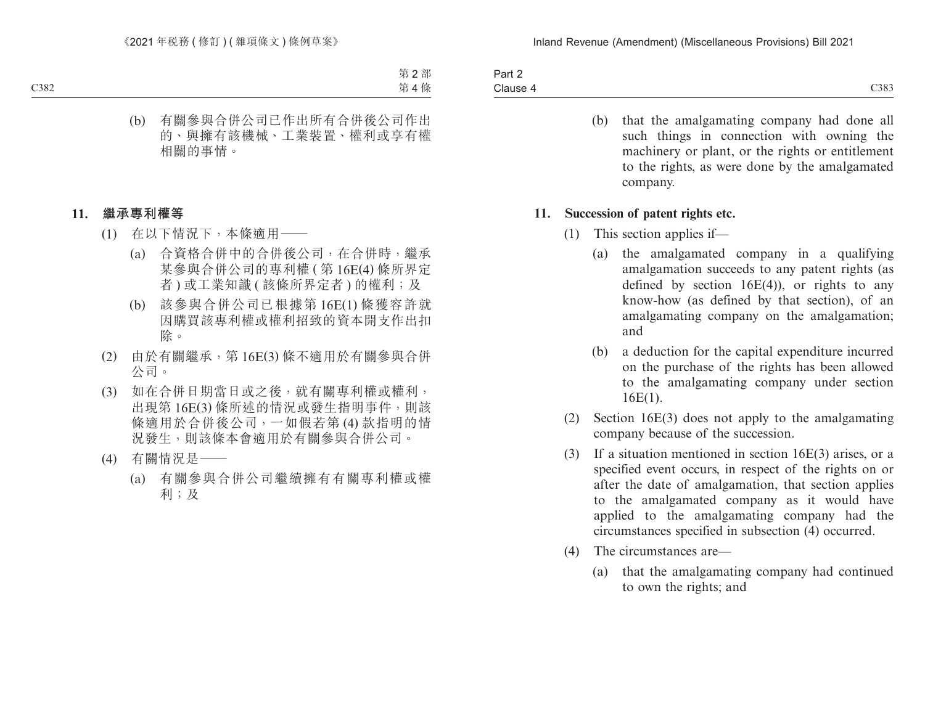| Part 2   |      |
|----------|------|
| Clause 4 | C383 |

(b) that the amalgamating company had done all such things in connection with owning the machinery or plant, or the rights or entitlement to the rights, as were done by the amalgamated company.

### **11. Succession of patent rights etc.**

- (1) This section applies if—
	- (a) the amalgamated company in a qualifying amalgamation succeeds to any patent rights (as defined by section  $16E(4)$ , or rights to any know-how (as defined by that section), of an amalgamating company on the amalgamation; and
	- (b) a deduction for the capital expenditure incurred on the purchase of the rights has been allowed to the amalgamating company under section 16E(1).
- (2) Section 16E(3) does not apply to the amalgamating company because of the succession.
- (3) If a situation mentioned in section 16E(3) arises, or a specified event occurs, in respect of the rights on or after the date of amalgamation, that section applies to the amalgamated company as it would have applied to the amalgamating company had the circumstances specified in subsection (4) occurred.
- (4) The circumstances are—
	- (a) that the amalgamating company had continued to own the rights; and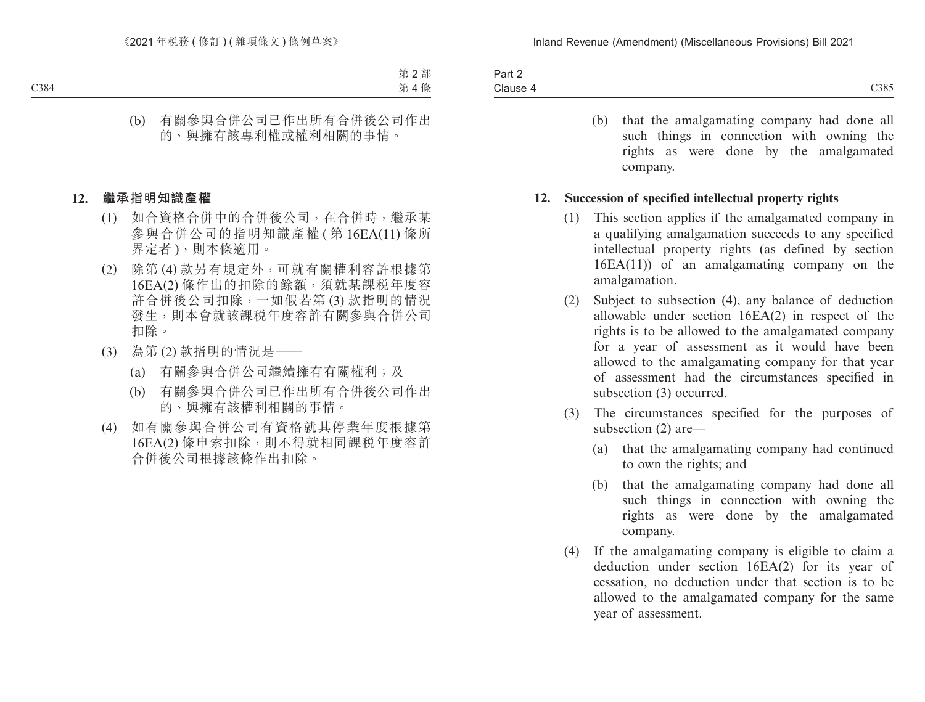| Part 2   |      |
|----------|------|
| Clause 4 | C385 |

(b) that the amalgamating company had done all such things in connection with owning the rights as were done by the amalgamated company.

### **12. Succession of specified intellectual property rights**

- (1) This section applies if the amalgamated company in a qualifying amalgamation succeeds to any specified intellectual property rights (as defined by section 16EA(11)) of an amalgamating company on the amalgamation.
- (2) Subject to subsection (4), any balance of deduction allowable under section 16EA(2) in respect of the rights is to be allowed to the amalgamated company for a year of assessment as it would have been allowed to the amalgamating company for that year of assessment had the circumstances specified in subsection (3) occurred.
- (3) The circumstances specified for the purposes of subsection (2) are—
	- (a) that the amalgamating company had continued to own the rights; and
	- (b) that the amalgamating company had done all such things in connection with owning the rights as were done by the amalgamated company.
- (4) If the amalgamating company is eligible to claim a deduction under section 16EA(2) for its year of cessation, no deduction under that section is to be allowed to the amalgamated company for the same year of assessment.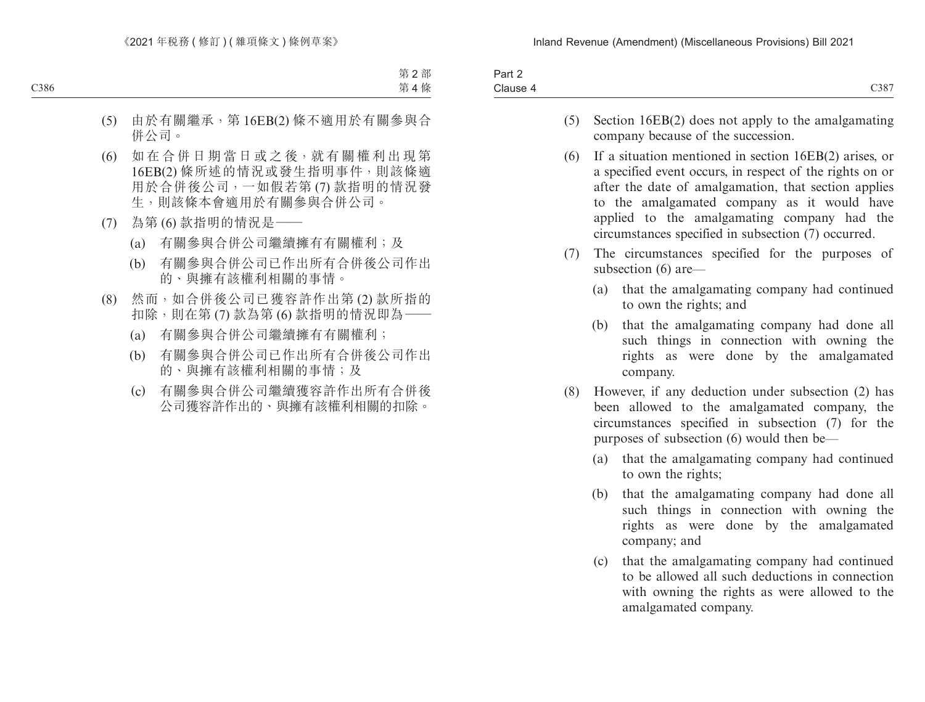| 3 <sub>0</sub><br>ail Z |                     |
|-------------------------|---------------------|
| -<br>Clause             | 0.227<br>$\cup$ 38/ |
|                         |                     |

- (5) Section 16EB(2) does not apply to the amalgamating company because of the succession.
- (6) If a situation mentioned in section 16EB(2) arises, or a specified event occurs, in respect of the rights on or after the date of amalgamation, that section applies to the amalgamated company as it would have applied to the amalgamating company had the circumstances specified in subsection (7) occurred.
- (7) The circumstances specified for the purposes of subsection (6) are—
	- (a) that the amalgamating company had continued to own the rights; and
	- (b) that the amalgamating company had done all such things in connection with owning the rights as were done by the amalgamated company.
- (8) However, if any deduction under subsection (2) has been allowed to the amalgamated company, the circumstances specified in subsection (7) for the purposes of subsection (6) would then be—
	- (a) that the amalgamating company had continued to own the rights;
	- (b) that the amalgamating company had done all such things in connection with owning the rights as were done by the amalgamated company; and
	- (c) that the amalgamating company had continued to be allowed all such deductions in connection with owning the rights as were allowed to the amalgamated company.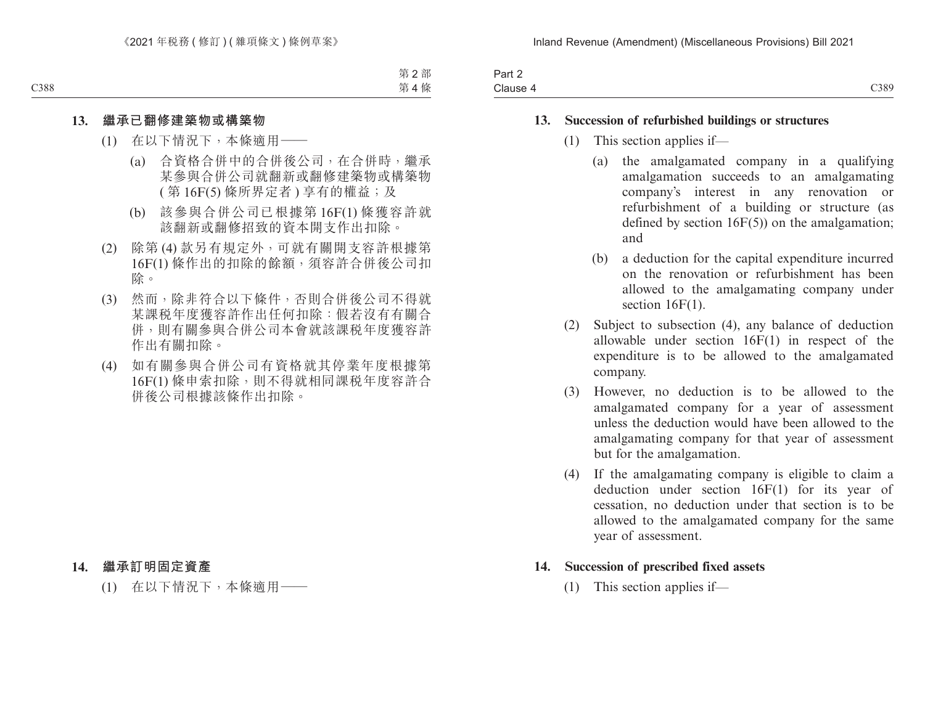| سہ د<br>Fail 4 |      |
|----------------|------|
| Clause 4<br>.  | C389 |

#### **13. Succession of refurbished buildings or structures**

- (1) This section applies if—
	- (a) the amalgamated company in a qualifying amalgamation succeeds to an amalgamating company's interest in any renovation or refurbishment of a building or structure (as defined by section 16F(5)) on the amalgamation; and
	- (b) a deduction for the capital expenditure incurred on the renovation or refurbishment has been allowed to the amalgamating company under section  $16F(1)$ .
- (2) Subject to subsection (4), any balance of deduction allowable under section 16F(1) in respect of the expenditure is to be allowed to the amalgamated company.
- (3) However, no deduction is to be allowed to the amalgamated company for a year of assessment unless the deduction would have been allowed to the amalgamating company for that year of assessment but for the amalgamation.
- (4) If the amalgamating company is eligible to claim a deduction under section 16F(1) for its year of cessation, no deduction under that section is to be allowed to the amalgamated company for the same year of assessment.

#### **14. Succession of prescribed fixed assets**

(1) This section applies if—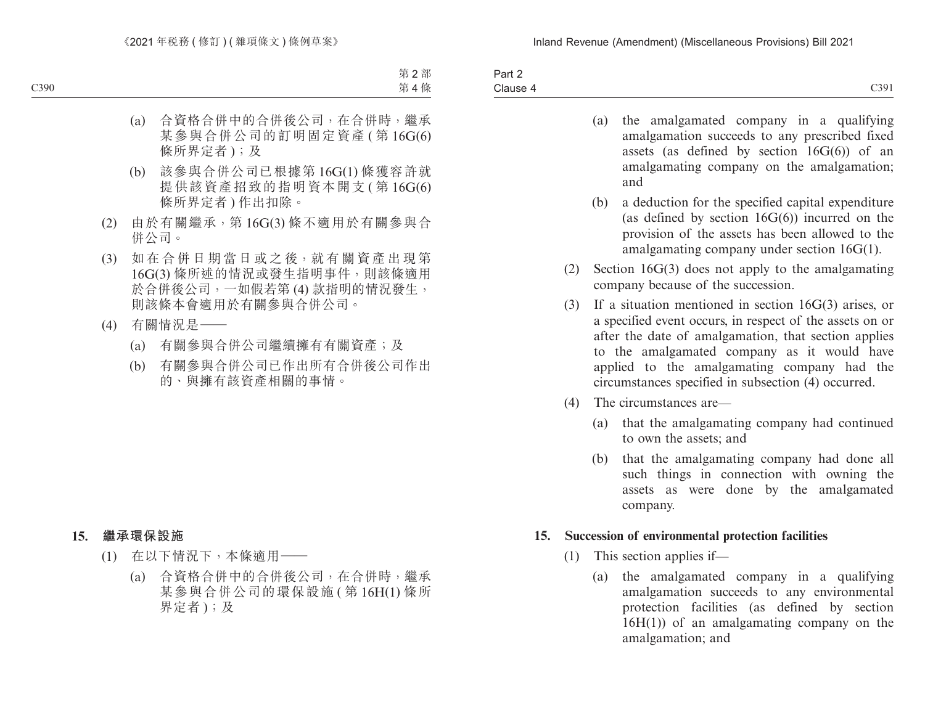| -<br>Part 2 |               |
|-------------|---------------|
| Clause 4    | C30<br>$\cup$ |

- (a) the amalgamated company in a qualifying amalgamation succeeds to any prescribed fixed assets (as defined by section  $16G(6)$ ) of an amalgamating company on the amalgamation; and
- (b) a deduction for the specified capital expenditure (as defined by section  $16G(6)$ ) incurred on the provision of the assets has been allowed to the amalgamating company under section 16G(1).
- (2) Section 16G(3) does not apply to the amalgamating company because of the succession.
- (3) If a situation mentioned in section 16G(3) arises, or a specified event occurs, in respect of the assets on or after the date of amalgamation, that section applies to the amalgamated company as it would have applied to the amalgamating company had the circumstances specified in subsection (4) occurred.
- (4) The circumstances are—
	- (a) that the amalgamating company had continued to own the assets; and
	- (b) that the amalgamating company had done all such things in connection with owning the assets as were done by the amalgamated company.

#### **15. Succession of environmental protection facilities**

- (1) This section applies if—
	- (a) the amalgamated company in a qualifying amalgamation succeeds to any environmental protection facilities (as defined by section 16H(1)) of an amalgamating company on the amalgamation; and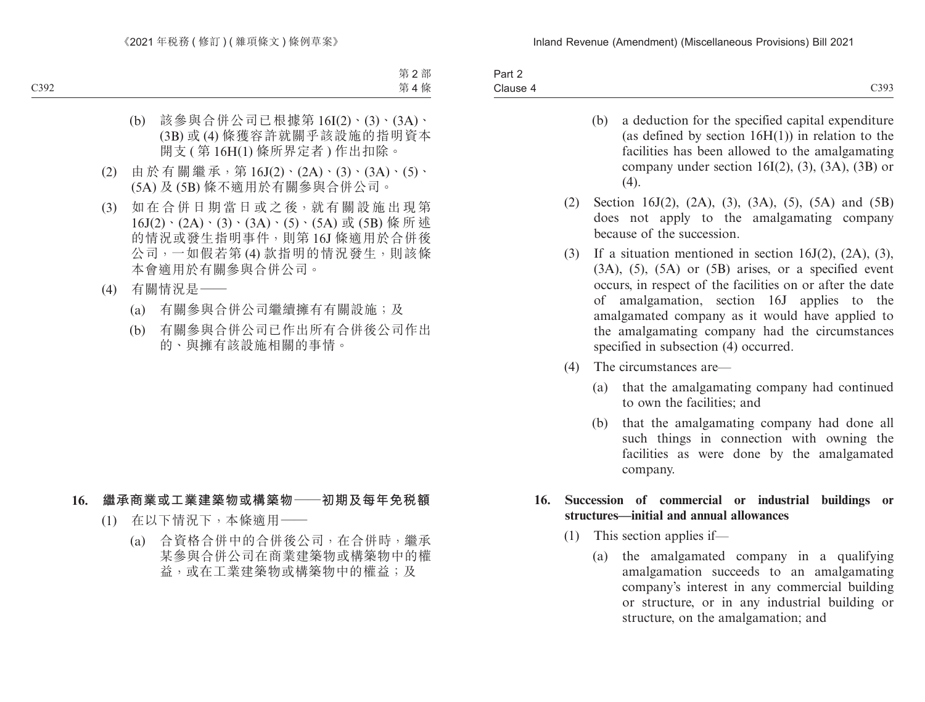| $\sim$ $\sim$<br>Part 2 |      |
|-------------------------|------|
| Clause 4                | C393 |

- (b) a deduction for the specified capital expenditure (as defined by section  $16H(1)$ ) in relation to the facilities has been allowed to the amalgamating company under section  $16I(2)$ ,  $(3)$ ,  $(3A)$ ,  $(3B)$  or  $(4)$ .
- (2) Section 16J(2), (2A), (3), (3A), (5), (5A) and (5B) does not apply to the amalgamating company because of the succession.
- (3) If a situation mentioned in section 16J(2), (2A), (3),  $(3A)$ ,  $(5)$ ,  $(5A)$  or  $(5B)$  arises, or a specified event occurs, in respect of the facilities on or after the date of amalgamation, section 16J applies to the amalgamated company as it would have applied to the amalgamating company had the circumstances specified in subsection (4) occurred.
- (4) The circumstances are—
	- (a) that the amalgamating company had continued to own the facilities; and
	- (b) that the amalgamating company had done all such things in connection with owning the facilities as were done by the amalgamated company.

### **16. Succession of commercial or industrial buildings or structures—initial and annual allowances**

- (1) This section applies if—
	- (a) the amalgamated company in a qualifying amalgamation succeeds to an amalgamating company's interest in any commercial building or structure, or in any industrial building or structure, on the amalgamation; and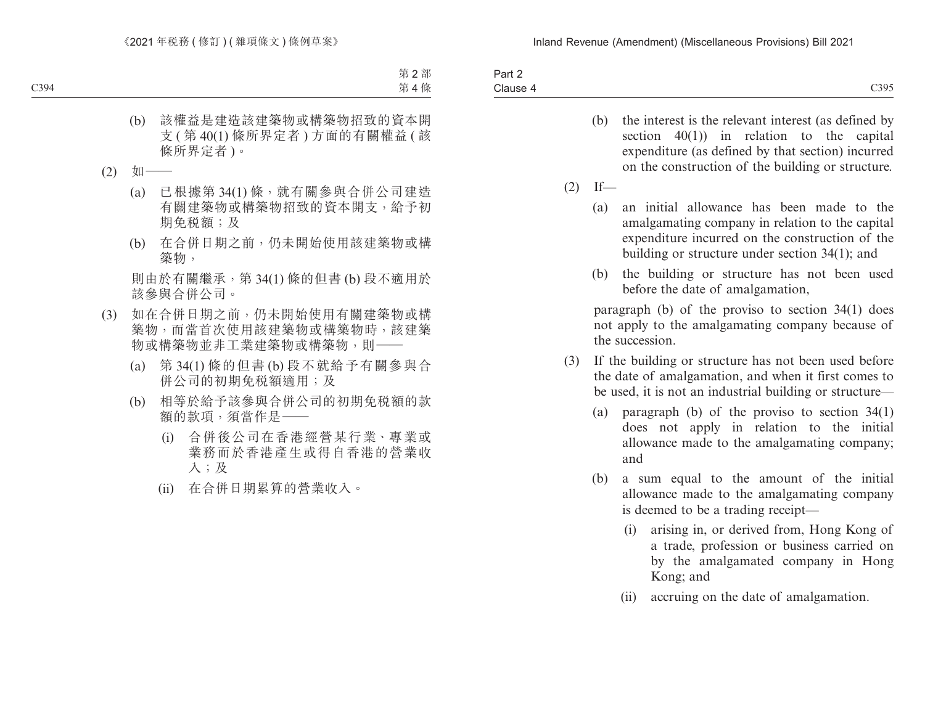| Part 2   |      |
|----------|------|
|          | C395 |
| Clause 4 | しょノン |

- (b) the interest is the relevant interest (as defined by section 40(1)) in relation to the capital expenditure (as defined by that section) incurred on the construction of the building or structure.
- $(2)$  If—
	- (a) an initial allowance has been made to the amalgamating company in relation to the capital expenditure incurred on the construction of the building or structure under section 34(1); and
	- (b) the building or structure has not been used before the date of amalgamation,

paragraph (b) of the proviso to section 34(1) does not apply to the amalgamating company because of the succession.

- (3) If the building or structure has not been used before the date of amalgamation, and when it first comes to be used, it is not an industrial building or structure—
	- (a) paragraph (b) of the proviso to section 34(1) does not apply in relation to the initial allowance made to the amalgamating company; and
	- (b) a sum equal to the amount of the initial allowance made to the amalgamating company is deemed to be a trading receipt—
		- (i) arising in, or derived from, Hong Kong of a trade, profession or business carried on by the amalgamated company in Hong Kong; and
		- (ii) accruing on the date of amalgamation.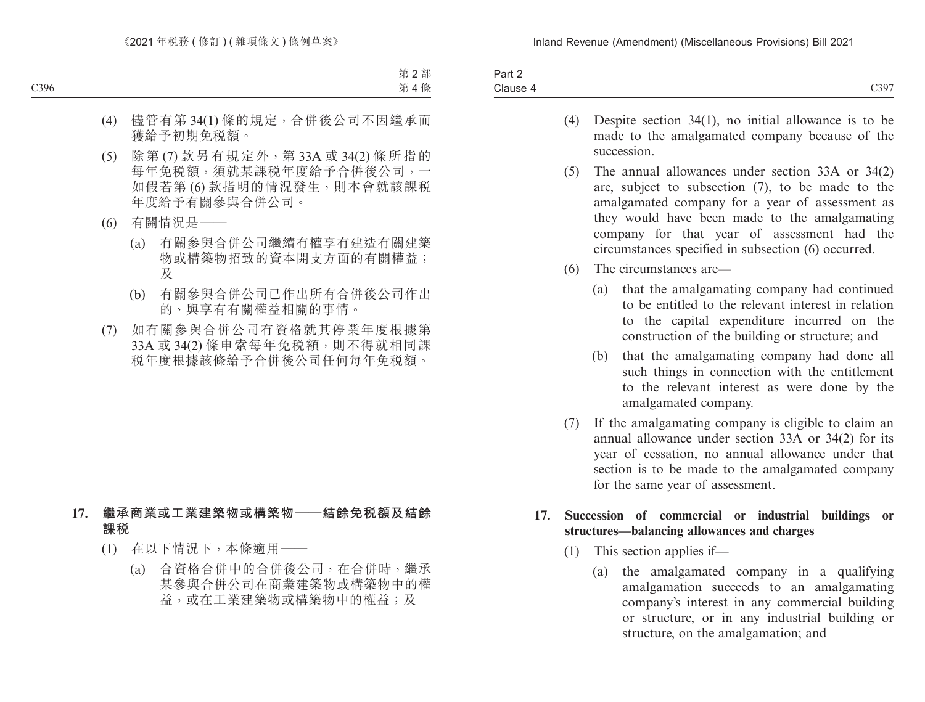| Part 2           |           |
|------------------|-----------|
| $\sim$<br>Clause | C397<br>. |

- (4) Despite section 34(1), no initial allowance is to be made to the amalgamated company because of the succession.
- (5) The annual allowances under section 33A or 34(2) are, subject to subsection (7), to be made to the amalgamated company for a year of assessment as they would have been made to the amalgamating company for that year of assessment had the circumstances specified in subsection (6) occurred.
- (6) The circumstances are—
	- (a) that the amalgamating company had continued to be entitled to the relevant interest in relation to the capital expenditure incurred on the construction of the building or structure; and
	- (b) that the amalgamating company had done all such things in connection with the entitlement to the relevant interest as were done by the amalgamated company.
- (7) If the amalgamating company is eligible to claim an annual allowance under section 33A or 34(2) for its year of cessation, no annual allowance under that section is to be made to the amalgamated company for the same year of assessment.

### **17. Succession of commercial or industrial buildings or structures—balancing allowances and charges**

- (1) This section applies if—
	- (a) the amalgamated company in a qualifying amalgamation succeeds to an amalgamating company's interest in any commercial building or structure, or in any industrial building or structure, on the amalgamation; and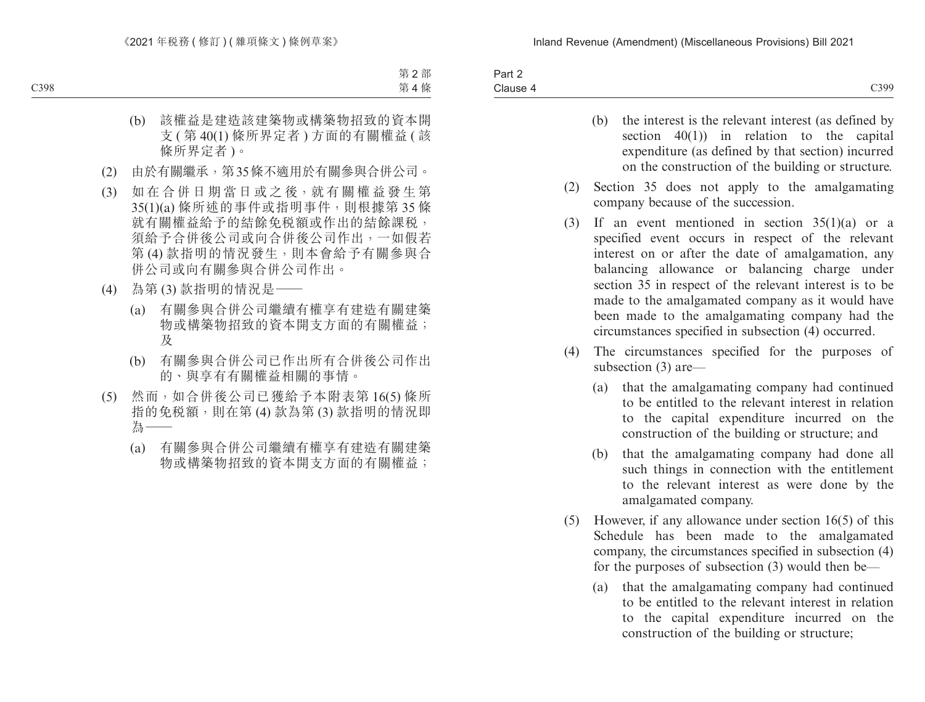| Part 2   |      |
|----------|------|
| Clause 4 | C399 |

- (b) the interest is the relevant interest (as defined by section 40(1)) in relation to the capital expenditure (as defined by that section) incurred on the construction of the building or structure.
- (2) Section 35 does not apply to the amalgamating company because of the succession.
- (3) If an event mentioned in section 35(1)(a) or a specified event occurs in respect of the relevant interest on or after the date of amalgamation, any balancing allowance or balancing charge under section 35 in respect of the relevant interest is to be made to the amalgamated company as it would have been made to the amalgamating company had the circumstances specified in subsection (4) occurred.
- (4) The circumstances specified for the purposes of subsection (3) are—
	- (a) that the amalgamating company had continued to be entitled to the relevant interest in relation to the capital expenditure incurred on the construction of the building or structure; and
	- (b) that the amalgamating company had done all such things in connection with the entitlement to the relevant interest as were done by the amalgamated company.
- (5) However, if any allowance under section 16(5) of this Schedule has been made to the amalgamated company, the circumstances specified in subsection (4) for the purposes of subsection (3) would then be—
	- (a) that the amalgamating company had continued to be entitled to the relevant interest in relation to the capital expenditure incurred on the construction of the building or structure;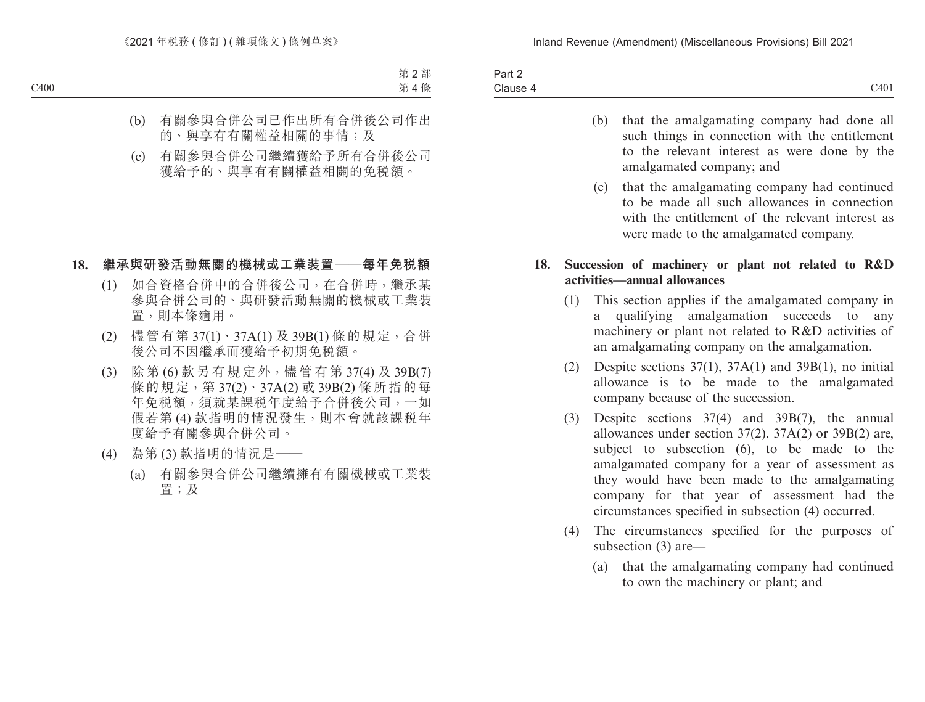| $\sim$<br><b>Dort</b><br><b>Fail</b> |      |
|--------------------------------------|------|
| - '<br>Clause 4                      | C401 |

- (b) that the amalgamating company had done all such things in connection with the entitlement to the relevant interest as were done by the amalgamated company; and
- (c) that the amalgamating company had continued to be made all such allowances in connection with the entitlement of the relevant interest as were made to the amalgamated company.

### **18. Succession of machinery or plant not related to R&D activities—annual allowances**

- (1) This section applies if the amalgamated company in a qualifying amalgamation succeeds to any machinery or plant not related to R&D activities of an amalgamating company on the amalgamation.
- (2) Despite sections  $37(1)$ ,  $37A(1)$  and  $39B(1)$ , no initial allowance is to be made to the amalgamated company because of the succession.
- (3) Despite sections 37(4) and 39B(7), the annual allowances under section 37(2), 37A(2) or 39B(2) are, subject to subsection (6), to be made to the amalgamated company for a year of assessment as they would have been made to the amalgamating company for that year of assessment had the circumstances specified in subsection (4) occurred.
- (4) The circumstances specified for the purposes of subsection (3) are—
	- (a) that the amalgamating company had continued to own the machinery or plant; and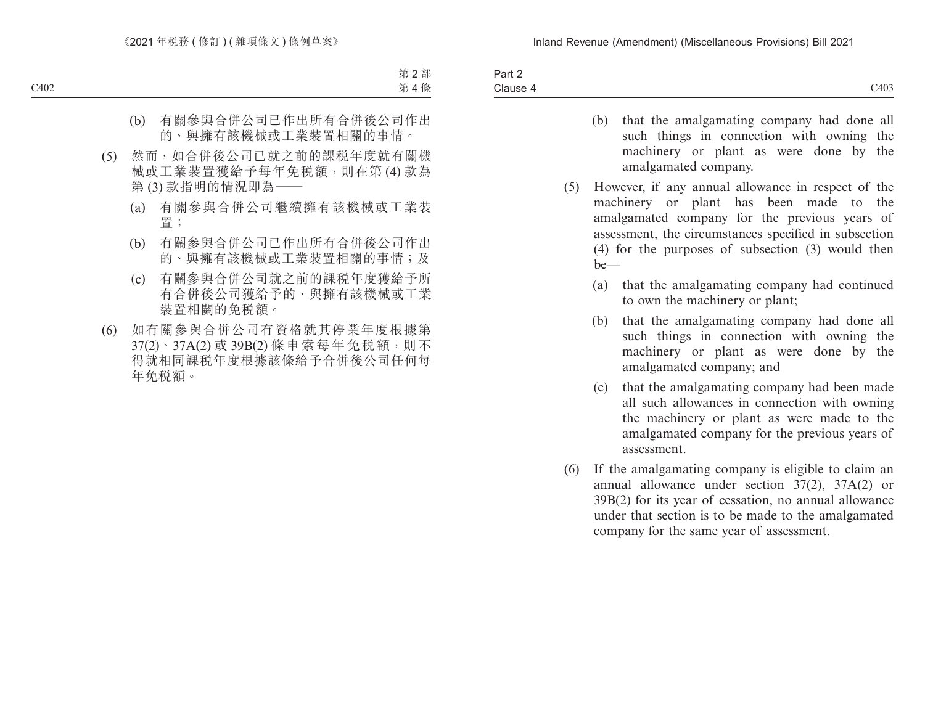| $\sim$<br>コヘけ<br><b>Fail</b> |      |
|------------------------------|------|
| $\sim$<br>Clause<br>$-$      | C403 |

- (b) that the amalgamating company had done all such things in connection with owning the machinery or plant as were done by the amalgamated company.
- (5) However, if any annual allowance in respect of the machinery or plant has been made to the amalgamated company for the previous years of assessment, the circumstances specified in subsection (4) for the purposes of subsection (3) would then be—
	- (a) that the amalgamating company had continued to own the machinery or plant;
	- (b) that the amalgamating company had done all such things in connection with owning the machinery or plant as were done by the amalgamated company; and
	- (c) that the amalgamating company had been made all such allowances in connection with owning the machinery or plant as were made to the amalgamated company for the previous years of assessment.
- (6) If the amalgamating company is eligible to claim an annual allowance under section 37(2), 37A(2) or 39B(2) for its year of cessation, no annual allowance under that section is to be made to the amalgamated company for the same year of assessment.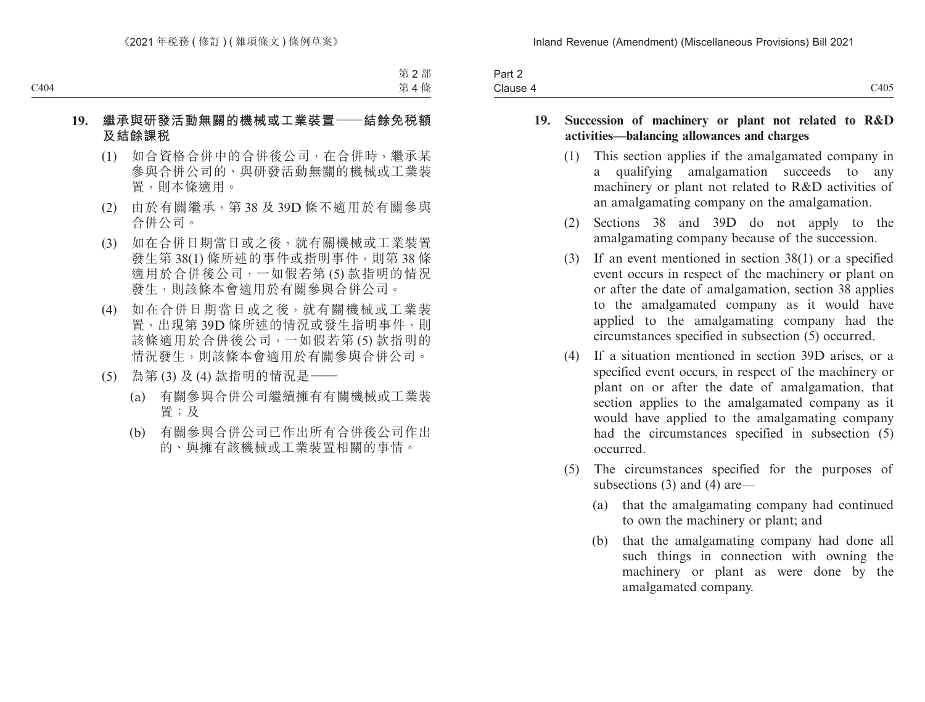| Part 2   |      |
|----------|------|
| Clause 4 | C405 |

### **19. Succession of machinery or plant not related to R&D activities—balancing allowances and charges**

- (1) This section applies if the amalgamated company in a qualifying amalgamation succeeds to any machinery or plant not related to R&D activities of an amalgamating company on the amalgamation.
- (2) Sections 38 and 39D do not apply to the amalgamating company because of the succession.
- (3) If an event mentioned in section 38(1) or a specified event occurs in respect of the machinery or plant on or after the date of amalgamation, section 38 applies to the amalgamated company as it would have applied to the amalgamating company had the circumstances specified in subsection (5) occurred.
- (4) If a situation mentioned in section 39D arises, or a specified event occurs, in respect of the machinery or plant on or after the date of amalgamation, that section applies to the amalgamated company as it would have applied to the amalgamating company had the circumstances specified in subsection (5) occurred.
- (5) The circumstances specified for the purposes of subsections (3) and (4) are—
	- (a) that the amalgamating company had continued to own the machinery or plant; and
	- (b) that the amalgamating company had done all such things in connection with owning the machinery or plant as were done by the amalgamated company.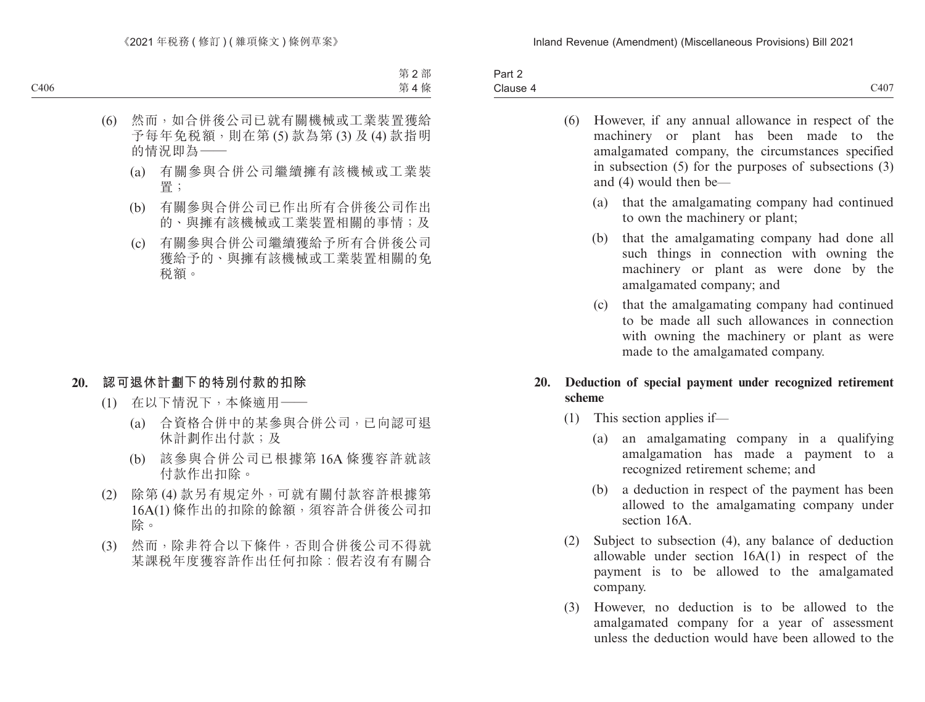| Part 2                               |      |
|--------------------------------------|------|
| $\overline{\phantom{0}}$<br>Clause 4 | C407 |

- (6) However, if any annual allowance in respect of the machinery or plant has been made to the amalgamated company, the circumstances specified in subsection (5) for the purposes of subsections (3) and (4) would then be—
	- (a) that the amalgamating company had continued to own the machinery or plant;
	- (b) that the amalgamating company had done all such things in connection with owning the machinery or plant as were done by the amalgamated company; and
	- (c) that the amalgamating company had continued to be made all such allowances in connection with owning the machinery or plant as were made to the amalgamated company.

### **20. Deduction of special payment under recognized retirement scheme**

- (1) This section applies if—
	- (a) an amalgamating company in a qualifying amalgamation has made a payment to a recognized retirement scheme; and
	- (b) a deduction in respect of the payment has been allowed to the amalgamating company under section 16A
- (2) Subject to subsection (4), any balance of deduction allowable under section 16A(1) in respect of the payment is to be allowed to the amalgamated company.
- (3) However, no deduction is to be allowed to the amalgamated company for a year of assessment unless the deduction would have been allowed to the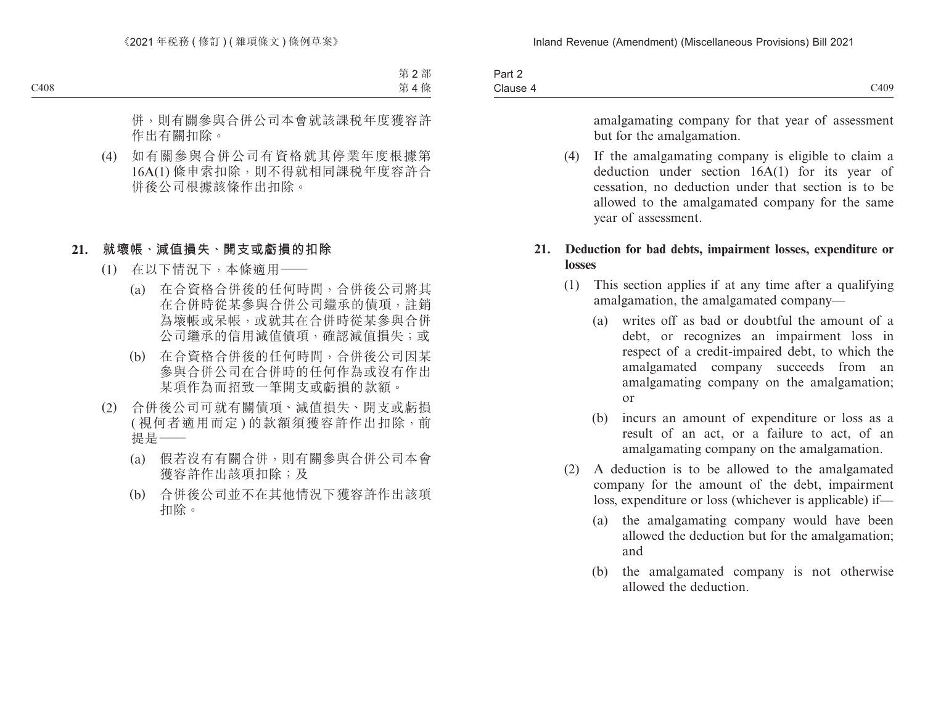| Part 2   |      |
|----------|------|
| Clause 4 | C409 |

amalgamating company for that year of assessment but for the amalgamation.

(4) If the amalgamating company is eligible to claim a deduction under section 16A(1) for its year of cessation, no deduction under that section is to be allowed to the amalgamated company for the same year of assessment.

### **21. Deduction for bad debts, impairment losses, expenditure or losses**

- (1) This section applies if at any time after a qualifying amalgamation, the amalgamated company—
	- (a) writes off as bad or doubtful the amount of a debt, or recognizes an impairment loss in respect of a credit-impaired debt, to which the amalgamated company succeeds from an amalgamating company on the amalgamation; or
	- (b) incurs an amount of expenditure or loss as a result of an act, or a failure to act, of an amalgamating company on the amalgamation.
- (2) A deduction is to be allowed to the amalgamated company for the amount of the debt, impairment loss, expenditure or loss (whichever is applicable) if—
	- (a) the amalgamating company would have been allowed the deduction but for the amalgamation; and
	- (b) the amalgamated company is not otherwise allowed the deduction.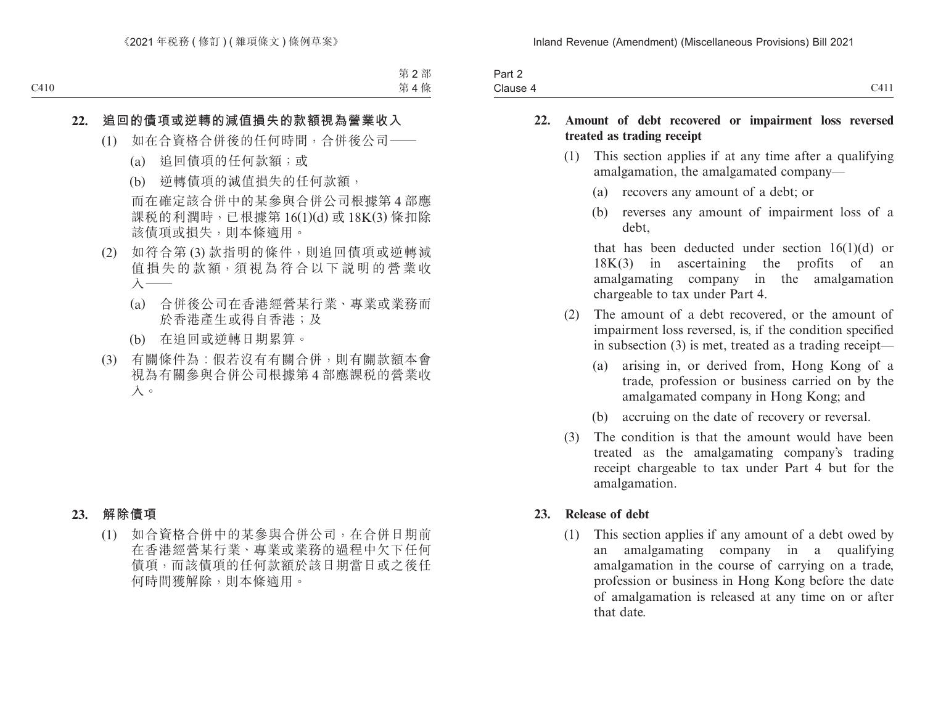| Part 2             |                                 |
|--------------------|---------------------------------|
| $\sim$<br>Clause 4 | $\neg$ 4.1.1<br>$\prime$ .<br>- |

### **22. Amount of debt recovered or impairment loss reversed treated as trading receipt**

- (1) This section applies if at any time after a qualifying amalgamation, the amalgamated company—
	- (a) recovers any amount of a debt; or
	- (b) reverses any amount of impairment loss of a debt,

that has been deducted under section  $16(1)(d)$  or 18K(3) in ascertaining the profits of an amalgamating company in the amalgamation chargeable to tax under Part 4.

- (2) The amount of a debt recovered, or the amount of impairment loss reversed, is, if the condition specified in subsection (3) is met, treated as a trading receipt—
	- (a) arising in, or derived from, Hong Kong of a trade, profession or business carried on by the amalgamated company in Hong Kong; and
	- (b) accruing on the date of recovery or reversal.
- (3) The condition is that the amount would have been treated as the amalgamating company's trading receipt chargeable to tax under Part 4 but for the amalgamation.

#### **23. Release of debt**

(1) This section applies if any amount of a debt owed by an amalgamating company in a qualifying amalgamation in the course of carrying on a trade, profession or business in Hong Kong before the date of amalgamation is released at any time on or after that date.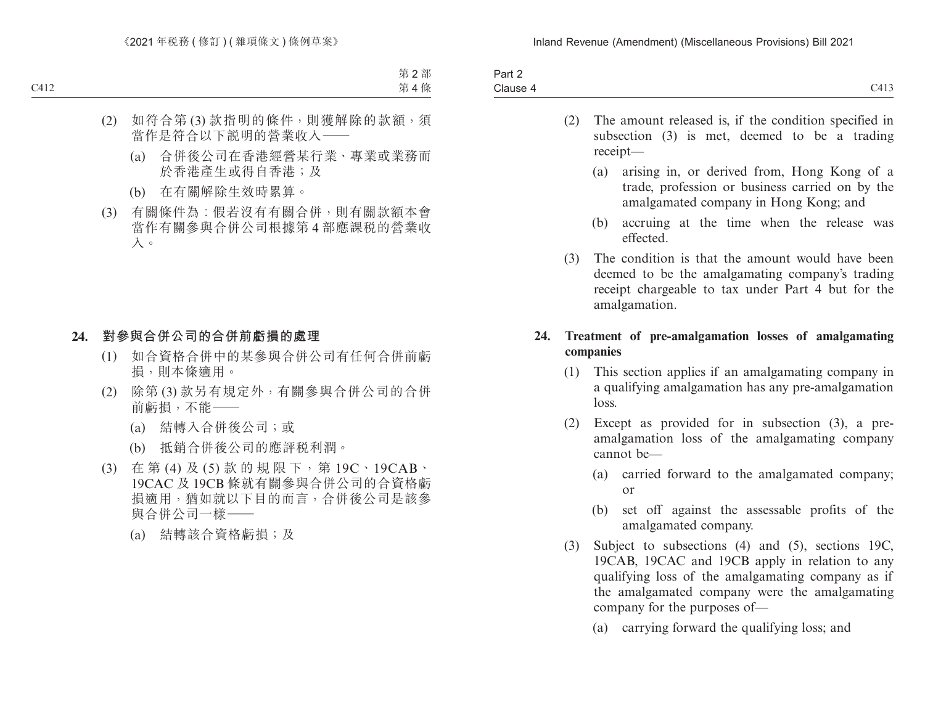| -<br>3 <sub>cm</sub><br>ail Z<br>$\cdots$ |                                  |
|-------------------------------------------|----------------------------------|
| Clause 4                                  | $\cdot$ $\cdot$ $\cdot$<br>- 115 |

- (2) The amount released is, if the condition specified in subsection (3) is met, deemed to be a trading receipt—
	- (a) arising in, or derived from, Hong Kong of a trade, profession or business carried on by the amalgamated company in Hong Kong; and
	- (b) accruing at the time when the release was effected.
- (3) The condition is that the amount would have been deemed to be the amalgamating company's trading receipt chargeable to tax under Part 4 but for the amalgamation.

### **24. Treatment of pre-amalgamation losses of amalgamating companies**

- (1) This section applies if an amalgamating company in a qualifying amalgamation has any pre-amalgamation loss.
- (2) Except as provided for in subsection (3), a preamalgamation loss of the amalgamating company cannot be—
	- (a) carried forward to the amalgamated company; or
	- (b) set off against the assessable profits of the amalgamated company.
- (3) Subject to subsections (4) and (5), sections 19C, 19CAB, 19CAC and 19CB apply in relation to any qualifying loss of the amalgamating company as if the amalgamated company were the amalgamating company for the purposes of—
	- (a) carrying forward the qualifying loss; and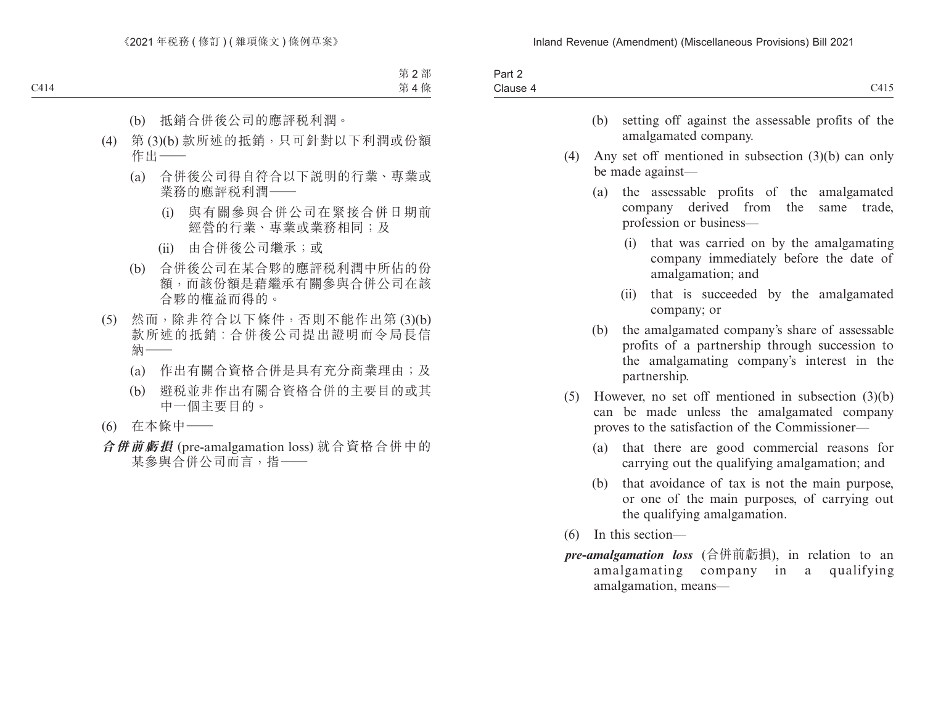| C415                                                                                                                                                          |     |     |
|---------------------------------------------------------------------------------------------------------------------------------------------------------------|-----|-----|
| setting off against the assessable profits of the<br>amalgamated company.                                                                                     | (b) |     |
| Any set off mentioned in subsection $(3)(b)$ can only<br>be made against-                                                                                     |     | (4) |
| the assessable profits of the amalgamated<br>company derived from the<br>same trade,<br>profession or business-                                               | (a) |     |
| that was carried on by the amalgamating<br>(i)<br>company immediately before the date of<br>amalgamation; and                                                 |     |     |
| that is succeeded by the amalgamated<br>(ii)<br>company; or                                                                                                   |     |     |
| the amalgamated company's share of assessable<br>profits of a partnership through succession to<br>the amalgamating company's interest in the<br>partnership. | (b) |     |
| However, no set off mentioned in subsection $(3)(b)$<br>can be made unless the amalgamated company<br>proves to the satisfaction of the Commissioner—         |     | (5) |
| that there are good commercial reasons for<br>carrying out the qualifying amalgamation; and                                                                   | (a) |     |
| that avoidance of tax is not the main purpose,<br>or one of the main purposes, of carrying out<br>the qualifying amalgamation.                                | (b) |     |
| In this section-                                                                                                                                              |     | (6) |
| <i>pre-amalgamation loss</i> (合併前虧損), in relation to an<br>amalgamating company in a<br>qualifying<br>amalgamation, means-                                    |     |     |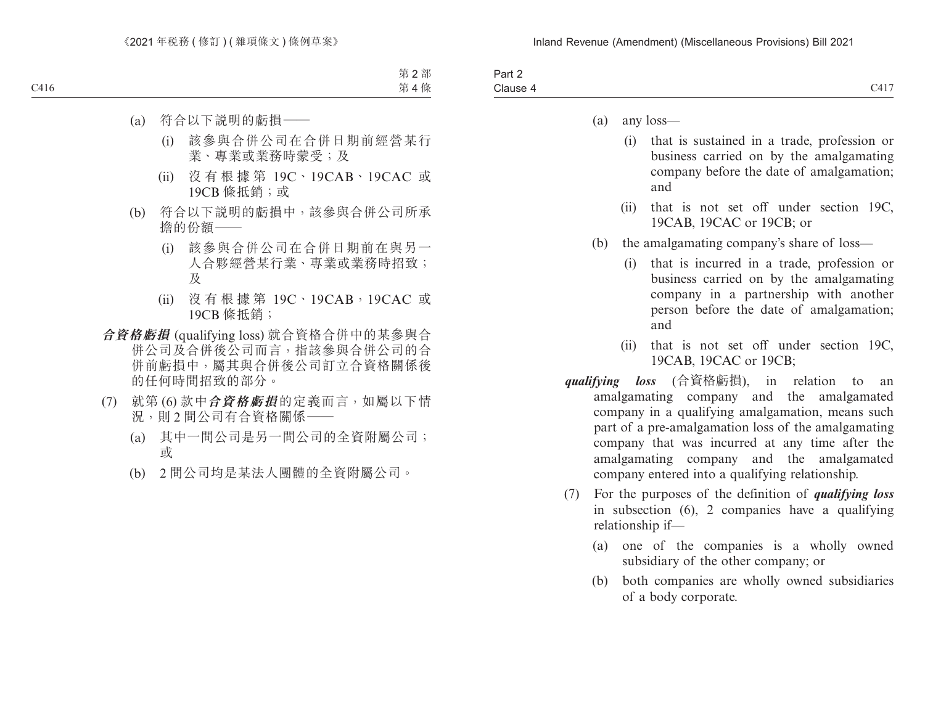| -<br>Clause 4<br><b>←</b> | Part ∠<br>$\sim$ |                                 |
|---------------------------|------------------|---------------------------------|
|                           |                  | 344 <del>5</del><br><u>- 11</u> |

- (a) any loss—
	- (i) that is sustained in a trade, profession or business carried on by the amalgamating company before the date of amalgamation; and
	- (ii) that is not set off under section 19C, 19CAB, 19CAC or 19CB; or
- (b) the amalgamating company's share of loss—
	- (i) that is incurred in a trade, profession or business carried on by the amalgamating company in a partnership with another person before the date of amalgamation; and
	- (ii) that is not set off under section 19C, 19CAB, 19CAC or 19CB;
- *qualifying loss* (合資格虧損), in relation to an amalgamating company and the amalgamated company in a qualifying amalgamation, means such part of a pre-amalgamation loss of the amalgamating company that was incurred at any time after the amalgamating company and the amalgamated company entered into a qualifying relationship.
- (7) For the purposes of the definition of *qualifying loss*  in subsection (6), 2 companies have a qualifying relationship if—
	- (a) one of the companies is a wholly owned subsidiary of the other company; or
	- (b) both companies are wholly owned subsidiaries of a body corporate.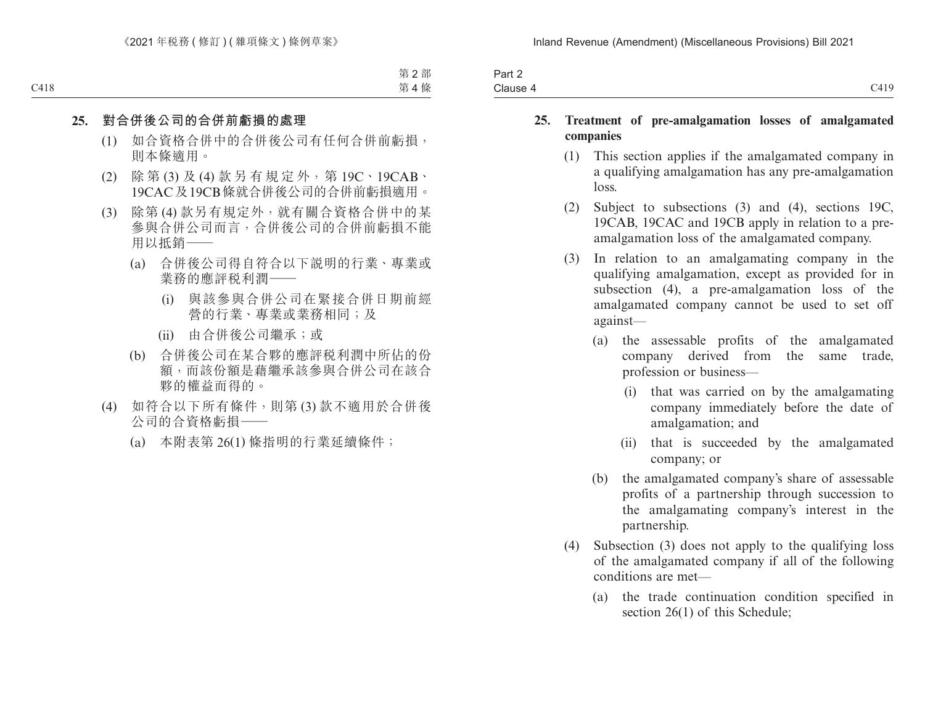| $\cdot$<br>Part 2 |                             |
|-------------------|-----------------------------|
| Clause 4          | $^{\circ}419$<br>$\sim$ 11/ |

### **25. Treatment of pre-amalgamation losses of amalgamated companies**

- (1) This section applies if the amalgamated company in a qualifying amalgamation has any pre-amalgamation loss.
- (2) Subject to subsections (3) and (4), sections 19C, 19CAB, 19CAC and 19CB apply in relation to a preamalgamation loss of the amalgamated company.
- (3) In relation to an amalgamating company in the qualifying amalgamation, except as provided for in subsection (4), a pre-amalgamation loss of the amalgamated company cannot be used to set off against—
	- (a) the assessable profits of the amalgamated company derived from the same trade, profession or business—
		- (i) that was carried on by the amalgamating company immediately before the date of amalgamation; and
		- (ii) that is succeeded by the amalgamated company; or
	- (b) the amalgamated company's share of assessable profits of a partnership through succession to the amalgamating company's interest in the partnership.
- (4) Subsection (3) does not apply to the qualifying loss of the amalgamated company if all of the following conditions are met—
	- (a) the trade continuation condition specified in section 26(1) of this Schedule;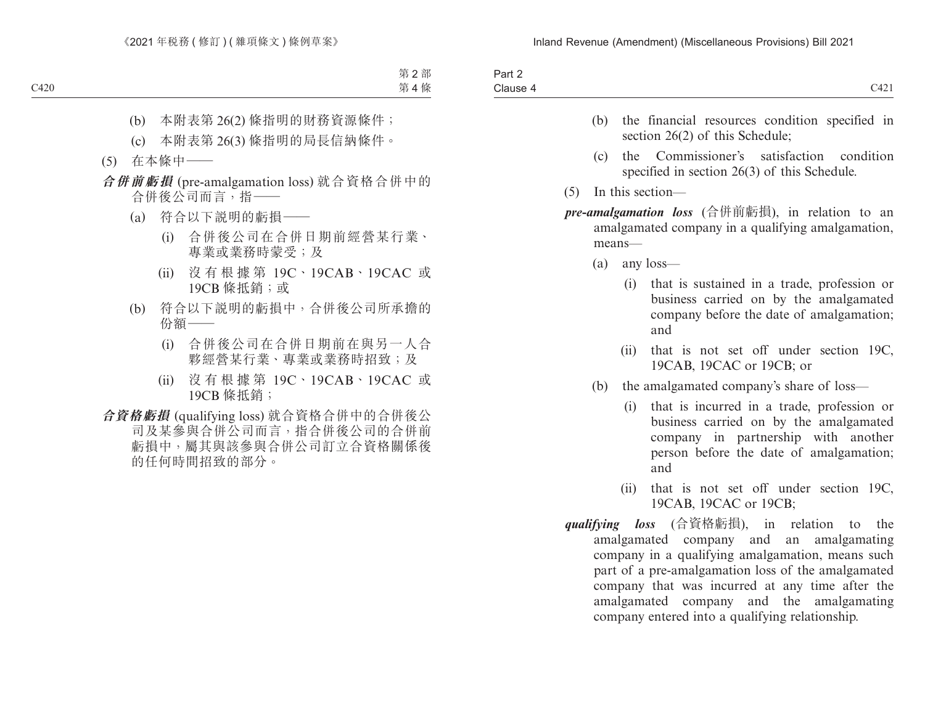| $. \,$<br>Part 2 |                                                  |
|------------------|--------------------------------------------------|
| Clause 4         | C101<br>$\overline{\phantom{a}}$<br>$\sqrt{121}$ |

- (b) the financial resources condition specified in section 26(2) of this Schedule:
- (c) the Commissioner's satisfaction condition specified in section 26(3) of this Schedule.
- (5) In this section—
- *pre-amalgamation loss* (合併前虧損), in relation to an amalgamated company in a qualifying amalgamation, means—
	- (a) any loss—
		- (i) that is sustained in a trade, profession or business carried on by the amalgamated company before the date of amalgamation; and
		- (ii) that is not set off under section 19C, 19CAB, 19CAC or 19CB; or
	- (b) the amalgamated company's share of loss—
		- (i) that is incurred in a trade, profession or business carried on by the amalgamated company in partnership with another person before the date of amalgamation; and
		- (ii) that is not set off under section 19C, 19CAB, 19CAC or 19CB;
- *qualifying loss* (合資格虧損), in relation to the amalgamated company and an amalgamating company in a qualifying amalgamation, means such part of a pre-amalgamation loss of the amalgamated company that was incurred at any time after the amalgamated company and the amalgamating company entered into a qualifying relationship.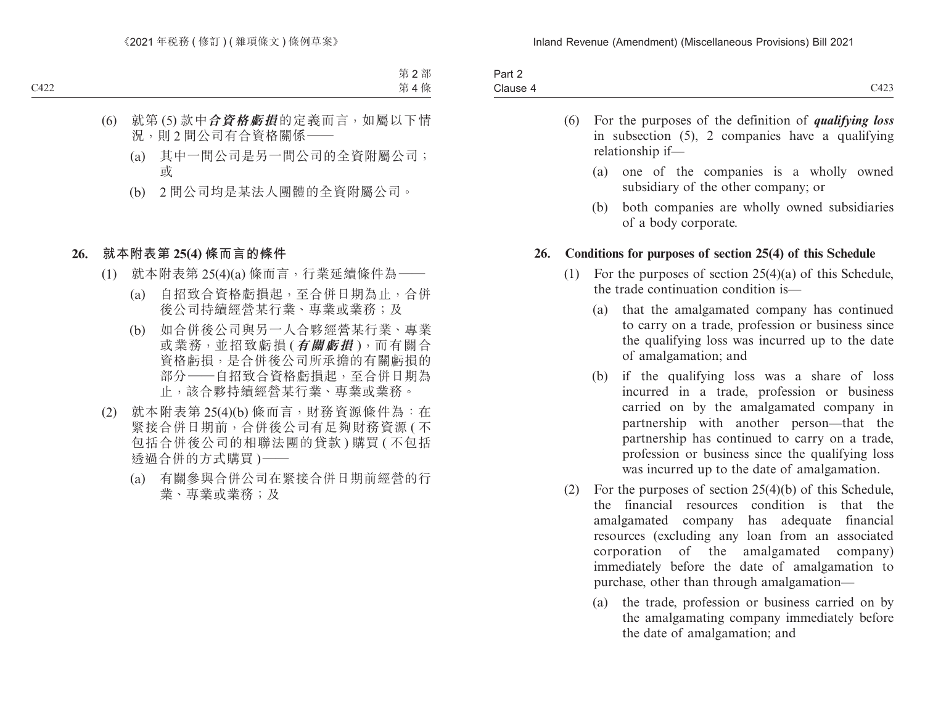| -<br>'a⊓t ∠ |                          |
|-------------|--------------------------|
| Clause 4    | 3.422<br>ں سے ا<br>_____ |

- (6) For the purposes of the definition of *qualifying loss* in subsection (5), 2 companies have a qualifying relationship if—
	- (a) one of the companies is a wholly owned subsidiary of the other company; or
	- (b) both companies are wholly owned subsidiaries of a body corporate.

#### **26. Conditions for purposes of section 25(4) of this Schedule**

- (1) For the purposes of section 25(4)(a) of this Schedule, the trade continuation condition is—
	- (a) that the amalgamated company has continued to carry on a trade, profession or business since the qualifying loss was incurred up to the date of amalgamation; and
	- (b) if the qualifying loss was a share of loss incurred in a trade, profession or business carried on by the amalgamated company in partnership with another person—that the partnership has continued to carry on a trade, profession or business since the qualifying loss was incurred up to the date of amalgamation.
- (2) For the purposes of section 25(4)(b) of this Schedule, the financial resources condition is that the amalgamated company has adequate financial resources (excluding any loan from an associated corporation of the amalgamated company) immediately before the date of amalgamation to purchase, other than through amalgamation—
	- (a) the trade, profession or business carried on by the amalgamating company immediately before the date of amalgamation; and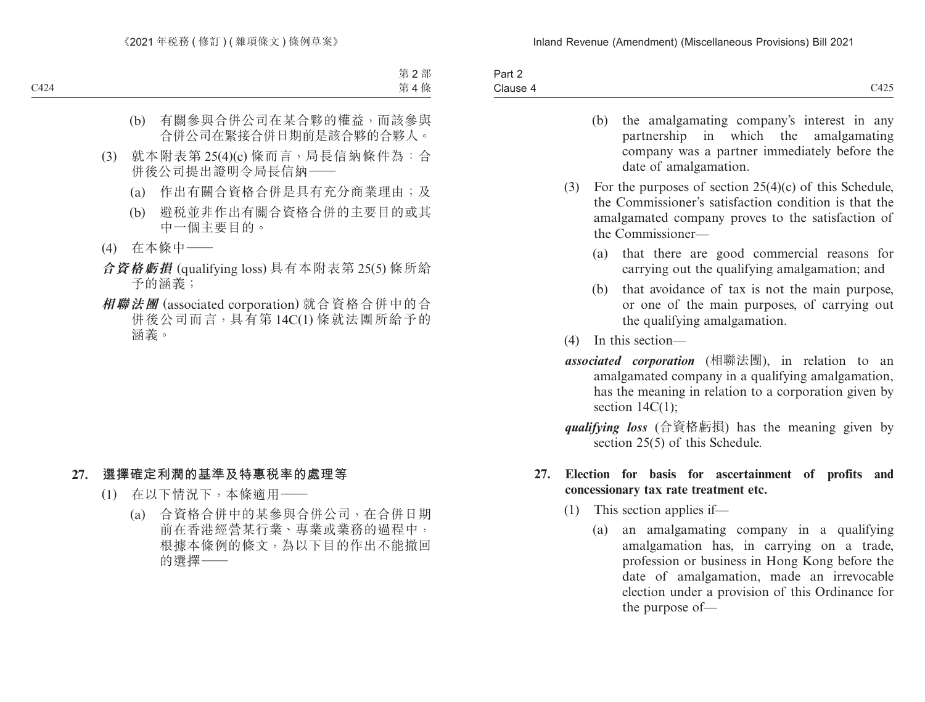| 3 <sub>cm</sub><br>ail Z<br>_______ |                           |
|-------------------------------------|---------------------------|
| Clause 4                            | $3.40 - 7.7$<br>-<br>◡᠇∠◡ |

- (b) the amalgamating company's interest in any partnership in which the amalgamating company was a partner immediately before the date of amalgamation.
- (3) For the purposes of section 25(4)(c) of this Schedule, the Commissioner's satisfaction condition is that the amalgamated company proves to the satisfaction of the Commissioner—
	- (a) that there are good commercial reasons for carrying out the qualifying amalgamation; and
	- (b) that avoidance of tax is not the main purpose, or one of the main purposes, of carrying out the qualifying amalgamation.
- (4) In this section—
- *associated corporation* (相聯法團), in relation to an amalgamated company in a qualifying amalgamation, has the meaning in relation to a corporation given by section  $14C(1)$ ;
- *qualifying loss* (合資格虧損) has the meaning given by section 25(5) of this Schedule.

## **27. Election for basis for ascertainment of profits and concessionary tax rate treatment etc.**

- (1) This section applies if—
	- (a) an amalgamating company in a qualifying amalgamation has, in carrying on a trade, profession or business in Hong Kong before the date of amalgamation, made an irrevocable election under a provision of this Ordinance for the purpose of—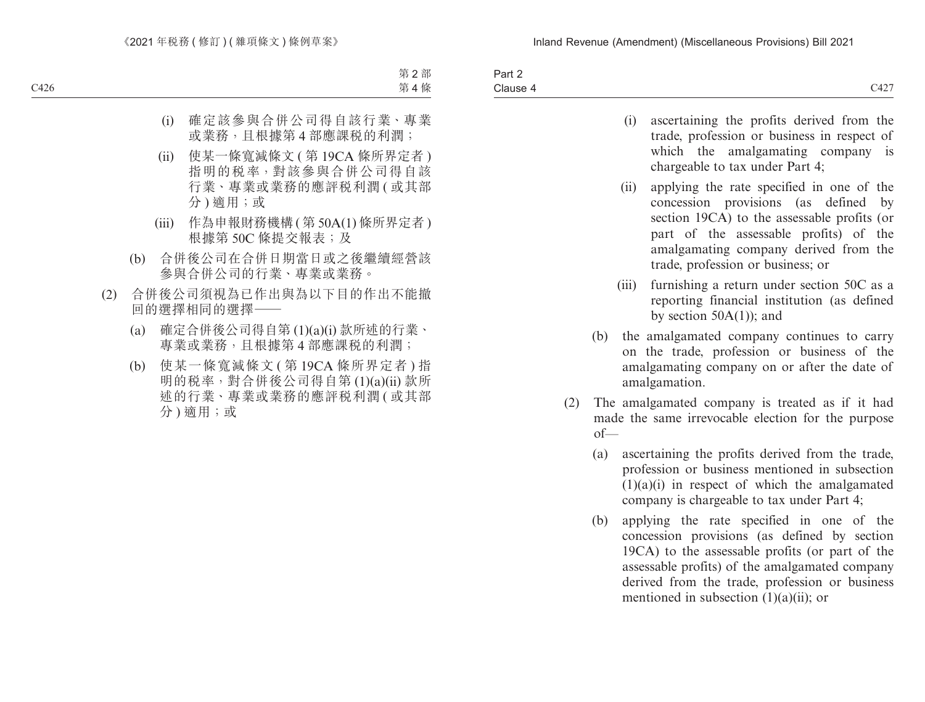| $\overline{\phantom{0}}$<br>Part 2 |                                                                  |
|------------------------------------|------------------------------------------------------------------|
| Clause 4                           | 0.427<br>C42 <sub>1</sub><br>the contract of the contract of the |

| (i) | ascertaining the profits derived from the   |  |
|-----|---------------------------------------------|--|
|     | trade, profession or business in respect of |  |
|     | which the amalgamating company is           |  |
|     | chargeable to tax under Part 4;             |  |

- (ii) applying the rate specified in one of the concession provisions (as defined by section 19CA) to the assessable profits (or part of the assessable profits) of the amalgamating company derived from the trade, profession or business; or
- (iii) furnishing a return under section 50C as a reporting financial institution (as defined by section  $50A(1)$ ; and
- (b) the amalgamated company continues to carry on the trade, profession or business of the amalgamating company on or after the date of amalgamation.
- (2) The amalgamated company is treated as if it had made the same irrevocable election for the purpose of—
	- (a) ascertaining the profits derived from the trade, profession or business mentioned in subsection  $(1)(a)(i)$  in respect of which the amalgamated company is chargeable to tax under Part 4;
	- (b) applying the rate specified in one of the concession provisions (as defined by section 19CA) to the assessable profits (or part of the assessable profits) of the amalgamated company derived from the trade, profession or business mentioned in subsection  $(1)(a)(ii)$ ; or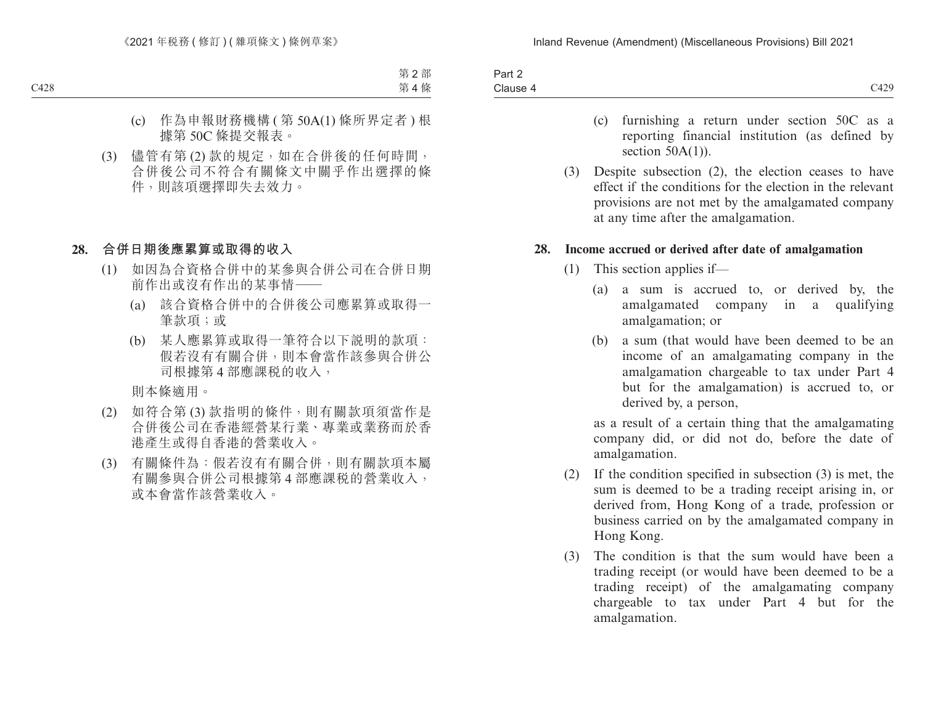| $\overline{\phantom{a}}$<br>3 <sub>cm</sub><br>−ail 4 |                            |
|-------------------------------------------------------|----------------------------|
| Clause 4                                              | 0.100<br>,,,<br>$\sim$ 127 |

- (c) furnishing a return under section 50C as a reporting financial institution (as defined by section  $50A(1)$ ).
- (3) Despite subsection (2), the election ceases to have effect if the conditions for the election in the relevant provisions are not met by the amalgamated company at any time after the amalgamation.

#### **28. Income accrued or derived after date of amalgamation**

- (1) This section applies if—
	- (a) a sum is accrued to, or derived by, the amalgamated company in a qualifying amalgamation; or
	- (b) a sum (that would have been deemed to be an income of an amalgamating company in the amalgamation chargeable to tax under Part 4 but for the amalgamation) is accrued to, or derived by, a person,

as a result of a certain thing that the amalgamating company did, or did not do, before the date of amalgamation.

- (2) If the condition specified in subsection (3) is met, the sum is deemed to be a trading receipt arising in, or derived from, Hong Kong of a trade, profession or business carried on by the amalgamated company in Hong Kong.
- (3) The condition is that the sum would have been a trading receipt (or would have been deemed to be a trading receipt) of the amalgamating company chargeable to tax under Part 4 but for the amalgamation.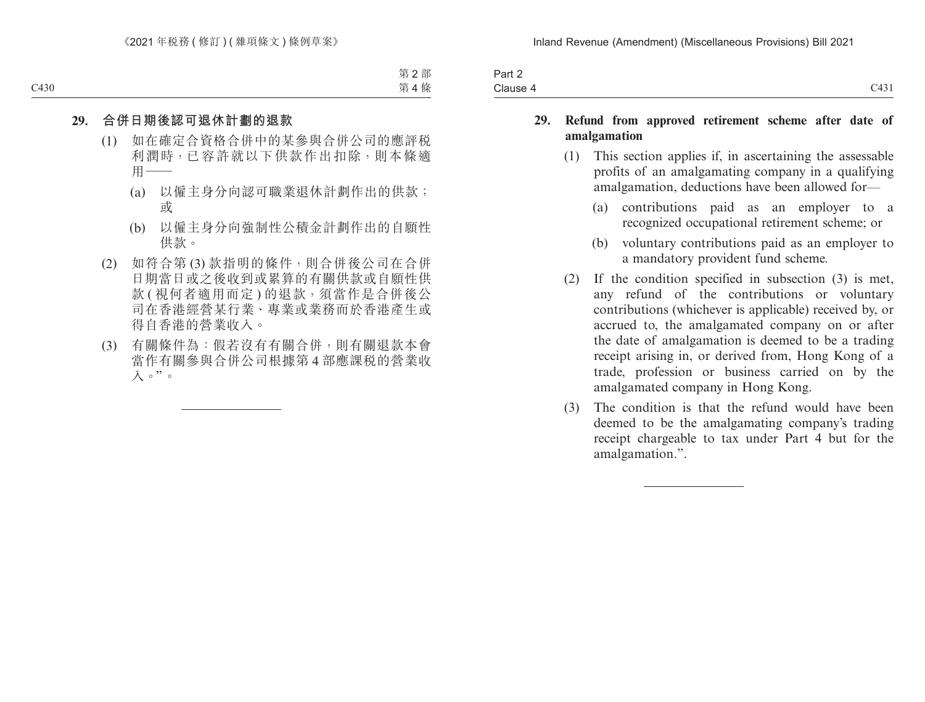| $\overline{\phantom{a}}$<br>Part 2 |                               |
|------------------------------------|-------------------------------|
| Clause 4                           | $C$ <sub>42</sub> $1$<br>C431 |

### **29. Refund from approved retirement scheme after date of amalgamation**

- (1) This section applies if, in ascertaining the assessable profits of an amalgamating company in a qualifying amalgamation, deductions have been allowed for—
	- (a) contributions paid as an employer to a recognized occupational retirement scheme; or
	- (b) voluntary contributions paid as an employer to a mandatory provident fund scheme.
- (2) If the condition specified in subsection (3) is met, any refund of the contributions or voluntary contributions (whichever is applicable) received by, or accrued to, the amalgamated company on or after the date of amalgamation is deemed to be a trading receipt arising in, or derived from, Hong Kong of a trade, profession or business carried on by the amalgamated company in Hong Kong.
- (3) The condition is that the refund would have been deemed to be the amalgamating company's trading receipt chargeable to tax under Part 4 but for the amalgamation.".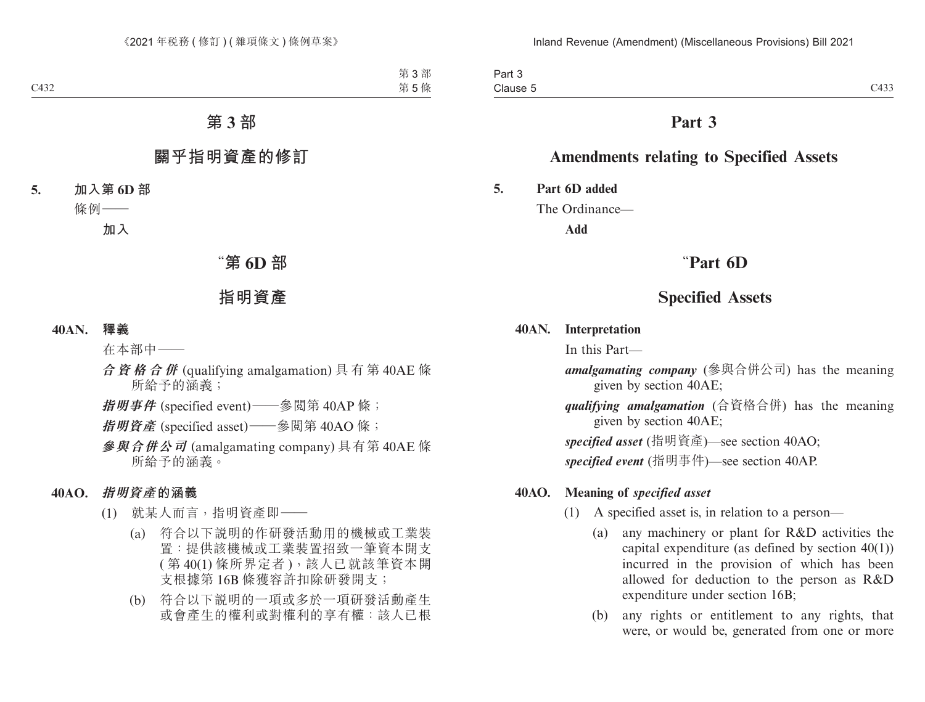Part 3 Clause 5 Clause 5 CASS CONTROLLER CONTROL CASS CONTROLLER CONTROLLER CONTROLLER CONTROLLER CONTROLLER CONTROLLER CONTROLLER CONTROLLER CONTROLLER CONTROLLER CONTROLLER CONTROLLER CONTROLLER CONTROLLER CONTROLLER CONTROLLER CONTROLL

# **Part 3**

# **Amendments relating to Specified Assets**

**5. Part 6D added**

The Ordinance—

**Add**

# "**Part 6D**

# **Specified Assets**

### **40AN. Interpretation**

In this Part—

*amalgamating company* (參與合併公司) has the meaning given by section 40AE;

*qualifying amalgamation* (合資格合併) has the meaning given by section 40AE;

*specified asset* (指明資產)—see section 40AO;

*specified event* (指明事件)—see section 40AP.

### **40AO. Meaning of** *specified asset*

- (1) A specified asset is, in relation to a person—
	- (a) any machinery or plant for R&D activities the capital expenditure (as defined by section  $40(1)$ ) incurred in the provision of which has been allowed for deduction to the person as R&D expenditure under section 16B;
	- (b) any rights or entitlement to any rights, that were, or would be, generated from one or more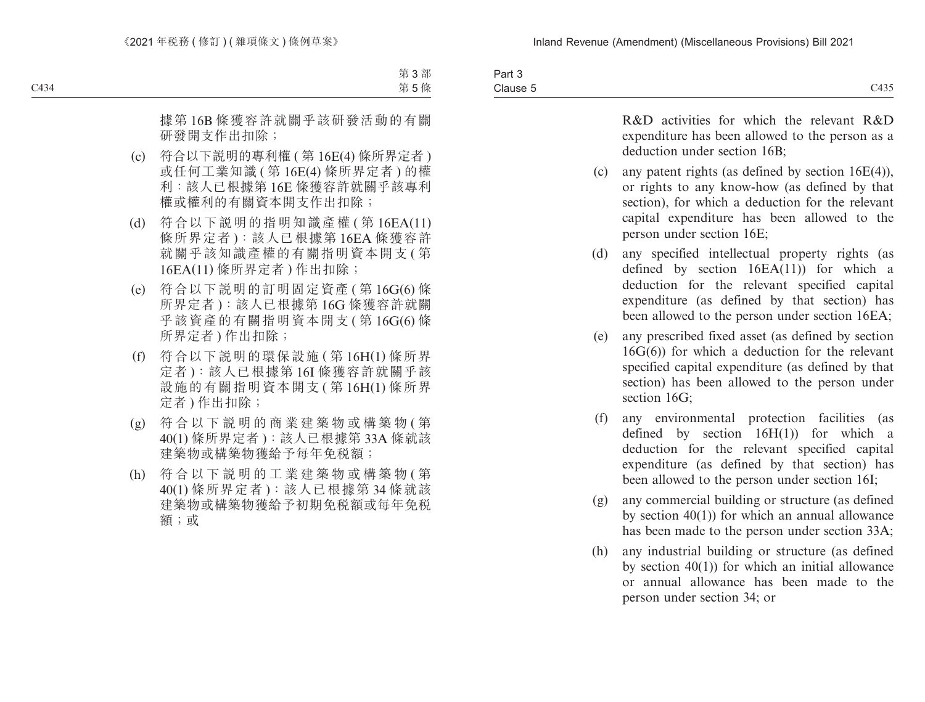| Part 3   |      |
|----------|------|
| Clause 5 | C435 |

R&D activities for which the relevant R&D expenditure has been allowed to the person as a deduction under section 16B;

- (c) any patent rights (as defined by section 16E(4)), or rights to any know-how (as defined by that section), for which a deduction for the relevant capital expenditure has been allowed to the person under section 16E;
- (d) any specified intellectual property rights (as defined by section  $16EA(11)$  for which a deduction for the relevant specified capital expenditure (as defined by that section) has been allowed to the person under section 16EA;
- (e) any prescribed fixed asset (as defined by section 16G(6)) for which a deduction for the relevant specified capital expenditure (as defined by that section) has been allowed to the person under section 16G;
- (f) any environmental protection facilities (as defined by section 16H(1)) for which a deduction for the relevant specified capital expenditure (as defined by that section) has been allowed to the person under section 16I;
- (g) any commercial building or structure (as defined by section 40(1)) for which an annual allowance has been made to the person under section 33A;
- (h) any industrial building or structure (as defined by section  $40(1)$  for which an initial allowance or annual allowance has been made to the person under section 34; or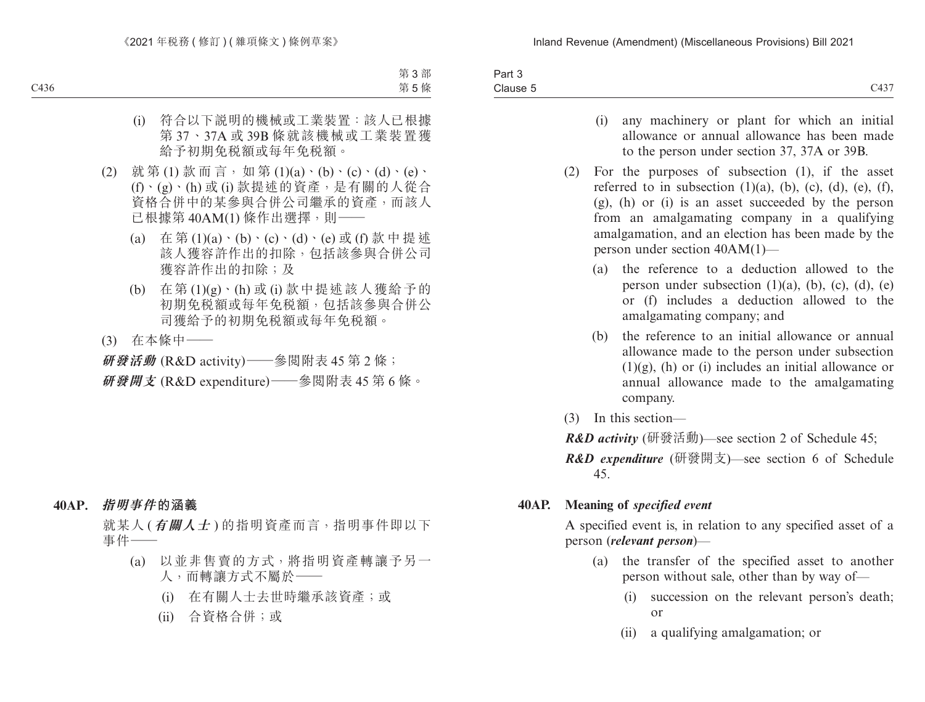| Part 5   |                         |
|----------|-------------------------|
| Clause 5 | $\sim$ 10 $\pi$<br>C43. |

- (i) any machinery or plant for which an initial allowance or annual allowance has been made to the person under section 37, 37A or 39B.
- (2) For the purposes of subsection (1), if the asset referred to in subsection  $(1)(a)$ ,  $(b)$ ,  $(c)$ ,  $(d)$ ,  $(e)$ ,  $(f)$ , (g), (h) or (i) is an asset succeeded by the person from an amalgamating company in a qualifying amalgamation, and an election has been made by the person under section 40AM(1)—
	- (a) the reference to a deduction allowed to the person under subsection  $(1)(a)$ ,  $(b)$ ,  $(c)$ ,  $(d)$ ,  $(e)$ or (f) includes a deduction allowed to the amalgamating company; and
	- (b) the reference to an initial allowance or annual allowance made to the person under subsection  $(1)(g)$ , (h) or (i) includes an initial allowance or annual allowance made to the amalgamating company.
- (3) In this section—
- *R&D activity* (研發活動)—see section 2 of Schedule 45;
- *R&D expenditure* (研發開支)—see section 6 of Schedule 45.

### **40AP. Meaning of** *specified event*

A specified event is, in relation to any specified asset of a person (*relevant person*)—

- (a) the transfer of the specified asset to another person without sale, other than by way of—
	- (i) succession on the relevant person's death; or
	- (ii) a qualifying amalgamation; or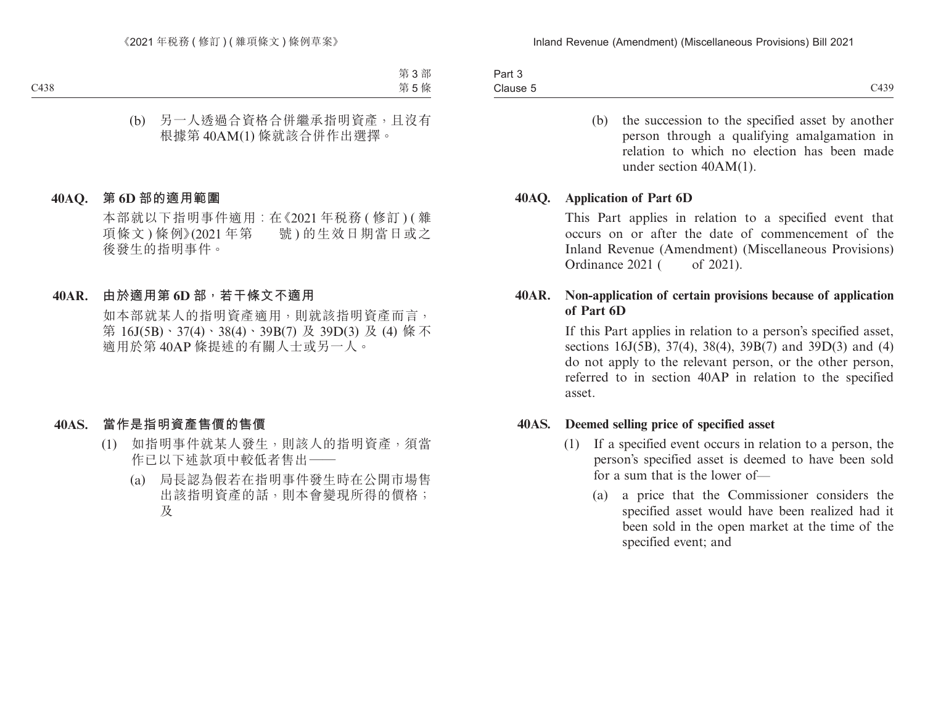| $\overline{\phantom{a}}$<br>Part J |      |
|------------------------------------|------|
| Clause 5                           | C439 |

(b) the succession to the specified asset by another person through a qualifying amalgamation in relation to which no election has been made under section 40AM(1).

### **40AQ. Application of Part 6D**

This Part applies in relation to a specified event that occurs on or after the date of commencement of the Inland Revenue (Amendment) (Miscellaneous Provisions) Ordinance 2021 ( of 2021).

## **40AR. Non-application of certain provisions because of application of Part 6D**

If this Part applies in relation to a person's specified asset, sections 16J(5B), 37(4), 38(4), 39B(7) and 39D(3) and (4) do not apply to the relevant person, or the other person, referred to in section 40AP in relation to the specified asset.

### **40AS. Deemed selling price of specified asset**

- (1) If a specified event occurs in relation to a person, the person's specified asset is deemed to have been sold for a sum that is the lower of—
	- (a) a price that the Commissioner considers the specified asset would have been realized had it been sold in the open market at the time of the specified event; and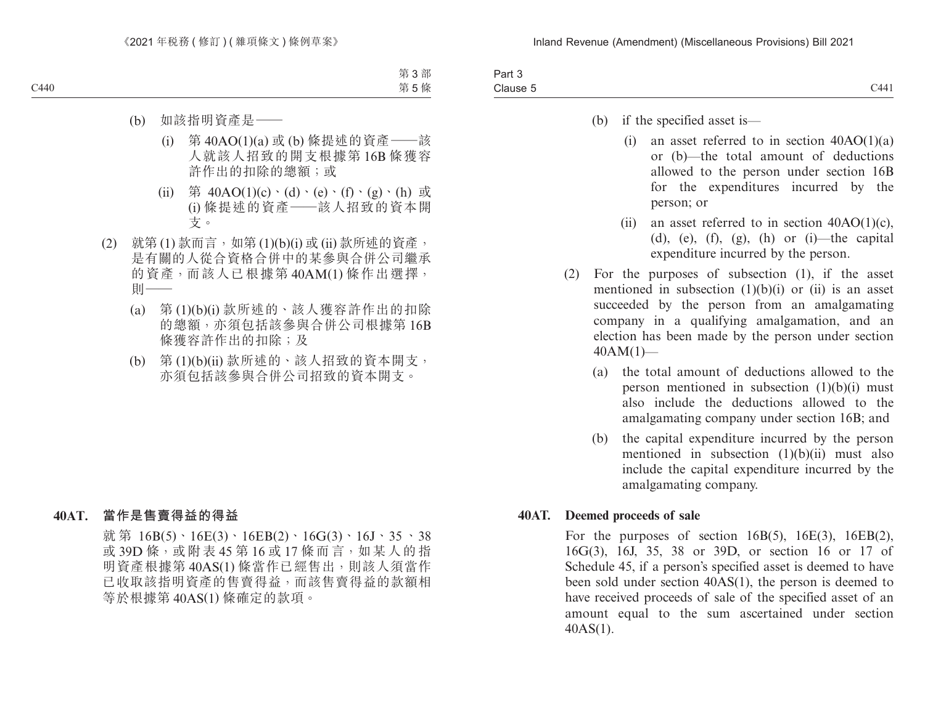| 3 <sub>cm</sub><br>-αι ι   |          |
|----------------------------|----------|
| $\bigcap$<br>.<br>Clause 5 | 144<br>~ |
|                            |          |

- (b) if the specified asset is—
	- (i) an asset referred to in section  $40AO(1)(a)$ or (b)—the total amount of deductions allowed to the person under section 16B for the expenditures incurred by the person; or
	- (ii) an asset referred to in section  $40AO(1)(c)$ , (d), (e), (f), (g), (h) or (i)—the capital expenditure incurred by the person.
- (2) For the purposes of subsection (1), if the asset mentioned in subsection  $(1)(b)(i)$  or  $(ii)$  is an asset succeeded by the person from an amalgamating company in a qualifying amalgamation, and an election has been made by the person under section  $40AM(1)$ —
	- (a) the total amount of deductions allowed to the person mentioned in subsection  $(1)(b)(i)$  must also include the deductions allowed to the amalgamating company under section 16B; and
	- (b) the capital expenditure incurred by the person mentioned in subsection (1)(b)(ii) must also include the capital expenditure incurred by the amalgamating company.

### **40AT. Deemed proceeds of sale**

For the purposes of section  $16B(5)$ ,  $16E(3)$ ,  $16EB(2)$ , 16G(3), 16J, 35, 38 or 39D, or section 16 or 17 of Schedule 45, if a person's specified asset is deemed to have been sold under section 40AS(1), the person is deemed to have received proceeds of sale of the specified asset of an amount equal to the sum ascertained under section 40AS(1).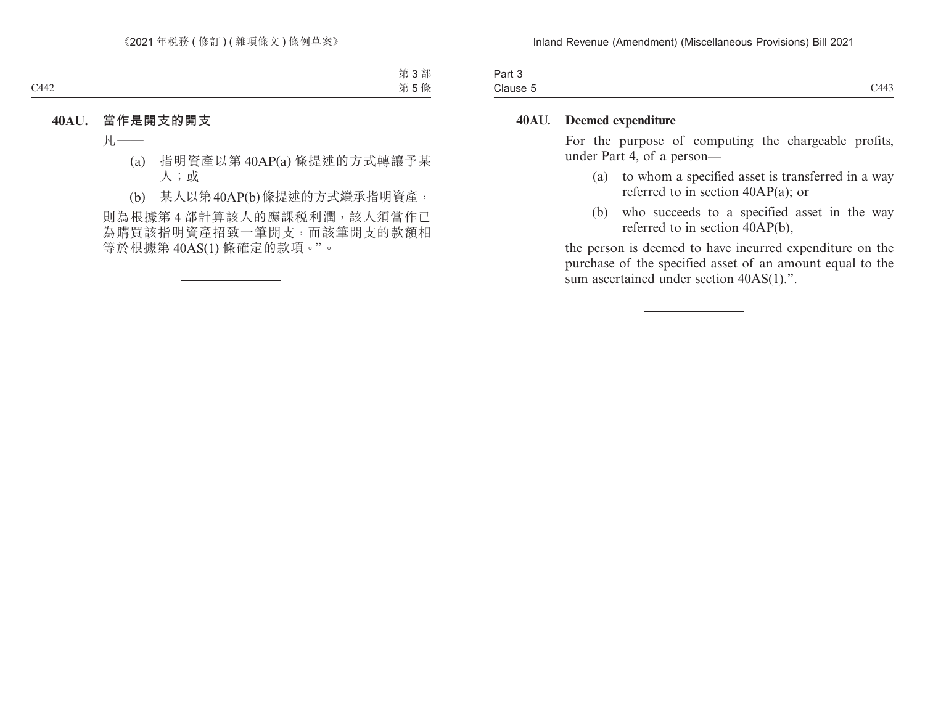| $\overline{\phantom{a}}$<br>Part 3 |      |
|------------------------------------|------|
| Clause 5<br>______                 | C443 |

### **40AU. Deemed expenditure**

For the purpose of computing the chargeable profits, under Part 4, of a person—

- (a) to whom a specified asset is transferred in a way referred to in section 40AP(a); or
- (b) who succeeds to a specified asset in the way referred to in section 40AP(b),

the person is deemed to have incurred expenditure on the purchase of the specified asset of an amount equal to the sum ascertained under section 40AS(1).".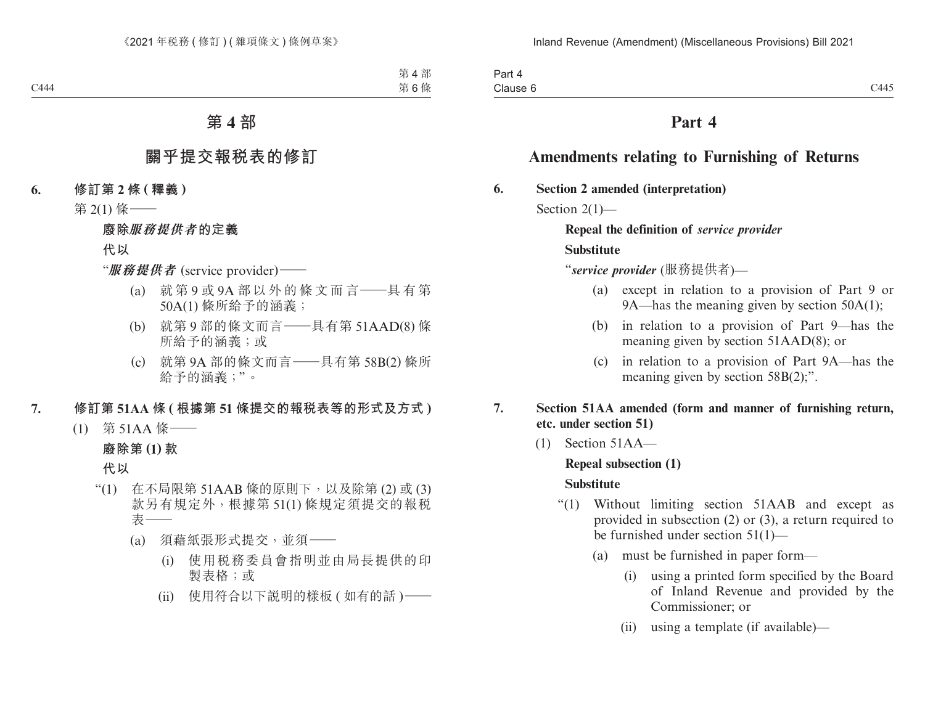# **Part 4**

# **Amendments relating to Furnishing of Returns**

**6. Section 2 amended (interpretation)**

Section 2(1)-

**Repeal the definition of** *service provider* **Substitute**

"*service provider* (服務提供者)—

- (a) except in relation to a provision of Part 9 or 9A—has the meaning given by section 50A(1);
- (b) in relation to a provision of Part 9—has the meaning given by section 51AAD(8); or
- (c) in relation to a provision of Part 9A—has the meaning given by section 58B(2);".
- **7. Section 51AA amended (form and manner of furnishing return, etc. under section 51)**
	- (1) Section 51AA—

## **Repeal subsection (1)**

## **Substitute**

- "(1) Without limiting section 51AAB and except as provided in subsection (2) or (3), a return required to be furnished under section 51(1)—
	- (a) must be furnished in paper form—
		- (i) using a printed form specified by the Board of Inland Revenue and provided by the Commissioner; or
		- (ii) using a template (if available)—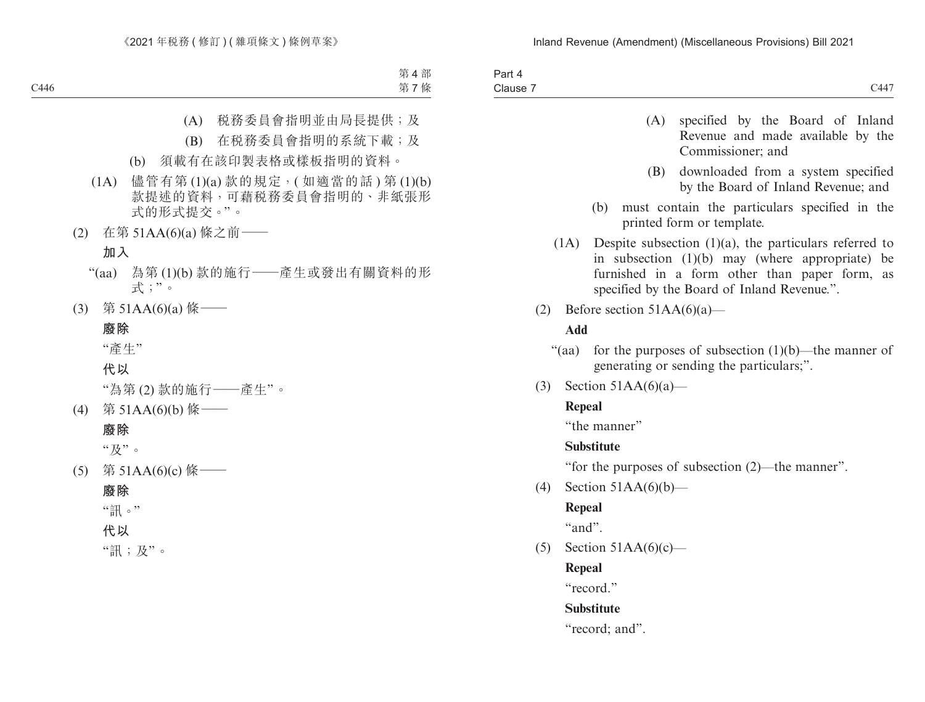| Part<br>$\overline{\phantom{a}}$<br>. |      |
|---------------------------------------|------|
| $-$<br>Clause<br>.                    | C447 |

- (A) specified by the Board of Inland Revenue and made available by the Commissioner; and
- (B) downloaded from a system specified by the Board of Inland Revenue; and
- (b) must contain the particulars specified in the printed form or template.
- (1A) Despite subsection (1)(a), the particulars referred to in subsection (1)(b) may (where appropriate) be furnished in a form other than paper form, as specified by the Board of Inland Revenue.".
- (2) Before section  $51AA(6)(a)$ —

## **Add**

- "(aa) for the purposes of subsection  $(1)(b)$ —the manner of generating or sending the particulars;".
- (3) Section  $51AA(6)(a)$ —

## **Repeal**

"the manner"

## **Substitute**

"for the purposes of subsection (2)—the manner".

(4) Section 51AA(6)(b)—

# **Repeal**

 $``and"$ 

(5) Section  $51AA(6)(c)$ —

**Repeal**

"record."

# **Substitute**

"record; and".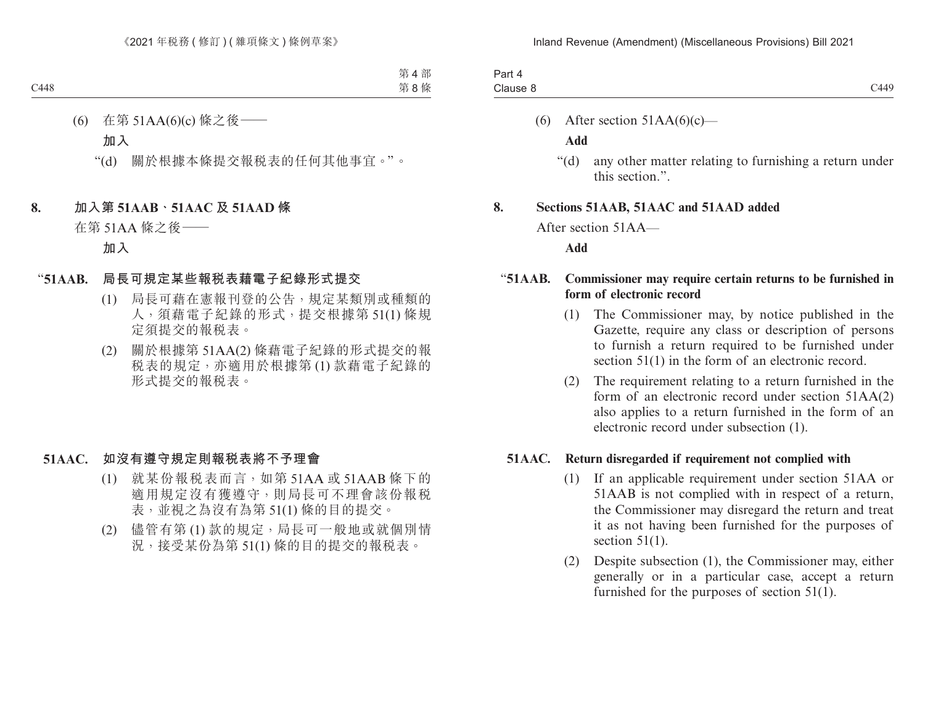| -<br>Part 4 |      |
|-------------|------|
| Clause 8    | C449 |

(6) After section  $51AA(6)(c)$ —

### **Add**

"(d) any other matter relating to furnishing a return under this section.".

### **8. Sections 51AAB, 51AAC and 51AAD added**

After section 51AA—

#### **Add**

## "**51AAB. Commissioner may require certain returns to be furnished in form of electronic record**

- (1) The Commissioner may, by notice published in the Gazette, require any class or description of persons to furnish a return required to be furnished under section 51(1) in the form of an electronic record.
- (2) The requirement relating to a return furnished in the form of an electronic record under section 51AA(2) also applies to a return furnished in the form of an electronic record under subsection (1).

### **51AAC. Return disregarded if requirement not complied with**

- (1) If an applicable requirement under section 51AA or 51AAB is not complied with in respect of a return, the Commissioner may disregard the return and treat it as not having been furnished for the purposes of section  $51(1)$ .
- (2) Despite subsection (1), the Commissioner may, either generally or in a particular case, accept a return furnished for the purposes of section 51(1).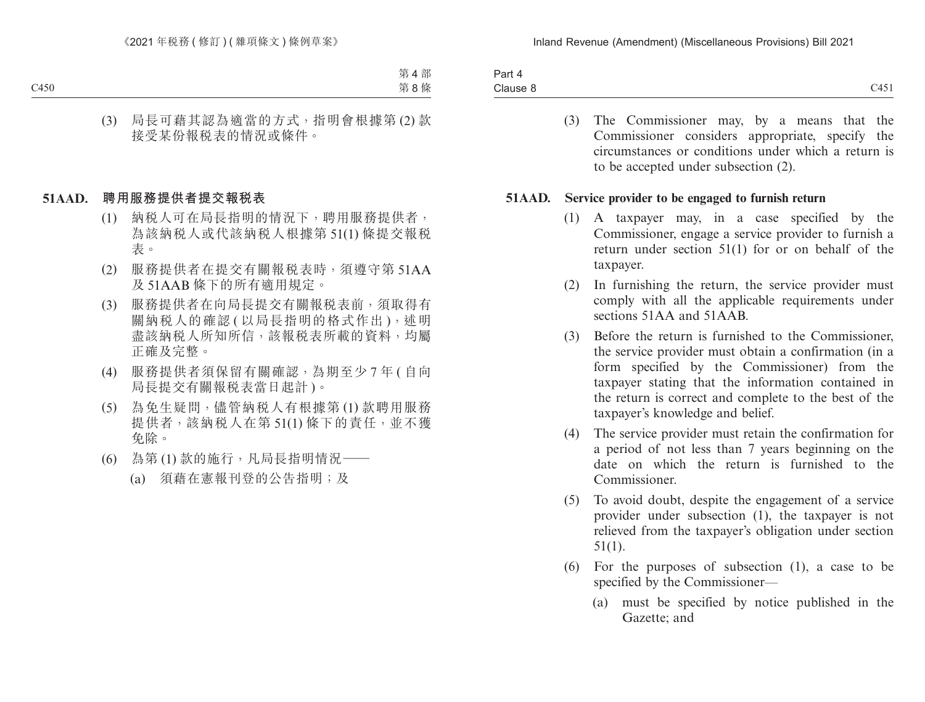| Pan<br>$\overline{ }$ |                                       |
|-----------------------|---------------------------------------|
| Clause 8              | C11.71<br>11<br>$\leftarrow$<br>ا رہی |

(3) The Commissioner may, by a means that the Commissioner considers appropriate, specify the circumstances or conditions under which a return is to be accepted under subsection (2).

### **51AAD. Service provider to be engaged to furnish return**

- (1) A taxpayer may, in a case specified by the Commissioner, engage a service provider to furnish a return under section 51(1) for or on behalf of the taxpayer.
- (2) In furnishing the return, the service provider must comply with all the applicable requirements under sections 51AA and 51AAB.
- (3) Before the return is furnished to the Commissioner, the service provider must obtain a confirmation (in a form specified by the Commissioner) from the taxpayer stating that the information contained in the return is correct and complete to the best of the taxpayer's knowledge and belief.
- (4) The service provider must retain the confirmation for a period of not less than 7 years beginning on the date on which the return is furnished to the Commissioner.
- (5) To avoid doubt, despite the engagement of a service provider under subsection (1), the taxpayer is not relieved from the taxpayer's obligation under section 51(1).
- (6) For the purposes of subsection (1), a case to be specified by the Commissioner—
	- (a) must be specified by notice published in the Gazette; and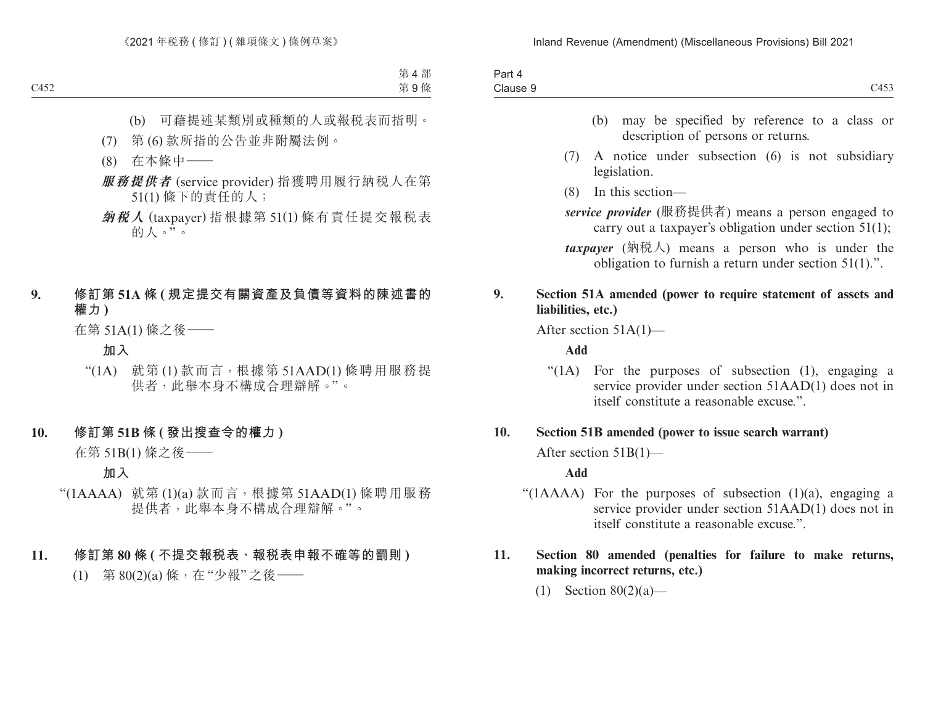| $\overline{1}$<br>∽art<br>$\overline{\phantom{a}}$<br>. |                                                 |
|---------------------------------------------------------|-------------------------------------------------|
| $\bigcap$<br>Clause 9                                   | $\sim$ 4 $\sim$ $\sim$<br>٠,<br>$\cup$ T $\cup$ |

- (b) may be specified by reference to a class or description of persons or returns.
- (7) A notice under subsection (6) is not subsidiary legislation.
- (8) In this section—
- *service provider* (服務提供者) means a person engaged to carry out a taxpayer's obligation under section 51(1);
- *taxpayer* (納稅人) means a person who is under the obligation to furnish a return under section 51(1).".

## **9. Section 51A amended (power to require statement of assets and liabilities, etc.)**

After section 51A(1)—

**Add**

"(1A) For the purposes of subsection (1), engaging a service provider under section 51AAD(1) does not in itself constitute a reasonable excuse.".

## **10. Section 51B amended (power to issue search warrant)**

After section 51B(1)—

### **Add**

"( $1AAAA$ ) For the purposes of subsection  $(1)(a)$ , engaging a service provider under section 51AAD(1) does not in itself constitute a reasonable excuse."

## **11. Section 80 amended (penalties for failure to make returns, making incorrect returns, etc.)**

(1) Section 80(2)(a)—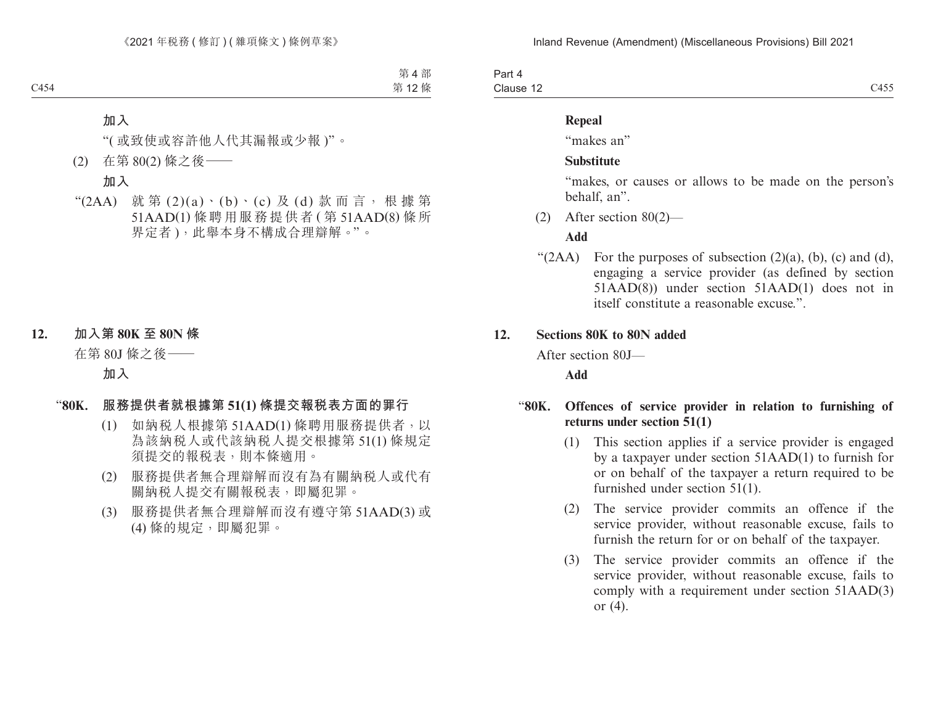Part 4 Clause 12 Clause 12  $C455$ 

#### **Repeal**

"makes an"

### **Substitute**

"makes, or causes or allows to be made on the person's behalf, an".

(2) After section 80(2)—

#### **Add**

" $(2AA)$  For the purposes of subsection  $(2)(a)$ ,  $(b)$ ,  $(c)$  and  $(d)$ , engaging a service provider (as defined by section 51AAD(8)) under section 51AAD(1) does not in itself constitute a reasonable excuse.".

#### **12. Sections 80K to 80N added**

After section 80J—

**Add**

### "**80K. Offences of service provider in relation to furnishing of returns under section 51(1)**

- (1) This section applies if a service provider is engaged by a taxpayer under section 51AAD(1) to furnish for or on behalf of the taxpayer a return required to be furnished under section 51(1).
- (2) The service provider commits an offence if the service provider, without reasonable excuse, fails to furnish the return for or on behalf of the taxpayer.
- (3) The service provider commits an offence if the service provider, without reasonable excuse, fails to comply with a requirement under section 51AAD(3) or (4).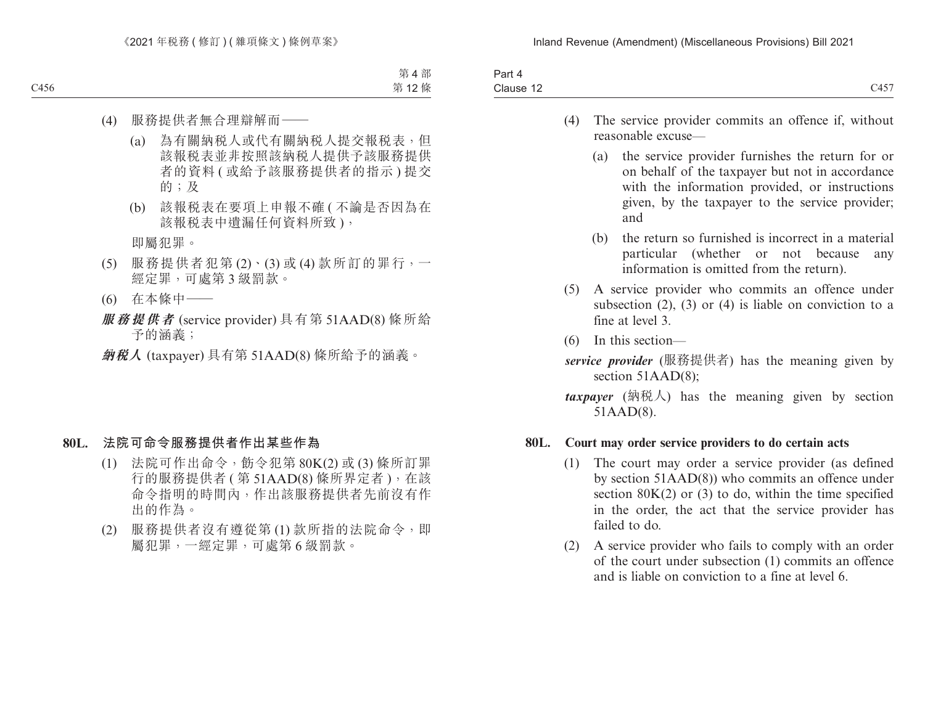| <b>Contract Contract Contract Contract</b><br>3 <sub>cm</sub><br>ar u |                                                    |
|-----------------------------------------------------------------------|----------------------------------------------------|
| Clause 12                                                             | $\rightarrow$ $\rightarrow$ $\rightarrow$<br>- 101 |
|                                                                       |                                                    |

- (4) The service provider commits an offence if, without reasonable excuse—
	- (a) the service provider furnishes the return for or on behalf of the taxpayer but not in accordance with the information provided, or instructions given, by the taxpayer to the service provider; and
	- (b) the return so furnished is incorrect in a material particular (whether or not because any information is omitted from the return).
- (5) A service provider who commits an offence under subsection  $(2)$ ,  $(3)$  or  $(4)$  is liable on conviction to a fine at level 3.
- (6) In this section—
- *service provider* (服務提供者) has the meaning given by section 51AAD(8);
- *(納税人) has the meaning given by section* 51AAD(8).

### **80L. Court may order service providers to do certain acts**

- (1) The court may order a service provider (as defined by section 51AAD(8)) who commits an offence under section  $80K(2)$  or (3) to do, within the time specified in the order, the act that the service provider has failed to do.
- (2) A service provider who fails to comply with an order of the court under subsection (1) commits an offence and is liable on conviction to a fine at level 6.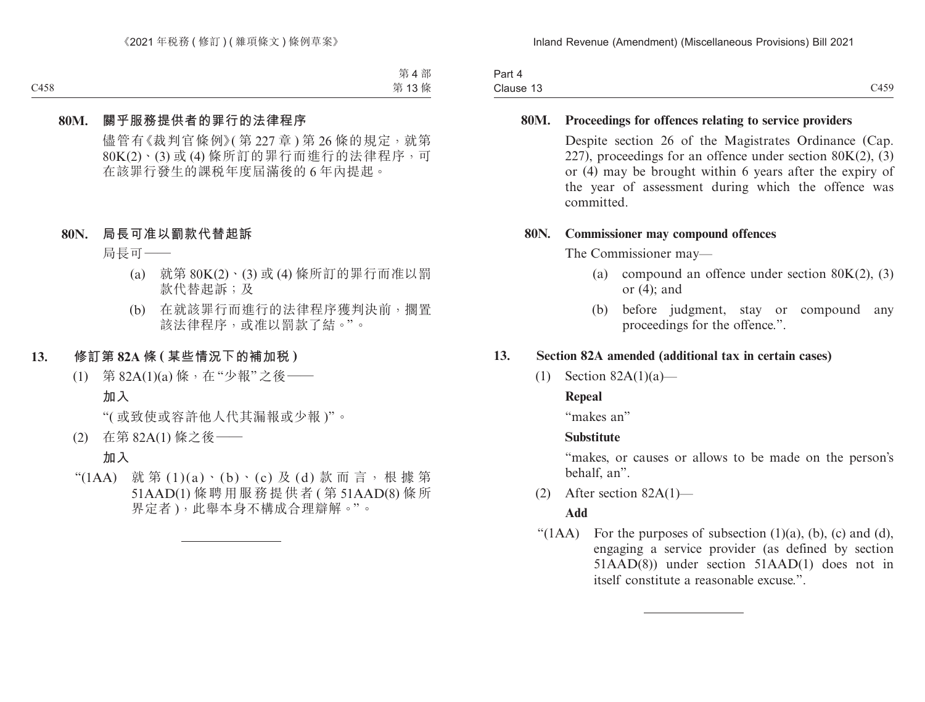| Part 4    |      |
|-----------|------|
| Clause 13 | C459 |

### **80M. Proceedings for offences relating to service providers**

Despite section 26 of the Magistrates Ordinance (Cap. 227), proceedings for an offence under section  $80K(2)$ , (3) or (4) may be brought within 6 years after the expiry of the year of assessment during which the offence was committed.

### **80N. Commissioner may compound offences**

The Commissioner may—

- (a) compound an offence under section  $80K(2)$ , (3) or (4); and
- (b) before judgment, stay or compound any proceedings for the offence.".

## **13. Section 82A amended (additional tax in certain cases)**

(1) Section 82A(1)(a)—

## **Repeal**

"makes an"

### **Substitute**

"makes, or causes or allows to be made on the person's behalf, an".

(2) After section 82A(1)—

### **Add**

" $(1AA)$  For the purposes of subsection  $(1)(a)$ ,  $(b)$ ,  $(c)$  and  $(d)$ , engaging a service provider (as defined by section 51AAD(8)) under section 51AAD(1) does not in itself constitute a reasonable excuse.".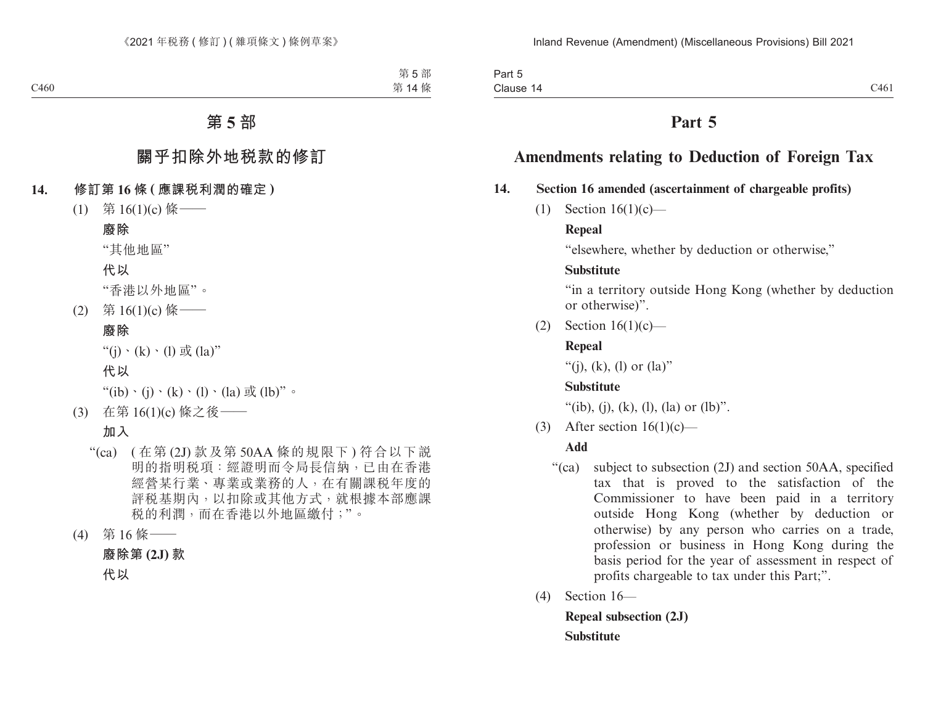Part 5 Clause 14 Clause  $14$  C-161 C-161 C-161 C-161 C-161 C-161 C-161 C-161 C-161 C-161 C-161 C-161 C-161 C-161 C-161 C-161 C-161 C-161 C-161 C-161 C-161 C-161 C-161 C-161 C-161 C-161 C-161 C-161 C-161 C-161 C-161 C-161 C-161 C-161 C-161

# **Part 5**

# **Amendments relating to Deduction of Foreign Tax**

## **14. Section 16 amended (ascertainment of chargeable profits)**

(1) Section 16(1)(c)—

## **Repeal**

"elsewhere, whether by deduction or otherwise,"

## **Substitute**

"in a territory outside Hong Kong (whether by deduction or otherwise)".

(2) Section 16(1)(c)—

# **Repeal**

"(i), (k), (l) or  $(la)$ "

# **Substitute**

"(ib), (j), (k), (l), (la) or (lb)".

(3) After section  $16(1)(c)$ —

## **Add**

- "(ca) subject to subsection (2J) and section 50AA, specified tax that is proved to the satisfaction of the Commissioner to have been paid in a territory outside Hong Kong (whether by deduction or otherwise) by any person who carries on a trade, profession or business in Hong Kong during the basis period for the year of assessment in respect of profits chargeable to tax under this Part;".
- (4) Section 16—

**Repeal subsection (2J) Substitute**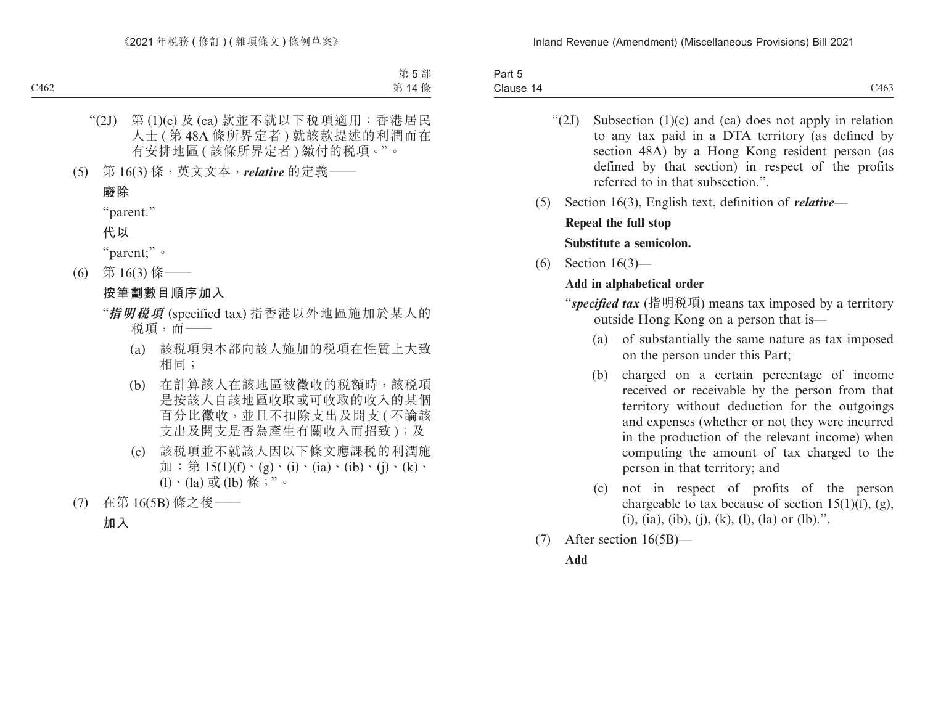| Part 5    |              |
|-----------|--------------|
| Clause 14 | 0100<br>C403 |

- " $(2J)$  Subsection  $(1)(c)$  and  $(ca)$  does not apply in relation to any tax paid in a DTA territory (as defined by section 48A) by a Hong Kong resident person (as defined by that section) in respect of the profits referred to in that subsection."
- (5) Section 16(3), English text, definition of *relative*—

## **Repeal the full stop Substitute a semicolon.**

(6) Section 16(3)—

# **Add in alphabetical order**

"*specified tax* (指明稅項) means tax imposed by a territory outside Hong Kong on a person that is—

- (a) of substantially the same nature as tax imposed on the person under this Part;
- (b) charged on a certain percentage of income received or receivable by the person from that territory without deduction for the outgoings and expenses (whether or not they were incurred in the production of the relevant income) when computing the amount of tax charged to the person in that territory; and
- (c) not in respect of profits of the person chargeable to tax because of section 15(1)(f), (g), (i), (ia), (ib), (j), (k), (l), (la) or (lb).".
- (7) After section 16(5B)—

## **Add**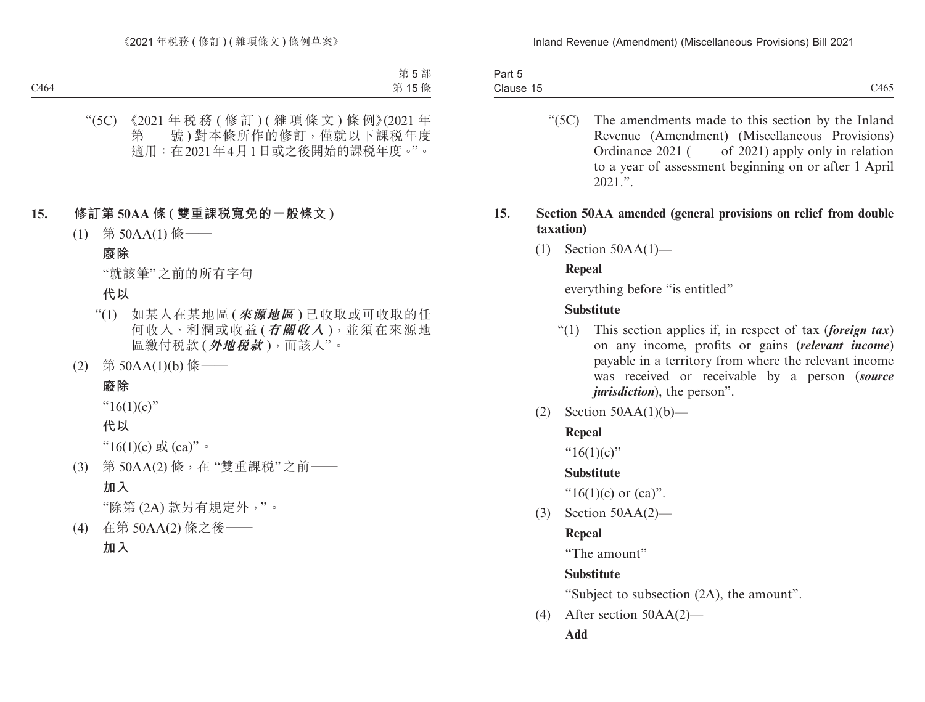| $\overline{\phantom{a}}$<br>Part 5 |      |
|------------------------------------|------|
| Clause 15                          | C465 |

"(5C) The amendments made to this section by the Inland Revenue (Amendment) (Miscellaneous Provisions) Ordinance 2021 ( of 2021) apply only in relation to a year of assessment beginning on or after 1 April  $2021$  "

## **15. Section 50AA amended (general provisions on relief from double taxation)**

(1) Section 50AA(1)—

## **Repeal**

everything before "is entitled"

## **Substitute**

- "(1) This section applies if, in respect of tax (*foreign tax*) on any income, profits or gains (*relevant income*) payable in a territory from where the relevant income was received or receivable by a person (*source jurisdiction*), the person".
- (2) Section  $50AA(1)(b)$ —

## **Repeal**

" $16(1)(c)$ "

## **Substitute**

" $16(1)(c)$  or  $(ca)$ ".

(3) Section 50AA(2)—

## **Repeal**

"The amount"

## **Substitute**

"Subject to subsection (2A), the amount".

(4) After section 50AA(2)—

**Add**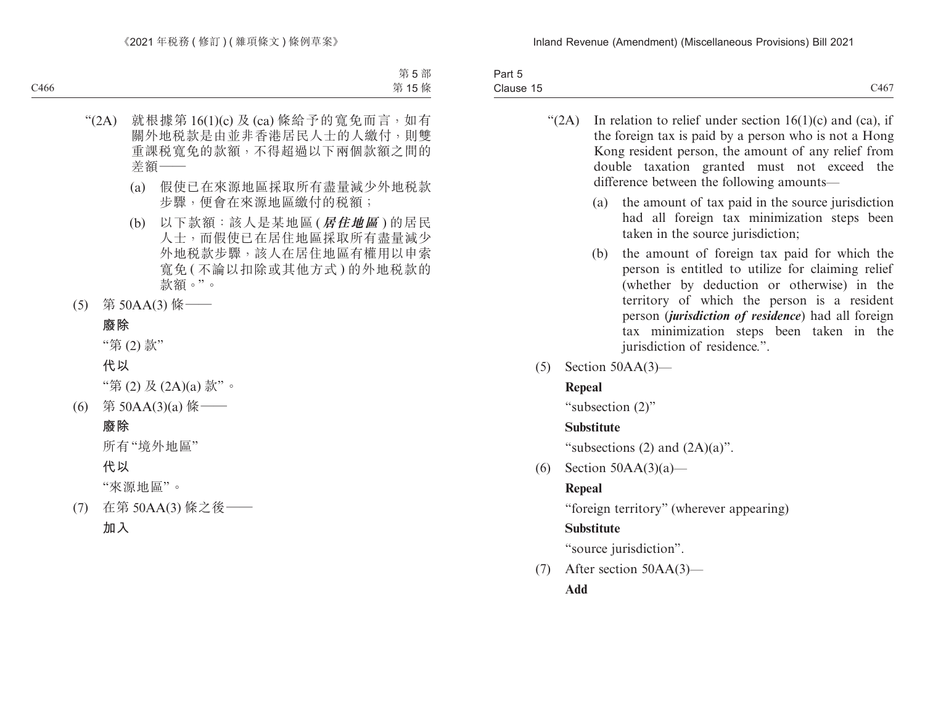| $\sim$<br>$\overline{\phantom{a}}$<br>3 <sub>cm</sub><br>. .<br>⊺a⊪t ∪<br>. |                                        |
|-----------------------------------------------------------------------------|----------------------------------------|
| Clause<br>. <del>.</del>                                                    | 3.4 <sub>7</sub><br>$\sim$ TV $\prime$ |

- " $(2A)$  In relation to relief under section 16(1)(c) and (ca), if the foreign tax is paid by a person who is not a Hong Kong resident person, the amount of any relief from double taxation granted must not exceed the difference between the following amounts—
	- (a) the amount of tax paid in the source jurisdiction had all foreign tax minimization steps been taken in the source jurisdiction;
	- (b) the amount of foreign tax paid for which the person is entitled to utilize for claiming relief (whether by deduction or otherwise) in the territory of which the person is a resident person (*jurisdiction of residence*) had all foreign tax minimization steps been taken in the jurisdiction of residence.".
- (5) Section 50AA(3)—

# **Repeal**

"subsection (2)"

# **Substitute**

"subsections  $(2)$  and  $(2A)(a)$ ".

(6) Section  $50AA(3)(a)$ —

# **Repeal**

"foreign territory" (wherever appearing)

# **Substitute**

"source jurisdiction".

(7) After section 50AA(3)—

**Add**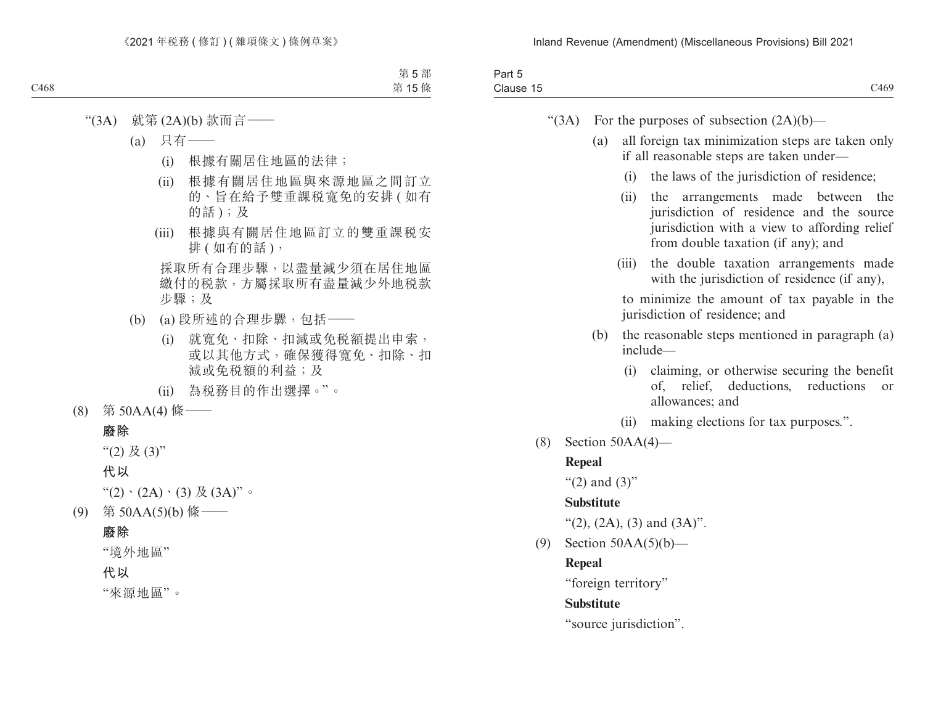| 'αι<br>__                   |           |
|-----------------------------|-----------|
| $\sim$<br>ause<br>uld'<br>. | 2469<br>. |
|                             |           |

| (3A) |  | For the purposes of subsection $(2A)(b)$ - |  |  |  |
|------|--|--------------------------------------------|--|--|--|
|------|--|--------------------------------------------|--|--|--|

- (a) all foreign tax minimization steps are taken only if all reasonable steps are taken under—
	- (i) the laws of the jurisdiction of residence;
	- (ii) the arrangements made between the jurisdiction of residence and the source jurisdiction with a view to affording relief from double taxation (if any); and
	- (iii) the double taxation arrangements made with the jurisdiction of residence (if any),

to minimize the amount of tax payable in the jurisdiction of residence; and

- (b) the reasonable steps mentioned in paragraph (a) include—
	- (i) claiming, or otherwise securing the benefit of, relief, deductions, reductions or allowances; and
	- (ii) making elections for tax purposes.".
- (8) Section 50AA(4)—

#### **Repeal**

" $(2)$  and  $(3)$ "

### **Substitute**

"(2), (2A), (3) and  $(3A)$ ".

(9) Section 50AA(5)(b)—

#### **Repeal**

"foreign territory"

### **Substitute**

"source jurisdiction".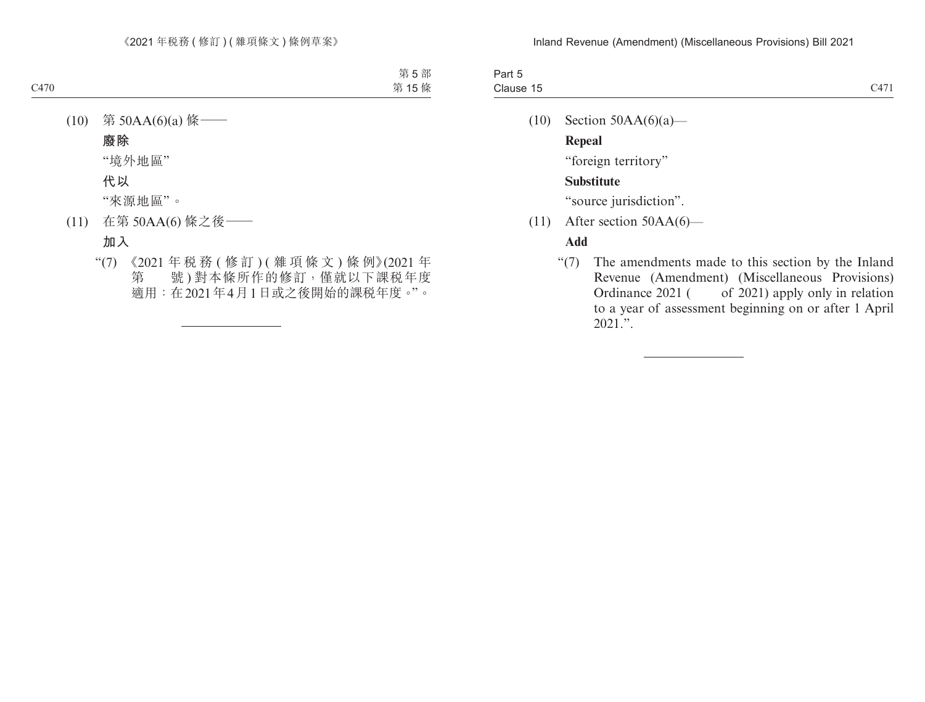| -Failt<br>ີ<br>----              |                               |
|----------------------------------|-------------------------------|
| $\sim$<br>Clause 15<br>--------- | $\sim$ 4 $\sim$ 4<br>$\cdots$ |

(10) Section  $50AA(6)(a)$ —

**Repeal**

"foreign territory"

## **Substitute**

"source jurisdiction".

(11) After section 50AA(6)—

## **Add**

"(7) The amendments made to this section by the Inland Revenue (Amendment) (Miscellaneous Provisions) Ordinance 2021 ( of 2021) apply only in relation to a year of assessment beginning on or after 1 April  $2021$ .".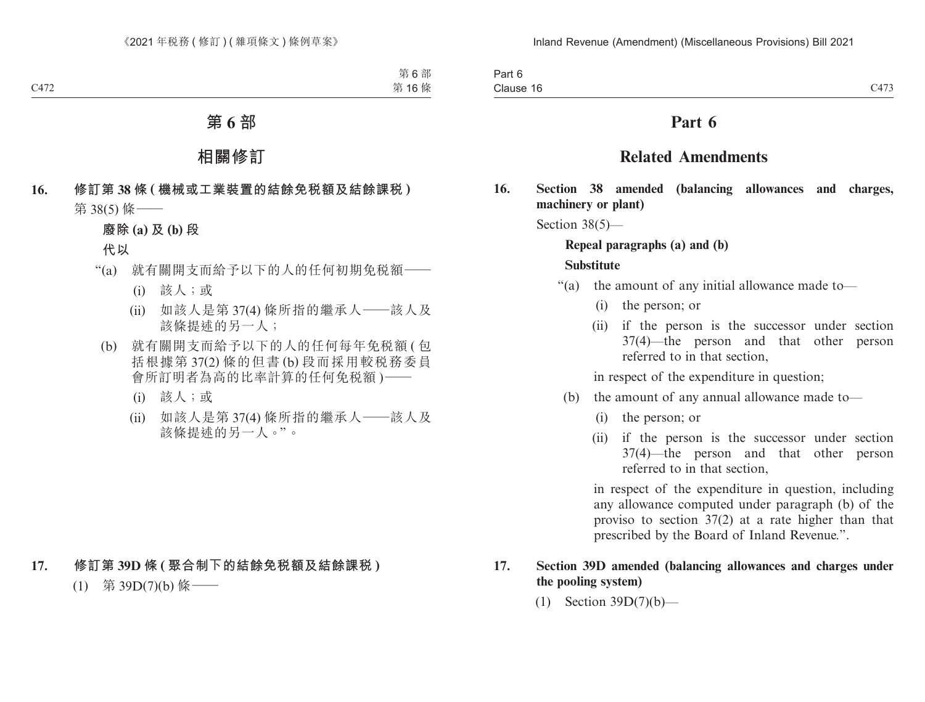| Part 6           |                                        |
|------------------|----------------------------------------|
| . .<br>Clause 16 | $\bigcap$ $\bigcap$ $\bigcap$<br>$C+1$ |

# **Part 6**

# **Related Amendments**

**16. Section 38 amended (balancing allowances and charges, machinery or plant)**

Section 38(5)—

# **Repeal paragraphs (a) and (b)**

### **Substitute**

- "(a) the amount of any initial allowance made to—
	- (i) the person; or
	- (ii) if the person is the successor under section 37(4)—the person and that other person referred to in that section,

in respect of the expenditure in question;

- (b) the amount of any annual allowance made to—
	- (i) the person; or
	- (ii) if the person is the successor under section 37(4)—the person and that other person referred to in that section,

in respect of the expenditure in question, including any allowance computed under paragraph (b) of the proviso to section 37(2) at a rate higher than that prescribed by the Board of Inland Revenue.".

## **17. Section 39D amended (balancing allowances and charges under the pooling system)**

(1) Section 39D(7)(b)—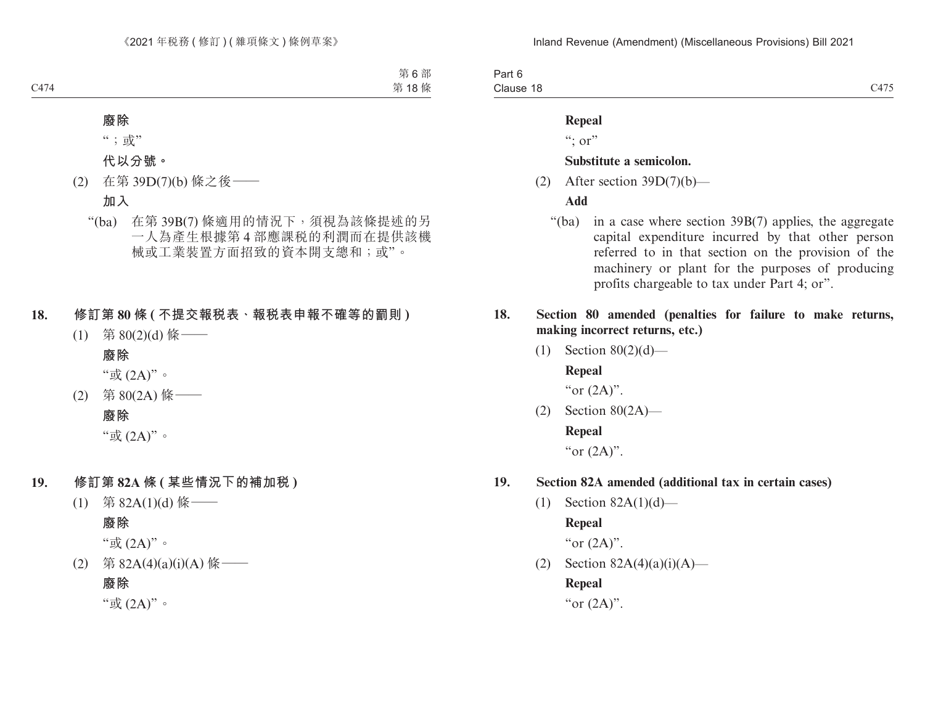Part 6 Clause 18 Clause 18  $C475$ 

### **Repeal**

 $\lq\lq$ ; or"

### **Substitute a semicolon.**

(2) After section  $39D(7)(b)$ —

### **Add**

- "(ba) in a case where section 39B(7) applies, the aggregate capital expenditure incurred by that other person referred to in that section on the provision of the machinery or plant for the purposes of producing profits chargeable to tax under Part 4; or".
- **18. Section 80 amended (penalties for failure to make returns, making incorrect returns, etc.)**
	- (1) Section  $80(2)(d)$  **Repeal**

"or  $(2A)$ ".

(2) Section 80(2A)— **Repeal** "or  $(2A)$ ".

#### **19. Section 82A amended (additional tax in certain cases)**

(1) Section 82A(1)(d)—

**Repeal**

"or  $(2A)$ ".

(2) Section  $82A(4)(a)(i)(A)$ —

**Repeal**

"or  $(2A)$ ".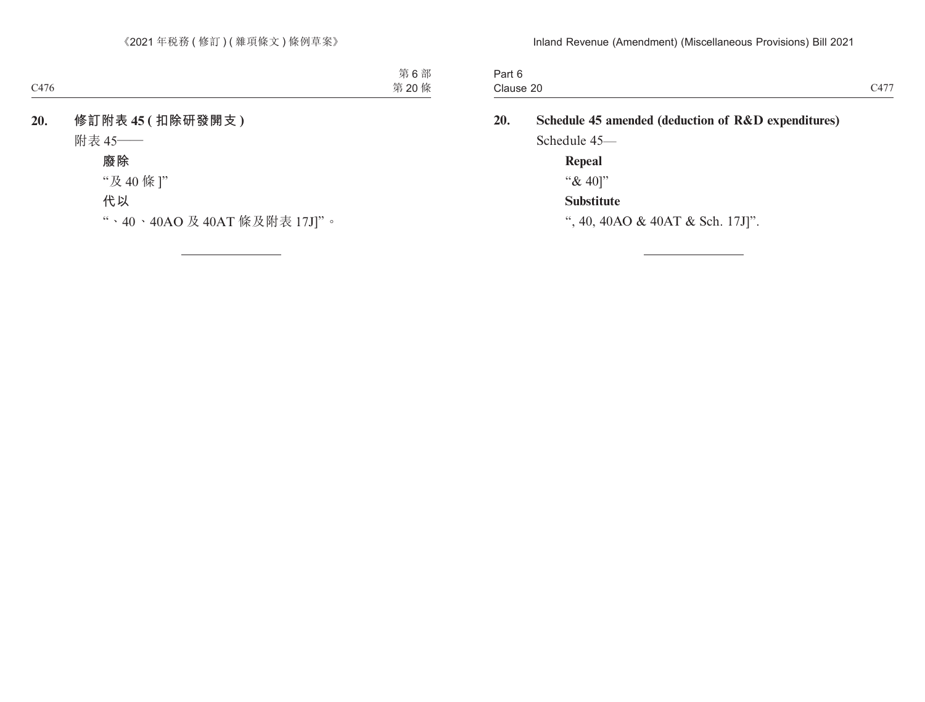| $\overline{\phantom{a}}$<br>Part 6<br>. |                  |
|-----------------------------------------|------------------|
| Clause 20                               | $\sim$ 4.77<br>- |

| 20. | Schedule 45 amended (deduction of R&D expenditures) |
|-----|-----------------------------------------------------|
|     | Schedule 45—                                        |
|     | Repeal                                              |
|     | " $& 40$ "                                          |
|     | <b>Substitute</b>                                   |
|     | ", 40, 40AO & 40AT & Sch. 17J]".                    |
|     |                                                     |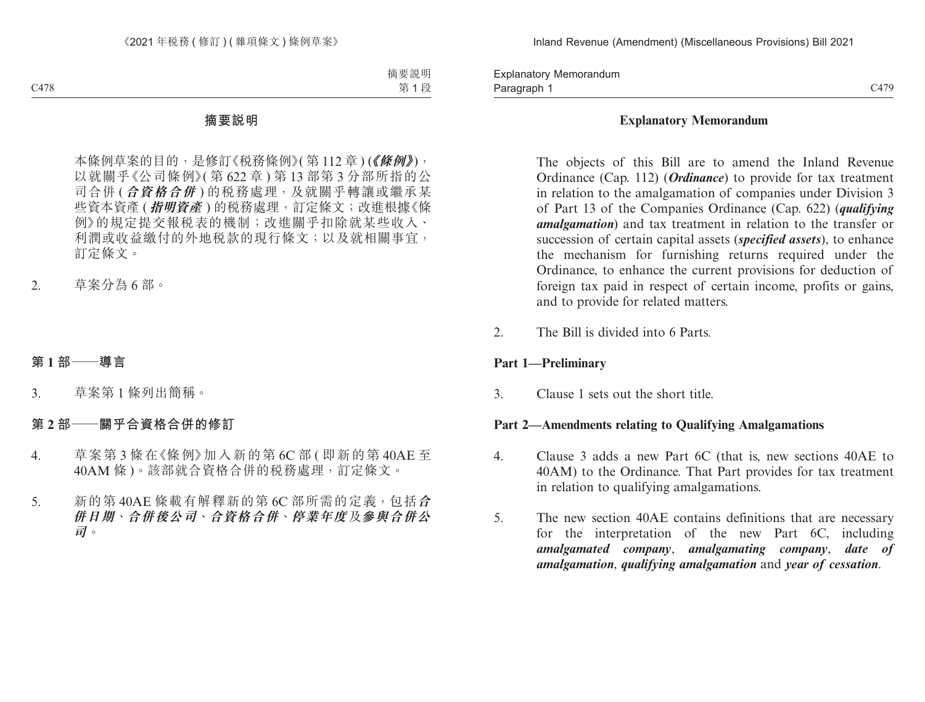Paragraph 1 and 2008 C479 Explanatory Memorandum Paragraph 1

### **Explanatory Memorandum**

The objects of this Bill are to amend the Inland Revenue Ordinance (Cap. 112) (*Ordinance*) to provide for tax treatment in relation to the amalgamation of companies under Division 3 of Part 13 of the Companies Ordinance (Cap. 622) (*qualifying amalgamation*) and tax treatment in relation to the transfer or succession of certain capital assets (*specified assets*), to enhance the mechanism for furnishing returns required under the Ordinance, to enhance the current provisions for deduction of foreign tax paid in respect of certain income, profits or gains, and to provide for related matters.

2. The Bill is divided into 6 Parts.

## **Part 1—Preliminary**

3. Clause 1 sets out the short title.

### **Part 2—Amendments relating to Qualifying Amalgamations**

- 4. Clause 3 adds a new Part 6C (that is, new sections 40AE to 40AM) to the Ordinance. That Part provides for tax treatment in relation to qualifying amalgamations.
- 5. The new section 40AE contains definitions that are necessary for the interpretation of the new Part 6C, including *amalgamated company*, *amalgamating company*, *date of amalgamation*, *qualifying amalgamation* and *year of cessation*.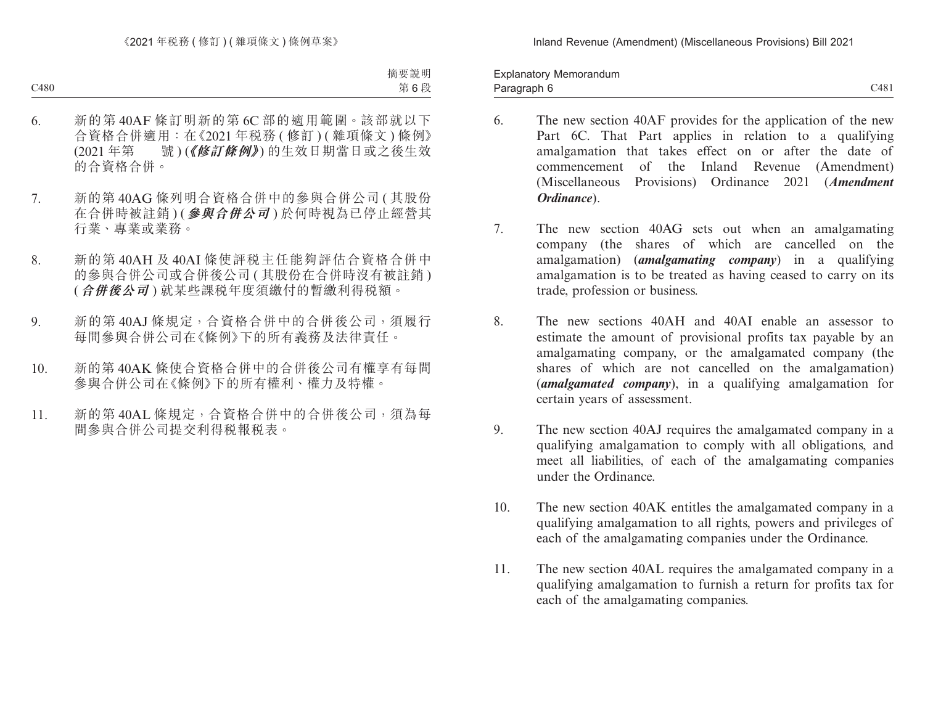Paragraph 6 and the contract of the contract of the contract of the contract of the contract of the contract of the contract of the contract of the contract of the contract of the contract of the contract of the contract o Explanatory Memorandum Paragraph 6

- 6. The new section 40AF provides for the application of the new Part 6C. That Part applies in relation to a qualifying amalgamation that takes effect on or after the date of commencement of the Inland Revenue (Amendment) (Miscellaneous Provisions) Ordinance 2021 (*Amendment Ordinance*).
- 7. The new section 40AG sets out when an amalgamating company (the shares of which are cancelled on the amalgamation) (*amalgamating company*) in a qualifying amalgamation is to be treated as having ceased to carry on its trade, profession or business.
- 8. The new sections 40AH and 40AI enable an assessor to estimate the amount of provisional profits tax payable by an amalgamating company, or the amalgamated company (the shares of which are not cancelled on the amalgamation) (*amalgamated company*), in a qualifying amalgamation for certain years of assessment.
- 9. The new section 40AJ requires the amalgamated company in a qualifying amalgamation to comply with all obligations, and meet all liabilities, of each of the amalgamating companies under the Ordinance.
- 10. The new section 40AK entitles the amalgamated company in a qualifying amalgamation to all rights, powers and privileges of each of the amalgamating companies under the Ordinance.
- 11. The new section 40AL requires the amalgamated company in a qualifying amalgamation to furnish a return for profits tax for each of the amalgamating companies.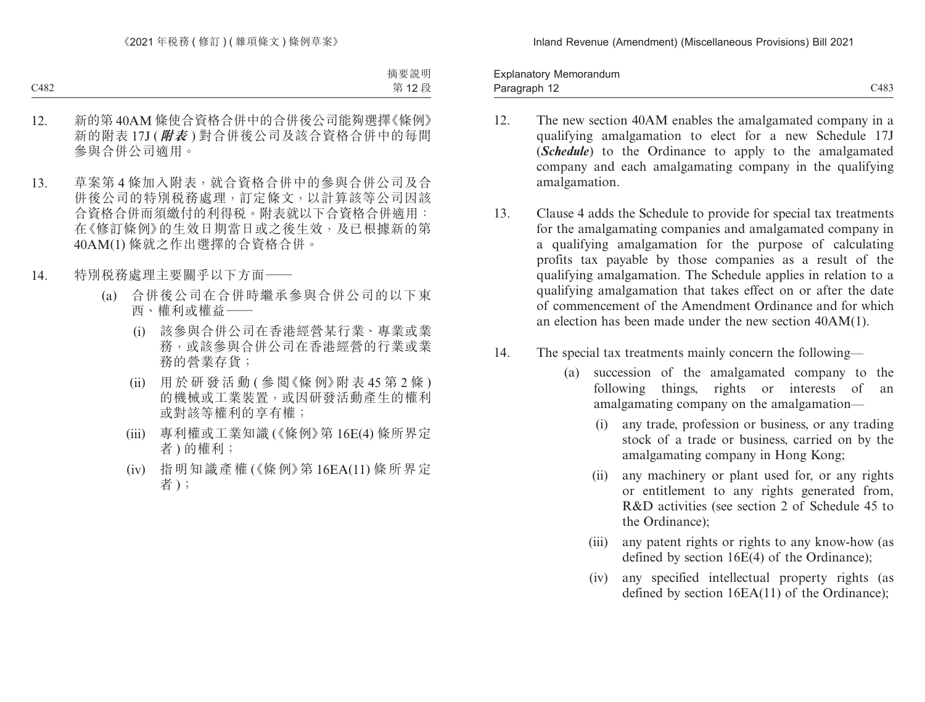Paragraph 12 and 2008 and 2008 and 2008 and 2008 and 2008 and 2008 and 2008 and 2008 and 2008 and 2008 and 200 Explanatory Memorandum Paragraph 12

- 12. The new section 40AM enables the amalgamated company in a qualifying amalgamation to elect for a new Schedule 17J (*Schedule*) to the Ordinance to apply to the amalgamated company and each amalgamating company in the qualifying amalgamation.
- 13. Clause 4 adds the Schedule to provide for special tax treatments for the amalgamating companies and amalgamated company in a qualifying amalgamation for the purpose of calculating profits tax payable by those companies as a result of the qualifying amalgamation. The Schedule applies in relation to a qualifying amalgamation that takes effect on or after the date of commencement of the Amendment Ordinance and for which an election has been made under the new section 40AM(1).
- 14. The special tax treatments mainly concern the following—
	- (a) succession of the amalgamated company to the following things, rights or interests of an amalgamating company on the amalgamation—
		- (i) any trade, profession or business, or any trading stock of a trade or business, carried on by the amalgamating company in Hong Kong;
		- (ii) any machinery or plant used for, or any rights or entitlement to any rights generated from, R&D activities (see section 2 of Schedule 45 to the Ordinance);
		- (iii) any patent rights or rights to any know-how (as defined by section 16E(4) of the Ordinance);
		- (iv) any specified intellectual property rights (as defined by section 16EA(11) of the Ordinance);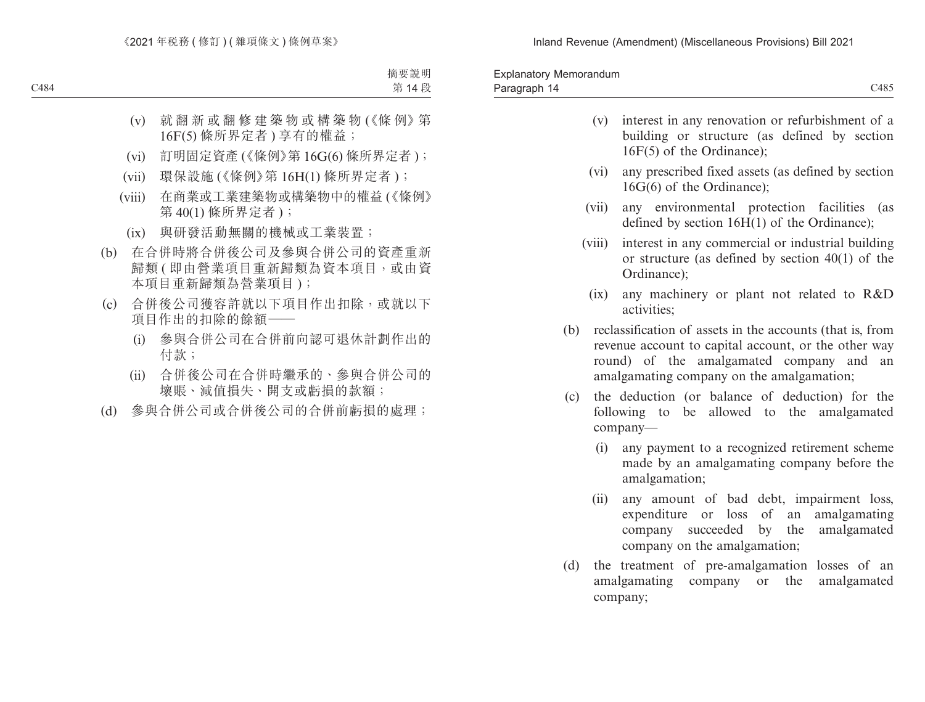| Memorandum<br><b>Explanator</b> |      |
|---------------------------------|------|
| -14<br>Paragraph                | C485 |

|        | building or structure (as defined by section<br>$16F(5)$ of the Ordinance);                                            |
|--------|------------------------------------------------------------------------------------------------------------------------|
| (vi)   | any prescribed fixed assets (as defined by section<br>$16G(6)$ of the Ordinance);                                      |
| (vii)  | any environmental protection facilities (as<br>defined by section $16H(1)$ of the Ordinance);                          |
| (viii) | interest in any commercial or industrial building<br>or structure (as defined by section $40(1)$ of the<br>Ordinance); |
| (ix)   | any machinery or plant not related to R&D<br>activities;                                                               |
| (b)    | reclassification of assets in the accounts (that is, from<br>revenue account to capital account, or the other way      |

(v) interest in any renovation or refurbishment of a

- round) of the amalgamated company and an amalgamating company on the amalgamation;
- (c) the deduction (or balance of deduction) for the following to be allowed to the amalgamated company—
	- (i) any payment to a recognized retirement scheme made by an amalgamating company before the amalgamation;
	- (ii) any amount of bad debt, impairment loss, expenditure or loss of an amalgamating company succeeded by the amalgamated company on the amalgamation;
- (d) the treatment of pre-amalgamation losses of an amalgamating company or the amalgamated company;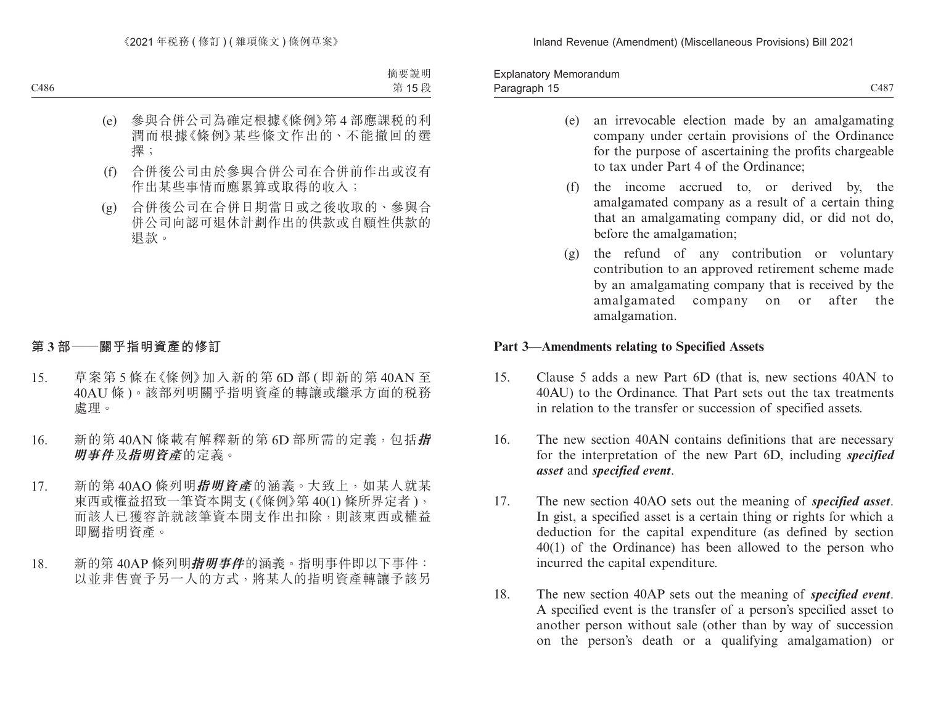Paragraph 15 and 2008 C487 Explanatory Memorandum Paragraph 15

- (e) an irrevocable election made by an amalgamating company under certain provisions of the Ordinance for the purpose of ascertaining the profits chargeable to tax under Part 4 of the Ordinance;
- (f) the income accrued to, or derived by, the amalgamated company as a result of a certain thing that an amalgamating company did, or did not do, before the amalgamation;
- (g) the refund of any contribution or voluntary contribution to an approved retirement scheme made by an amalgamating company that is received by the amalgamated company on or after the amalgamation.

### **Part 3—Amendments relating to Specified Assets**

- 15. Clause 5 adds a new Part 6D (that is, new sections 40AN to 40AU) to the Ordinance. That Part sets out the tax treatments in relation to the transfer or succession of specified assets.
- 16. The new section 40AN contains definitions that are necessary for the interpretation of the new Part 6D, including *specified asset* and *specified event*.
- 17. The new section 40AO sets out the meaning of *specified asset*. In gist, a specified asset is a certain thing or rights for which a deduction for the capital expenditure (as defined by section 40(1) of the Ordinance) has been allowed to the person who incurred the capital expenditure.
- 18. The new section 40AP sets out the meaning of *specified event*. A specified event is the transfer of a person's specified asset to another person without sale (other than by way of succession on the person's death or a qualifying amalgamation) or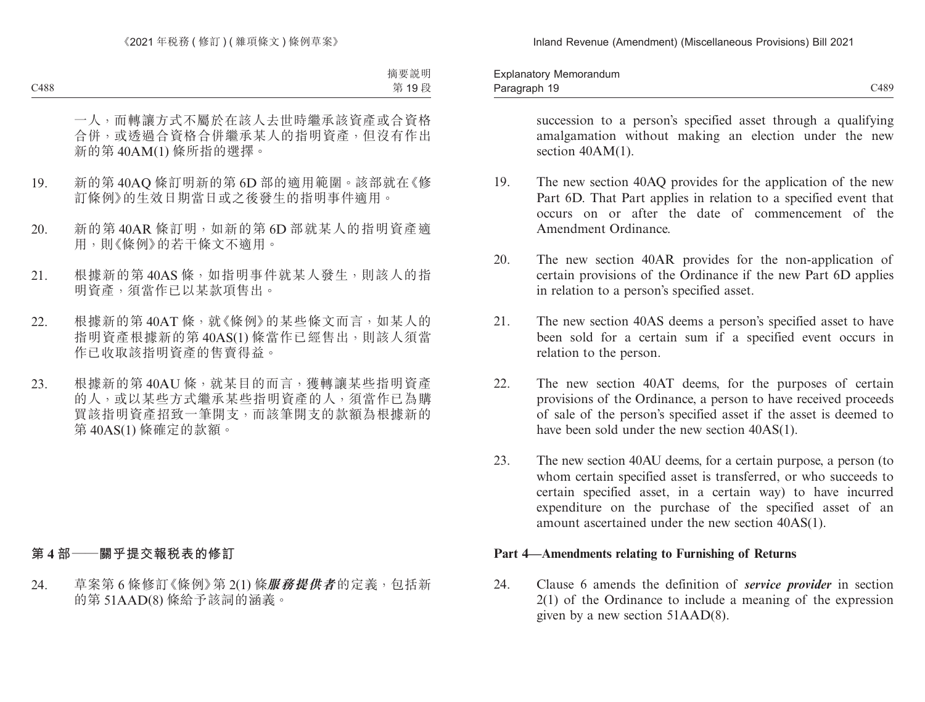| $\overline{\phantom{a}}$<br>Memorandum<br><b>Explanator</b> |      |
|-------------------------------------------------------------|------|
| - 1 Q<br>Paragraph<br>. .                                   | C489 |

succession to a person's specified asset through a qualifying amalgamation without making an election under the new section  $40AM(1)$ .

- 19. The new section 40AQ provides for the application of the new Part 6D. That Part applies in relation to a specified event that occurs on or after the date of commencement of the Amendment Ordinance.
- 20. The new section 40AR provides for the non-application of certain provisions of the Ordinance if the new Part 6D applies in relation to a person's specified asset.
- 21. The new section 40AS deems a person's specified asset to have been sold for a certain sum if a specified event occurs in relation to the person.
- 22. The new section 40AT deems, for the purposes of certain provisions of the Ordinance, a person to have received proceeds of sale of the person's specified asset if the asset is deemed to have been sold under the new section 40AS(1).
- 23. The new section 40AU deems, for a certain purpose, a person (to whom certain specified asset is transferred, or who succeeds to certain specified asset, in a certain way) to have incurred expenditure on the purchase of the specified asset of an amount ascertained under the new section 40AS(1).

## **Part 4—Amendments relating to Furnishing of Returns**

24. Clause 6 amends the definition of *service provider* in section 2(1) of the Ordinance to include a meaning of the expression given by a new section 51AAD(8).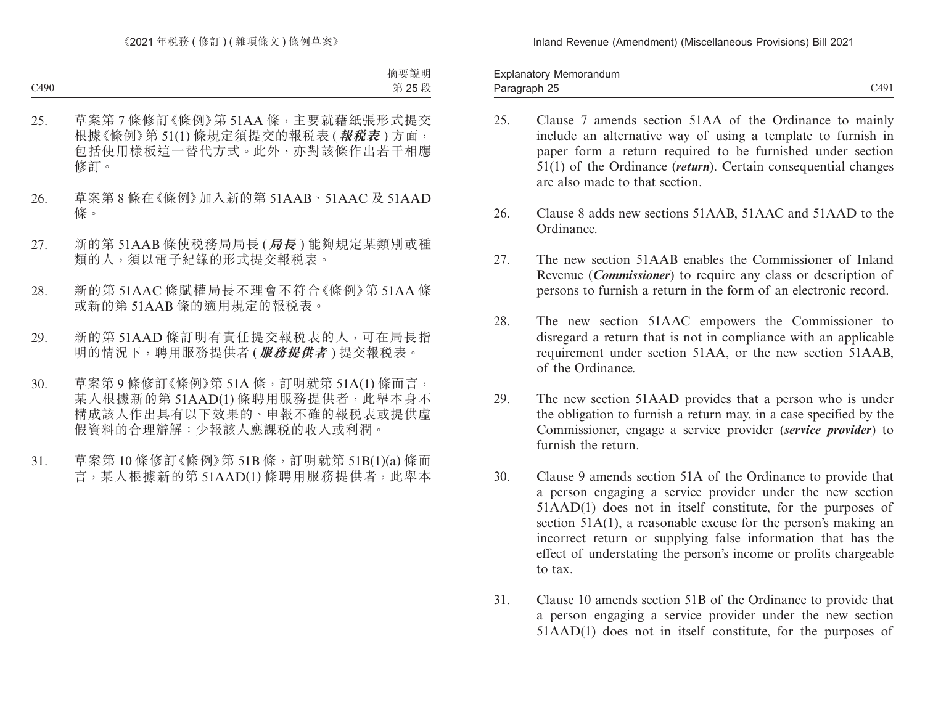Paragraph 25 and 2011 and 2012 and 2012 and 2012 and 2012 and 2014 and 2012 and 2014 and 2012 and 201 Explanatory Memorandum Paragraph 25

- 
- 25. Clause 7 amends section 51AA of the Ordinance to mainly include an alternative way of using a template to furnish in paper form a return required to be furnished under section 51(1) of the Ordinance (*return*). Certain consequential changes are also made to that section.
- 26. Clause 8 adds new sections 51AAB, 51AAC and 51AAD to the Ordinance.
- 27. The new section 51AAB enables the Commissioner of Inland Revenue (*Commissioner*) to require any class or description of persons to furnish a return in the form of an electronic record.
- 28. The new section 51AAC empowers the Commissioner to disregard a return that is not in compliance with an applicable requirement under section 51AA, or the new section 51AAB, of the Ordinance.
- 29. The new section 51AAD provides that a person who is under the obligation to furnish a return may, in a case specified by the Commissioner, engage a service provider (*service provider*) to furnish the return.
- 30. Clause 9 amends section 51A of the Ordinance to provide that a person engaging a service provider under the new section 51AAD(1) does not in itself constitute, for the purposes of section 51A(1), a reasonable excuse for the person's making an incorrect return or supplying false information that has the effect of understating the person's income or profits chargeable to tax.
- 31. Clause 10 amends section 51B of the Ordinance to provide that a person engaging a service provider under the new section 51AAD(1) does not in itself constitute, for the purposes of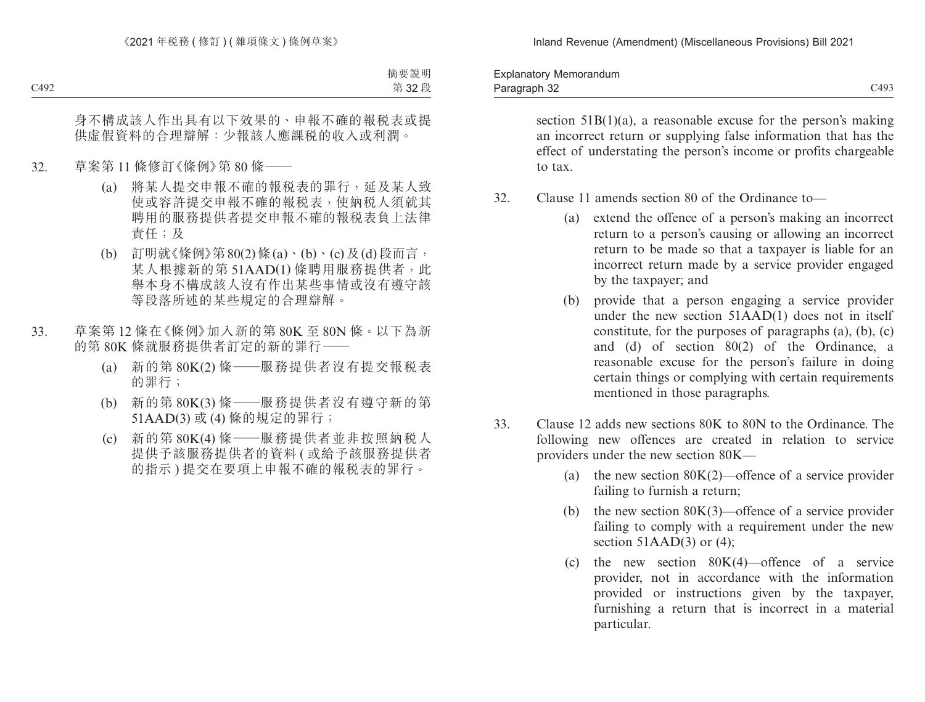Paragraph 32 and 2012 and 2012 and 2012 and 2012 and 2012 and 2013 and 2014 and 2014 and 2014 and 2014 and 201 Explanatory Memorandum Paragraph 32

> section  $51B(1)(a)$ , a reasonable excuse for the person's making an incorrect return or supplying false information that has the effect of understating the person's income or profits chargeable to tax.

- 32. Clause 11 amends section 80 of the Ordinance to—
	- (a) extend the offence of a person's making an incorrect return to a person's causing or allowing an incorrect return to be made so that a taxpayer is liable for an incorrect return made by a service provider engaged by the taxpayer; and
	- (b) provide that a person engaging a service provider under the new section 51AAD(1) does not in itself constitute, for the purposes of paragraphs (a), (b), (c) and (d) of section 80(2) of the Ordinance, a reasonable excuse for the person's failure in doing certain things or complying with certain requirements mentioned in those paragraphs.
- 33. Clause 12 adds new sections 80K to 80N to the Ordinance. The following new offences are created in relation to service providers under the new section 80K—
	- (a) the new section  $80K(2)$ —offence of a service provider failing to furnish a return;
	- (b) the new section  $80K(3)$ —offence of a service provider failing to comply with a requirement under the new section  $51$ A $AD(3)$  or (4);
	- (c) the new section  $80K(4)$ —offence of a service provider, not in accordance with the information provided or instructions given by the taxpayer, furnishing a return that is incorrect in a material particular.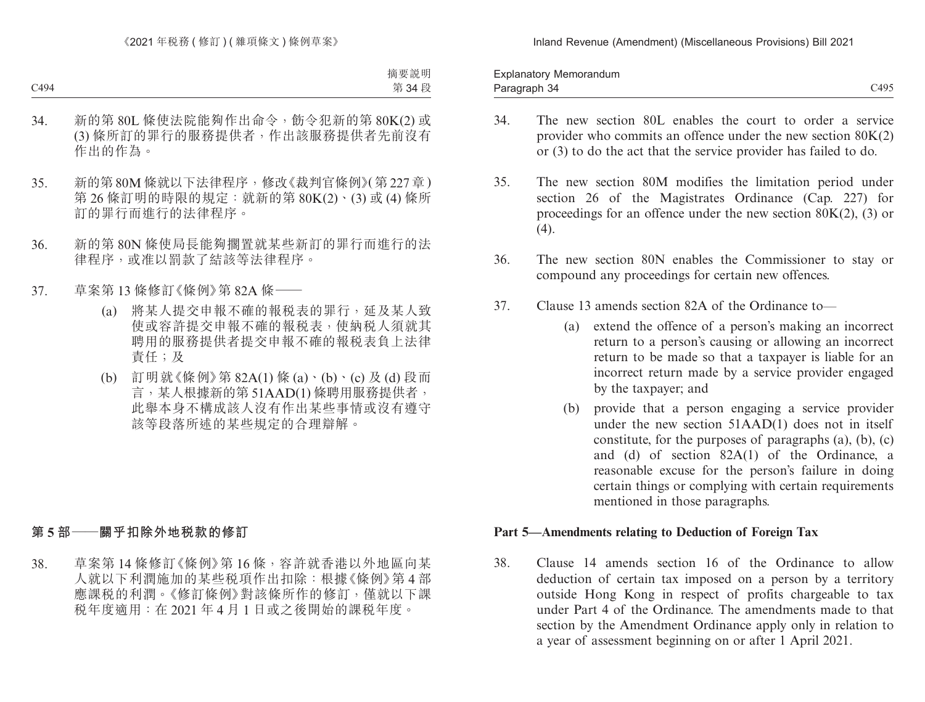Paragraph 34 C495 Explanatory Memorandum Paragraph 34

- 
- 34. The new section 80L enables the court to order a service provider who commits an offence under the new section 80K(2) or (3) to do the act that the service provider has failed to do.
- 35. The new section 80M modifies the limitation period under section 26 of the Magistrates Ordinance (Cap. 227) for proceedings for an offence under the new section  $80K(2)$ , (3) or  $(4)$ .
- 36. The new section 80N enables the Commissioner to stay or compound any proceedings for certain new offences.
- 37. Clause 13 amends section 82A of the Ordinance to—
	- (a) extend the offence of a person's making an incorrect return to a person's causing or allowing an incorrect return to be made so that a taxpayer is liable for an incorrect return made by a service provider engaged by the taxpayer; and
	- (b) provide that a person engaging a service provider under the new section 51AAD(1) does not in itself constitute, for the purposes of paragraphs (a), (b), (c) and (d) of section 82A(1) of the Ordinance, a reasonable excuse for the person's failure in doing certain things or complying with certain requirements mentioned in those paragraphs.

## **Part 5—Amendments relating to Deduction of Foreign Tax**

38. Clause 14 amends section 16 of the Ordinance to allow deduction of certain tax imposed on a person by a territory outside Hong Kong in respect of profits chargeable to tax under Part 4 of the Ordinance. The amendments made to that section by the Amendment Ordinance apply only in relation to a year of assessment beginning on or after 1 April 2021.